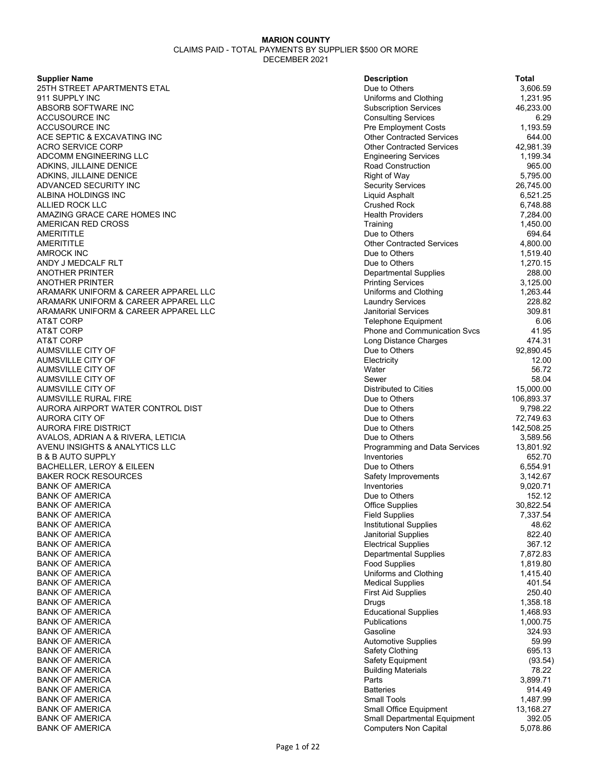**Supplier Name** 

25TH STREET APARTMENTS ETAL 911 SUPPLY INC ABSORB SOFTWARE INC **ACCUSOURCE INC** ACCUSOURCE INC ACE SEPTIC & EXCAVATING INC ACRO SERVICE CORP ADCOMM ENGINEERING LLC ADKINS, JILLAINE DENICE ADKINS, JILLAINE DENICE ADVANCED SECURITY INC ALBINA HOLDINGS INC ALLIED ROCK LLC AMAZING GRACE CARE HOMES INC AMERICAN RED CROSS AMERITITLE Due to Others 694.64 AMERITITLE ALL AND A SERVICE SERVICES A SUITE Of A SERVICE SERVICES A 4,800.00 AMROCK INC Due to Others 1,519.40 ANDY J MEDCALF RLT ANOTHER PRINTER **ANOTHER PRINTER** ARAMARK UNIFORM & CAREER APPAREL LLC ARAMARK UNIFORM & CAREER APPAREL LLC ARAMARK UNIFORM & CAREER APPAREL LLC AT&T CORP Telephone Equipment 6.06 AT&T CORP Phone and Communication Svcs 41.95 AT&T CORP Long Distance Charges 474.31 AUMSVILLE CITY OF AUMSVILLE CITY OF AUMSVILLE CITY OF AUMSVILLE CITY OF AUMSVILLE CITY OF AUMSVILLE RURAL FIRE AURORA AIRPORT WATER CONTROL DIST AURORA CITY OF AURORA FIRE DISTRICT AVALOS, ADRIAN A & RIVERA, LETICIA AVENU INSIGHTS & ANALYTICS LLC **B & B AUTO SUPPLY** BACHELLER, LEROY & EILEEN **BAKER ROCK RESOURCES BANK OF AMERICA BANK OF AMERICA BANK OF AMERICA** BANK OF AMERICA BANK OF AMERICA BANK OF AMERICA **BANK OF AMERICA** BANK OF AMERICA BANK OF AMERICA BANK OF AMERICA BANK OF AMERICA **BANK OF AMERICA** BANK OF AMERICA **BANK OF AMERICA** BANK OF AMERICA BANK OF AMERICA BANK OF AMERICA **BANK OF AMERICA BANK OF AMERICA** BANK OF AMERICA BANK OF AMERICA BANK OF AMERICA **BANK OF AMERICA** BANK OF AMERICA BANK OF AMERICA BANK OF AMERICA

| <b>Description</b>                  | Total      |
|-------------------------------------|------------|
| Due to Others                       | 3,606.59   |
| Uniforms and Clothing               | 1,231.95   |
| <b>Subscription Services</b>        | 46,233.00  |
| <b>Consulting Services</b>          | 6.29       |
| Pre Employment Costs                | 1,193.59   |
| <b>Other Contracted Services</b>    | 644.00     |
| <b>Other Contracted Services</b>    | 42,981.39  |
| <b>Engineering Services</b>         | 1,199.34   |
| <b>Road Construction</b>            | 965.00     |
| <b>Right of Way</b>                 | 5,795.00   |
| <b>Security Services</b>            | 26,745.00  |
| <b>Liquid Asphalt</b>               | 6,521.25   |
| <b>Crushed Rock</b>                 | 6,748.88   |
| <b>Health Providers</b>             | 7,284.00   |
| Training                            | 1,450.00   |
| Due to Others                       | 694.64     |
| <b>Other Contracted Services</b>    | 4,800.00   |
| Due to Others                       | 1,519.40   |
| Due to Others                       | 1,270.15   |
| <b>Departmental Supplies</b>        | 288.00     |
| <b>Printing Services</b>            | 3,125.00   |
| Uniforms and Clothing               | 1,263.44   |
| <b>Laundry Services</b>             | 228.82     |
| <b>Janitorial Services</b>          | 309.81     |
| <b>Telephone Equipment</b>          | 6.06       |
| <b>Phone and Communication Svcs</b> | 41.95      |
| <b>Long Distance Charges</b>        | 474.31     |
| Due to Others                       | 92,890.45  |
| Electricity                         | 12.00      |
| Water                               | 56.72      |
| Sewer                               | 58.04      |
| Distributed to Cities               | 15,000.00  |
| Due to Others                       | 106,893.37 |
| Due to Others                       | 9,798.22   |
| Due to Others                       | 72,749.63  |
| Due to Others                       | 142,508.25 |
| Due to Others                       | 3,589.56   |
| Programming and Data Services       | 13,801.92  |
| Inventories                         | 652.70     |
| Due to Others                       | 6,554.91   |
| Safety Improvements                 | 3,142.67   |
| Inventories                         | 9,020.71   |
| Due to Others                       | 152.12     |
| <b>Office Supplies</b>              | 30,822.54  |
| <b>Field Supplies</b>               | 7,337.54   |
| <b>Institutional Supplies</b>       | 48.62      |
| Janitorial Supplies                 | 822.40     |
| <b>Electrical Supplies</b>          | 367.12     |
| <b>Departmental Supplies</b>        | 7,872.83   |
| <b>Food Supplies</b>                | 1,819.80   |
| Uniforms and Clothing               | 1,415.40   |
| <b>Medical Supplies</b>             | 401.54     |
| <b>First Aid Supplies</b>           | 250.40     |
| Drugs                               | 1,358.18   |
| <b>Educational Supplies</b>         | 1,468.93   |
| Publications                        | 1,000.75   |
| Gasoline                            | 324.93     |
| <b>Automotive Supplies</b>          | 59.99      |
| Safety Clothing                     | 695.13     |
| Safety Equipment                    | (93.54)    |
| <b>Building Materials</b>           | 78.22      |
| Parts                               | 3,899.71   |
| <b>Batteries</b>                    | 914.49     |
| <b>Small Tools</b>                  | 1,487.99   |
| Small Office Equipment              | 13,168.27  |
| <b>Small Departmental Equipment</b> | 392.05     |
| <b>Computers Non Capital</b>        | 5,078.86   |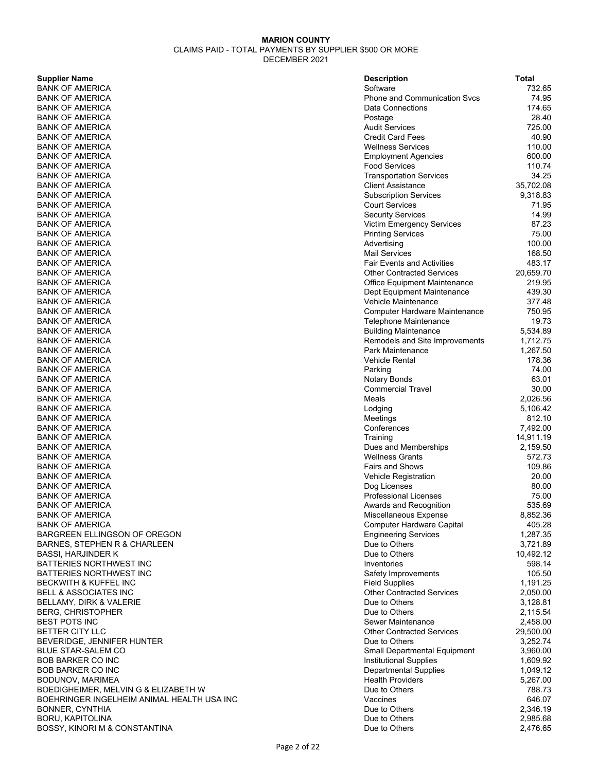### **Supplier Name**

BANK OF AMERICA **BANK OF AMERICA** BANK OF AMERICA BANK OF AMERICA BANK OF AMERICA BANK OF AMERICA **BANK OF AMERICA** BANK OF AMERICA BANK OF AMERICA BANK OF AMERICA **BANK OF AMERICA BANK OF AMERICA** BANK OF AMERICA BANK OF AMERICA BANK OF AMERICA **BANK OF AMERICA BANK OF AMERICA BANK OF AMERICA** BANK OF AMERICA BANK OF AMERICA BANK OF AMERICA **BANK OF AMERICA BANK OF AMERICA** BANK OF AMERICA BANK OF AMERICA BANK OF AMERICA BANK OF AMERICA **BANK OF AMERICA BANK OF AMERICA** BANK OF AMERICA BANK OF AMERICA BANK OF AMERICA **BANK OF AMERICA** BANK OF AMERICA BANK OF AMERICA BANK OF AMERICA BANK OF AMERICA **BANK OF AMERICA BANK OF AMERICA** BANK OF AMERICA **BANK OF AMERICA BANK OF AMERICA BANK OF AMERICA BANK OF AMERICA** BANK OF AMERICA BANK OF AMERICA BARGREEN ELLINGSON OF OREGON BARNES, STEPHEN R & CHARLEEN BASSI, HARJINDER K BATTERIES NORTHWEST INC BATTERIES NORTHWEST INC BECKWITH & KUFFEL INC BELL & ASSOCIATES INC BELLAMY, DIRK & VALERIE BERG, CHRISTOPHER BEST POTS INC BETTER CITY LLC BEVERIDGE, JENNIFER HUNTER BLUE STAR-SALEM CO **BOB BARKER CO INC** BOB BARKER CO INC BODUNOV, MARIMEA BOEDIGHEIMER, MELVIN G & ELIZABETH W BOEHRINGER INGELHEIM ANIMAL HEALTH USA INC BONNER, CYNTHIA BORU, KAPITOLINA BOSSY, KINORI M & CONSTANTINA

| <b>Description</b>                                    | Total                 |
|-------------------------------------------------------|-----------------------|
| Software                                              | 732.65                |
| <b>Phone and Communication Svcs</b>                   | 74.95                 |
| Data Connections                                      | 174.65                |
| Postage                                               | 28.40                 |
| <b>Audit Services</b>                                 | 725.00                |
| <b>Credit Card Fees</b>                               | 40.90                 |
| <b>Wellness Services</b>                              | 110.00                |
| <b>Employment Agencies</b>                            | 600.00                |
| <b>Food Services</b>                                  | 110.74                |
| <b>Transportation Services</b>                        | 34.25                 |
| <b>Client Assistance</b>                              | 35,702.08<br>9,318.83 |
| <b>Subscription Services</b><br><b>Court Services</b> | 71.95                 |
| <b>Security Services</b>                              | 14.99                 |
| Victim Emergency Services                             | 87.23                 |
| <b>Printing Services</b>                              | 75.00                 |
| Advertising                                           | 100.00                |
| <b>Mail Services</b>                                  | 168.50                |
| <b>Fair Events and Activities</b>                     | 483.17                |
| <b>Other Contracted Services</b>                      | 20,659.70             |
| <b>Office Equipment Maintenance</b>                   | 219.95                |
| Dept Equipment Maintenance                            | 439.30                |
| Vehicle Maintenance                                   | 377.48                |
| <b>Computer Hardware Maintenance</b>                  | 750.95                |
| Telephone Maintenance                                 | 19.73                 |
| <b>Building Maintenance</b>                           | 5,534.89              |
| Remodels and Site Improvements                        | 1,712.75              |
| Park Maintenance                                      | 1,267.50              |
| <b>Vehicle Rental</b>                                 | 178.36                |
| Parking                                               | 74.00                 |
| Notary Bonds                                          | 63.01                 |
| <b>Commercial Travel</b><br>Meals                     | 30.00<br>2,026.56     |
| Lodging                                               | 5,106.42              |
| Meetings                                              | 812.10                |
| Conferences                                           | 7,492.00              |
| Training                                              | 14,911.19             |
| Dues and Memberships                                  | 2,159.50              |
| <b>Wellness Grants</b>                                | 572.73                |
| <b>Fairs and Shows</b>                                | 109.86                |
| <b>Vehicle Registration</b>                           | 20.00                 |
| Dog Licenses                                          | 80.00                 |
| <b>Professional Licenses</b>                          | 75.00                 |
| Awards and Recognition                                | 535.69                |
| Miscellaneous Expense                                 | 8,852.36              |
| <b>Computer Hardware Capital</b>                      | 405.28                |
| <b>Engineering Services</b>                           | 1,287.35              |
| Due to Others                                         | 3,721.89              |
| Due to Others<br>Inventories                          | 10,492.12             |
| Safety Improvements                                   | 598.14<br>105.50      |
| <b>Field Supplies</b>                                 | 1,191.25              |
| <b>Other Contracted Services</b>                      | 2,050.00              |
| Due to Others                                         | 3,128.81              |
| Due to Others                                         | 2,115.54              |
| Sewer Maintenance                                     | 2,458.00              |
| <b>Other Contracted Services</b>                      | 29,500.00             |
| Due to Others                                         | 3,252.74              |
| Small Departmental Equipment                          | 3,960.00              |
| <b>Institutional Supplies</b>                         | 1,609.92              |
| <b>Departmental Supplies</b>                          | 1,049.12              |
| <b>Health Providers</b>                               | 5,267.00              |
| Due to Others                                         | 788.73                |
| Vaccines                                              | 646.07                |
| Due to Others                                         | 2,346.19              |
| Due to Others                                         | 2,985.68              |
| Due to Others                                         | 2,476.65              |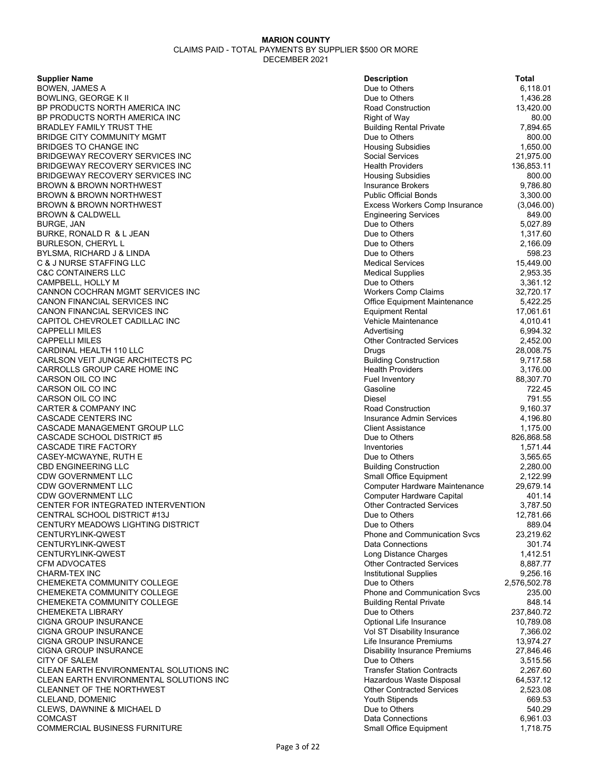| <b>Supplier Name</b>                    | <b>Description</b>                   | Total        |
|-----------------------------------------|--------------------------------------|--------------|
| BOWEN, JAMES A                          | Due to Others                        | 6,118.01     |
| BOWLING, GEORGE K II                    | Due to Others                        | 1,436.28     |
| BP PRODUCTS NORTH AMERICA INC           | Road Construction                    | 13,420.00    |
| BP PRODUCTS NORTH AMERICA INC           | <b>Right of Way</b>                  | 80.00        |
| BRADLEY FAMILY TRUST THE                | <b>Building Rental Private</b>       | 7,894.65     |
| BRIDGE CITY COMMUNITY MGMT              | Due to Others                        | 800.00       |
| BRIDGES TO CHANGE INC                   | <b>Housing Subsidies</b>             | 1,650.00     |
| BRIDGEWAY RECOVERY SERVICES INC         | Social Services                      | 21,975.00    |
| BRIDGEWAY RECOVERY SERVICES INC         | <b>Health Providers</b>              | 136,853.11   |
| BRIDGEWAY RECOVERY SERVICES INC         | <b>Housing Subsidies</b>             | 800.00       |
| BROWN & BROWN NORTHWEST                 | <b>Insurance Brokers</b>             | 9,786.80     |
| BROWN & BROWN NORTHWEST                 | <b>Public Official Bonds</b>         | 3,300.00     |
| BROWN & BROWN NORTHWEST                 | <b>Excess Workers Comp Insurance</b> | (3,046.00)   |
| BROWN & CALDWELL                        | <b>Engineering Services</b>          | 849.00       |
| BURGE, JAN                              | Due to Others                        | 5,027.89     |
| BURKE, RONALD R  & L JEAN               | Due to Others                        | 1,317.60     |
| BURLESON, CHERYL L                      | Due to Others                        | 2,166.09     |
| BYLSMA, RICHARD J & LINDA               | Due to Others                        | 598.23       |
| C & J NURSE STAFFING LLC                | <b>Medical Services</b>              | 15,449.00    |
| C&C CONTAINERS LLC                      | <b>Medical Supplies</b>              | 2,953.35     |
| CAMPBELL, HOLLY M                       | Due to Others                        | 3,361.12     |
| CANNON COCHRAN MGMT SERVICES INC        | <b>Workers Comp Claims</b>           | 32,720.17    |
| CANON FINANCIAL SERVICES INC            | <b>Office Equipment Maintenance</b>  | 5,422.25     |
| CANON FINANCIAL SERVICES INC            | <b>Equipment Rental</b>              | 17,061.61    |
| CAPITOL CHEVROLET CADILLAC INC          | Vehicle Maintenance                  | 4,010.41     |
| CAPPELLI MILES                          | Advertising                          | 6,994.32     |
| CAPPELLI MILES                          | <b>Other Contracted Services</b>     | 2,452.00     |
| CARDINAL HEALTH 110 LLC                 | Drugs                                | 28,008.75    |
| CARLSON VEIT JUNGE ARCHITECTS PC        | <b>Building Construction</b>         | 9,717.58     |
| CARROLLS GROUP CARE HOME INC            | <b>Health Providers</b>              | 3,176.00     |
| CARSON OIL CO INC                       | Fuel Inventory                       | 88,307.70    |
| CARSON OIL CO INC                       | Gasoline                             | 722.45       |
| CARSON OIL CO INC                       | Diesel                               | 791.55       |
| CARTER & COMPANY INC                    | <b>Road Construction</b>             | 9,160.37     |
| CASCADE CENTERS INC                     | <b>Insurance Admin Services</b>      | 4,196.80     |
| CASCADE MANAGEMENT GROUP LLC            | <b>Client Assistance</b>             | 1,175.00     |
| CASCADE SCHOOL DISTRICT #5              | Due to Others                        | 826,868.58   |
| <b>CASCADE TIRE FACTORY</b>             | Inventories                          | 1,571.44     |
| CASEY-MCWAYNE, RUTH E                   | Due to Others                        | 3,565.65     |
| CBD ENGINEERING LLC                     | <b>Building Construction</b>         | 2,280.00     |
| CDW GOVERNMENT LLC                      | Small Office Equipment               | 2,122.99     |
| CDW GOVERNMENT LLC                      | <b>Computer Hardware Maintenance</b> | 29,679.14    |
| CDW GOVERNMENT LLC                      | Computer Hardware Capital            | 401.14       |
| CENTER FOR INTEGRATED INTERVENTION      | <b>Other Contracted Services</b>     | 3,787.50     |
| CENTRAL SCHOOL DISTRICT #13J            | Due to Others                        | 12,781.66    |
| CENTURY MEADOWS LIGHTING DISTRICT       | Due to Others                        | 889.04       |
| CENTURYLINK-QWEST                       | <b>Phone and Communication Svcs</b>  | 23,219.62    |
| CENTURYLINK-QWEST                       | Data Connections                     | 301.74       |
| CENTURYLINK-QWEST                       | Long Distance Charges                | 1,412.51     |
| CFM ADVOCATES                           | <b>Other Contracted Services</b>     | 8,887.77     |
| CHARM-TEX INC                           | <b>Institutional Supplies</b>        | 9,256.16     |
| CHEMEKETA COMMUNITY COLLEGE             | Due to Others                        | 2,576,502.78 |
| CHEMEKETA COMMUNITY COLLEGE             | <b>Phone and Communication Sycs</b>  | 235.00       |
| CHEMEKETA COMMUNITY COLLEGE             | <b>Building Rental Private</b>       | 848.14       |
| CHEMEKETA LIBRARY                       | Due to Others                        | 237,840.72   |
| CIGNA GROUP INSURANCE                   | Optional Life Insurance              | 10,789.08    |
| CIGNA GROUP INSURANCE                   | Vol ST Disability Insurance          | 7,366.02     |
| CIGNA GROUP INSURANCE                   | Life Insurance Premiums              | 13,974.27    |
| CIGNA GROUP INSURANCE                   | <b>Disability Insurance Premiums</b> | 27,846.46    |
| CITY OF SALEM                           | Due to Others                        | 3,515.56     |
| CLEAN EARTH ENVIRONMENTAL SOLUTIONS INC | <b>Transfer Station Contracts</b>    | 2,267.60     |
| CLEAN EARTH ENVIRONMENTAL SOLUTIONS INC | Hazardous Waste Disposal             | 64,537.12    |
| CLEANNET OF THE NORTHWEST               | <b>Other Contracted Services</b>     | 2,523.08     |
| CLELAND, DOMENIC                        | <b>Youth Stipends</b>                | 669.53       |
| CLEWS, DAWNINE & MICHAEL D              | Due to Others                        | 540.29       |
| COMCAST                                 | <b>Data Connections</b>              | 6,961.03     |
| COMMERCIAL BUSINESS FURNITURE           | <b>Small Office Equipment</b>        | 1,718.75     |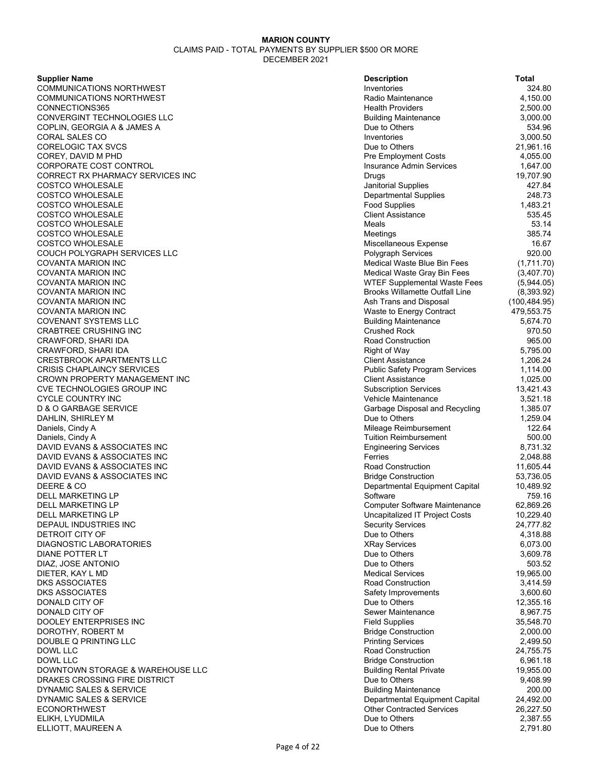| <b>Supplier Name</b>                             | <b>Description</b>                    | Total                 |
|--------------------------------------------------|---------------------------------------|-----------------------|
| COMMUNICATIONS NORTHWEST                         | Inventories                           | 324.80                |
| COMMUNICATIONS NORTHWEST                         | Radio Maintenance                     | 4,150.00              |
| CONNECTIONS365                                   | <b>Health Providers</b>               | 2,500.00              |
| CONVERGINT TECHNOLOGIES LLC                      | <b>Building Maintenance</b>           | 3,000.00              |
| COPLIN, GEORGIA A & JAMES A                      | Due to Others                         | 534.96                |
| CORAL SALES CO                                   | Inventories                           | 3,000.50              |
| CORELOGIC TAX SVCS                               | Due to Others                         | 21,961.16             |
| COREY, DAVID M PHD                               | <b>Pre Employment Costs</b>           | 4,055.00              |
| CORPORATE COST CONTROL                           | Insurance Admin Services              | 1,647.00              |
| CORRECT RX PHARMACY SERVICES INC                 | Drugs                                 | 19,707.90             |
| COSTCO WHOLESALE                                 | Janitorial Supplies                   | 427.84                |
| COSTCO WHOLESALE                                 | <b>Departmental Supplies</b>          | 248.73                |
| COSTCO WHOLESALE                                 | <b>Food Supplies</b>                  | 1,483.21              |
| COSTCO WHOLESALE                                 | <b>Client Assistance</b>              | 535.45                |
| COSTCO WHOLESALE                                 | Meals                                 | 53.14                 |
| COSTCO WHOLESALE                                 | Meetings                              | 385.74                |
| COSTCO WHOLESALE                                 | Miscellaneous Expense                 | 16.67                 |
| COUCH POLYGRAPH SERVICES LLC                     | <b>Polygraph Services</b>             | 920.00                |
| COVANTA MARION INC                               | Medical Waste Blue Bin Fees           | (1,711.70)            |
| COVANTA MARION INC                               | Medical Waste Gray Bin Fees           | (3,407.70)            |
| COVANTA MARION INC                               | WTEF Supplemental Waste Fees          | (5,944.05)            |
| COVANTA MARION INC                               | <b>Brooks Willamette Outfall Line</b> | (8,393.92)            |
| COVANTA MARION INC                               | Ash Trans and Disposal                | (100, 484.95)         |
| COVANTA MARION INC                               | Waste to Energy Contract              | 479,553.75            |
| COVENANT SYSTEMS LLC                             | <b>Building Maintenance</b>           | 5,674.70              |
| CRABTREE CRUSHING INC                            | <b>Crushed Rock</b>                   | 970.50                |
| CRAWFORD, SHARI IDA                              | <b>Road Construction</b>              | 965.00                |
| CRAWFORD, SHARI IDA                              | <b>Right of Way</b>                   | 5,795.00              |
| CRESTBROOK APARTMENTS LLC                        | <b>Client Assistance</b>              | 1,206.24              |
| CRISIS CHAPLAINCY SERVICES                       | <b>Public Safety Program Services</b> | 1,114.00              |
| CROWN PROPERTY MANAGEMENT INC                    | <b>Client Assistance</b>              | 1,025.00              |
| CVE TECHNOLOGIES GROUP INC                       | <b>Subscription Services</b>          | 13,421.43             |
| CYCLE COUNTRY INC                                | Vehicle Maintenance                   | 3,521.18              |
| D & O GARBAGE SERVICE                            | Garbage Disposal and Recycling        | 1,385.07              |
| DAHLIN, SHIRLEY M                                | Due to Others                         | 1,259.04              |
| Daniels, Cindy A                                 | Mileage Reimbursement                 | 122.64                |
|                                                  | <b>Tuition Reimbursement</b>          | 500.00                |
| Daniels, Cindy A<br>DAVID EVANS & ASSOCIATES INC | <b>Engineering Services</b>           | 8,731.32              |
| DAVID EVANS & ASSOCIATES INC                     | Ferries                               | 2,048.88              |
| DAVID EVANS & ASSOCIATES INC                     | Road Construction                     | 11,605.44             |
| DAVID EVANS & ASSOCIATES INC                     | <b>Bridge Construction</b>            | 53,736.05             |
| DEERE & CO                                       | Departmental Equipment Capital        | 10,489.92             |
| DELL MARKETING LP                                | Software                              | 759.16                |
| DELL MARKETING LP                                | <b>Computer Software Maintenance</b>  | 62,869.26             |
|                                                  | Uncapitalized IT Project Costs        | 10,229.40             |
| DELL MARKETING LP                                | <b>Security Services</b>              |                       |
| DEPAUL INDUSTRIES INC                            | Due to Others                         | 24,777.82             |
| DETROIT CITY OF<br>DIAGNOSTIC LABORATORIES       | <b>XRay Services</b>                  | 4,318.88              |
|                                                  |                                       | 6,073.00              |
| DIANE POTTER LT                                  | Due to Others<br>Due to Others        | 3,609.78<br>503.52    |
| DIAZ, JOSE ANTONIO                               | <b>Medical Services</b>               | 19,965.00             |
| DIETER, KAY L MD                                 | <b>Road Construction</b>              |                       |
| DKS ASSOCIATES                                   |                                       | 3,414.59              |
| DKS ASSOCIATES                                   | Safety Improvements<br>Due to Others  | 3,600.60              |
| DONALD CITY OF                                   |                                       | 12,355.16             |
| DONALD CITY OF                                   | Sewer Maintenance                     | 8,967.75<br>35,548.70 |
| DOOLEY ENTERPRISES INC                           | <b>Field Supplies</b>                 |                       |
| DOROTHY, ROBERT M                                | <b>Bridge Construction</b>            | 2,000.00              |
| DOUBLE Q PRINTING LLC                            | <b>Printing Services</b>              | 2,499.50              |
| DOWL LLC                                         | Road Construction                     | 24,755.75             |
| DOWL LLC                                         | <b>Bridge Construction</b>            | 6,961.18              |
| DOWNTOWN STORAGE & WAREHOUSE LLC                 | <b>Building Rental Private</b>        | 19,955.00             |
| DRAKES CROSSING FIRE DISTRICT                    | Due to Others                         | 9,408.99              |
| DYNAMIC SALES & SERVICE                          | <b>Building Maintenance</b>           | 200.00                |
| DYNAMIC SALES & SERVICE                          | Departmental Equipment Capital        | 24,492.00             |
| ECONORTHWEST                                     | <b>Other Contracted Services</b>      | 26,227.50             |
| ELIKH, LYUDMILA                                  | Due to Others                         | 2,387.55              |
| ELLIOTT, MAUREEN A                               | Due to Others                         | 2,791.80              |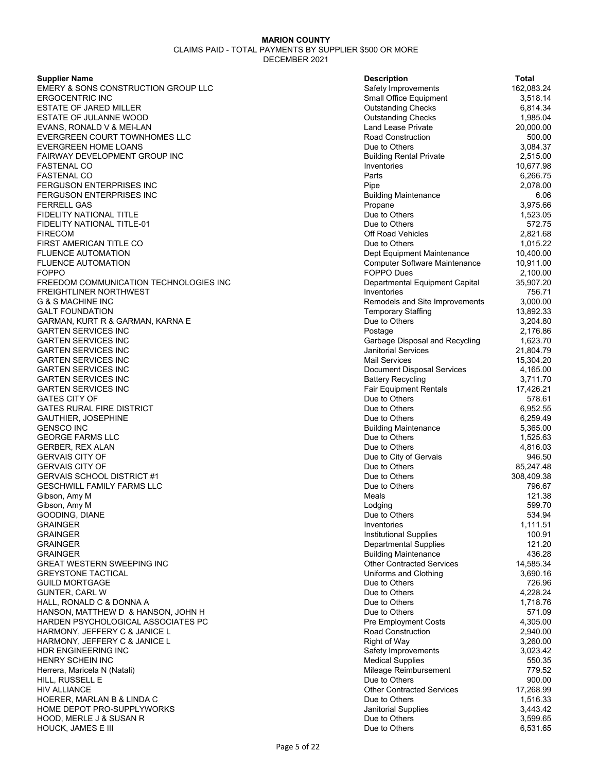**Supplier Name** 

EMERY & SONS CONSTRUCTION GROUP LLC **ERGOCENTRIC INC** ESTATE OF JARED MILLER ESTATE OF JULANNE WOOD EVANS, RONALD V & MEI-LAN EVERGREEN COURT TOWNHOMES LLC **EVERGREEN HOME LOANS** FAIRWAY DEVELOPMENT GROUP INC FASTENAL CO FASTENAL CO FERGUSON ENTERPRISES INC FERGUSON ENTERPRISES INC **FERRELL GAS** FIDELITY NATIONAL TITLE FIDELITY NATIONAL TITLE-01 FIRECOM Off Road Vehicles 2,821.68 FIRST AMERICAN TITLE CO FLUENCE AUTOMATION FLUENCE AUTOMATION FOPPO FOPPO Dues 2,100.00 FREEDOM COMMUNICATION TECHNOLOGIES INC FREIGHTLINER NORTHWEST G & S MACHINE INC **GALT FOUNDATION** GARMAN, KURT R & GARMAN, KARNA E **GARTEN SERVICES INC GARTEN SERVICES INC GARTEN SERVICES INC GARTEN SERVICES INC GARTEN SERVICES INC** GARTEN SERVICES INC **GARTEN SERVICES INC** GATES CITY OF GALL CONSERVED A STRUCK AND THE DUE TO DUE TO OTHERS AND STRUCK AND STRUCK A STRUCK AND STRUCK A **GATES RURAL FIRE DISTRICT** GAUTHIER, JOSEPHINE GENSCO INC Building Maintenance 5,365.00 **GEORGE FARMS LLC** GERBER, REX ALAN GERVAIS CITY OF **GERVAIS CITY OF GERVAIS SCHOOL DISTRICT #1** GESCHWILL FAMILY FARMS LLC Gibson, Amy M Meals 121.38 Gibson, Amy M GOODING, DIANE GRAINGER Inventories 1,111.51 GRAINGER Institutional Supplies 100.91 GRAINGER Departmental Supplies 121.20 GRAINGER Building Maintenance 436.28 GREAT WESTERN SWEEPING INC **GREYSTONE TACTICAL GUILD MORTGAGE** GUNTER, CARL W HALL, RONALD C & DONNA A HANSON, MATTHEW D & HANSON, JOHN H HARDEN PSYCHOLOGICAL ASSOCIATES PC HARMONY, JEFFERY C & JANICE L HARMONY, JEFFERY C & JANICE L HDR ENGINEERING INC **HENRY SCHEIN INC** Herrera, Maricela N (Natali) HILL, RUSSELL E HIV ALLIANCE HOERER, MARLAN B & LINDA C HOME DEPOT PRO-SUPPLYWORKS HOOD, MERLE J & SUSAN R HOUCK, JAMES E III

| <b>Description</b>               | Total              |
|----------------------------------|--------------------|
| Safety Improvements              | 162,083.24         |
| Small Office Equipment           | 3,518.14           |
| <b>Outstanding Checks</b>        | 6,814.34           |
| <b>Outstanding Checks</b>        | 1,985.04           |
| <b>Land Lease Private</b>        | 20,000.00          |
| <b>Road Construction</b>         | 500.00             |
| Due to Others                    | 3,084.37           |
| <b>Building Rental Private</b>   | 2,515.00           |
| Inventories                      | 10,677.98          |
| Parts                            | 6,266.75           |
| Pipe                             | 2,078.00           |
| <b>Building Maintenance</b>      | 6.06               |
| Propane                          | 3,975.66           |
| Due to Others                    | 1,523.05           |
| Due to Others                    | 572.75             |
| Off Road Vehicles                | 2,821.68           |
| Due to Others                    | 1,015.22           |
| Dept Equipment Maintenance       | 10,400.00          |
| Computer Software Maintenance    | 10,911.00          |
| FOPPO Dues                       | 2,100.00           |
| Departmental Equipment Capital   | 35,907.20          |
| Inventories                      | 756.71             |
| Remodels and Site Improvements   | 3,000.00           |
| <b>Temporary Staffing</b>        | 13,892.33          |
| Due to Others                    | 3,204.80           |
| Postage                          | 2,176.86           |
| Garbage Disposal and Recycling   | 1,623.70           |
| <b>Janitorial Services</b>       | 21,804.79          |
| <b>Mail Services</b>             | 15,304.20          |
| Document Disposal Services       | 4,165.00           |
| <b>Battery Recycling</b>         | 3,711.70           |
| <b>Fair Equipment Rentals</b>    | 17,426.21          |
| Due to Others                    | 578.61             |
| Due to Others                    | 6,952.55           |
| Due to Others                    | 6,259.49           |
| <b>Building Maintenance</b>      | 5,365.00           |
| Due to Others                    | 1,525.63           |
| Due to Others                    | 4,816.03           |
| Due to City of Gervais           | 946.50             |
| Due to Others                    | 85,247.48          |
| Due to Others                    | 308,409.38         |
| Due to Others                    | 796.67             |
| Meals                            | 121.38             |
| Lodging                          | 599.70             |
| Due to Others                    | 534.94             |
| Inventories                      | 1,111.51           |
| <b>Institutional Supplies</b>    | 100.91             |
| <b>Departmental Supplies</b>     | 121.20             |
| <b>Building Maintenance</b>      | 436.28             |
| <b>Other Contracted Services</b> | 14,585.34          |
| Uniforms and Clothing            | 3,690.16           |
| Due to Others                    | 726.96             |
| Due to Others<br>Due to Others   | 4,228.24           |
| Due to Others                    | 1,718.76<br>571.09 |
| <b>Pre Employment Costs</b>      | 4,305.00           |
| <b>Road Construction</b>         | 2,940.00           |
| <b>Right of Way</b>              | 3,260.00           |
| Safety Improvements              | 3,023.42           |
| <b>Medical Supplies</b>          | 550.35             |
| Mileage Reimbursement            | 779.52             |
| Due to Others                    | 900.00             |
| <b>Other Contracted Services</b> | 17,268.99          |
| Due to Others                    | 1,516.33           |
| <b>Janitorial Supplies</b>       | 3,443.42           |
| Due to Others                    | 3,599.65           |
| Due to Others                    | 6,531.65           |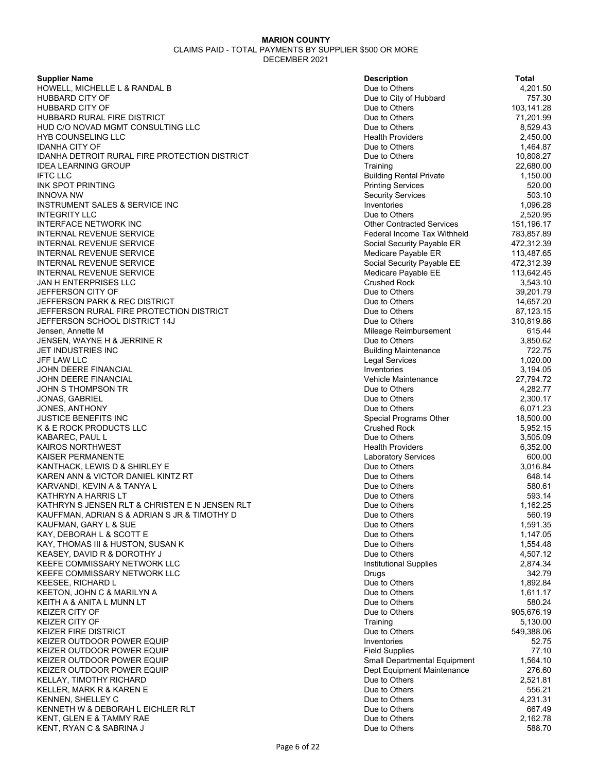**Supplier Name** 

HOWELL, MICHELLE L & RANDAL B HUBBARD CITY OF HUBBARD CITY OF HUBBARD RURAL FIRE DISTRICT HUD C/O NOVAD MGMT CONSULTING LLC HYB COUNSELING LLC **IDANHA CITY OF** IDANHA DETROIT RURAL FIRE PROTECTION DISTRICT **IDEA LEARNING GROUP** IFTC LLC Building Rental Private 1,150.00 **INK SPOT PRINTING** INNOVA NW Security Services 503.10 INSTRUMENT SALES & SERVICE INC **INTEGRITY LLC** INTERFACE NETWORK INC INTERNAL REVENUE SERVICE INTERNAL REVENUE SERVICE INTERNAL REVENUE SERVICE INTERNAL REVENUE SERVICE INTERNAL REVENUE SERVICE JAN H ENTERPRISES LLC JEFFERSON CITY OF JEFFERSON PARK & REC DISTRICT JEFFERSON RURAL FIRE PROTECTION DISTRICT JEFFERSON SCHOOL DISTRICT 14J Jensen, Annette M JENSEN, WAYNE H & JERRINE R **JET INDUSTRIES INC** JFF LAW LLC Legal Services 1,020.00 JOHN DEERE FINANCIAL JOHN DEERE FINANCIAL JOHN S THOMPSON TR JONAS, GABRIEL JONES, ANTHONY JUSTICE BENEFITS INC K & E ROCK PRODUCTS LLC KABAREC, PAUL L KAIROS NORTHWEST KAISER PERMANENTE KANTHACK, LEWIS D & SHIRLEY E KAREN ANN & VICTOR DANIEL KINTZ RT KARVANDI, KEVIN A & TANYA L KATHRYN A HARRIS LT KATHRYN S JENSEN RLT & CHRISTEN E N JENSEN RLT KAUFFMAN, ADRIAN S & ADRIAN S JR & TIMOTHY D KAUFMAN, GARY L & SUE KAY, DEBORAH L & SCOTT E KAY, THOMAS III & HUSTON, SUSAN K KEASEY, DAVID R & DOROTHY J KEEFE COMMISSARY NETWORK LLC KEEFE COMMISSARY NETWORK LLC KEESEE, RICHARD L KEETON, JOHN C & MARILYN A KEITH A & ANITA L MUNN LT KEIZER CITY OF KEIZER CITY OF KEIZER FIRE DISTRICT KEIZER OUTDOOR POWER EQUIP KEIZER OUTDOOR POWER EQUIP KEIZER OUTDOOR POWER EQUIP KEIZER OUTDOOR POWER EQUIP KELLAY, TIMOTHY RICHARD KELLER, MARK R & KAREN E KENNEN, SHELLEY C KENNETH W & DEBORAH L EICHLER RLT KENT, GLEN E & TAMMY RAE KENT, RYAN C & SABRINA J

| <b>Description</b>                                   | Total                  |
|------------------------------------------------------|------------------------|
| Due to Others                                        | 4,201.50               |
| Due to City of Hubbard                               | 757.30                 |
| Due to Others                                        | 103,141.28             |
| Due to Others                                        | 71,201.99              |
| Due to Others                                        | 8,529.43               |
| <b>Health Providers</b><br>Due to Others             | 2,450.00               |
| Due to Others                                        | 1,464.87               |
| Training                                             | 10,808.27<br>22,680.00 |
| <b>Building Rental Private</b>                       | 1,150.00               |
| <b>Printing Services</b>                             | 520.00                 |
| <b>Security Services</b>                             | 503.10                 |
| Inventories                                          | 1,096.28               |
| Due to Others                                        | 2,520.95               |
| <b>Other Contracted Services</b>                     | 151,196.17             |
| <b>Federal Income Tax Withheld</b>                   | 783,857.89             |
| Social Security Payable ER                           | 472,312.39             |
| Medicare Payable ER                                  | 113,487.65             |
| Social Security Payable EE                           | 472,312.39             |
| Medicare Payable EE                                  | 113,642.45             |
| <b>Crushed Rock</b>                                  | 3,543.10               |
| Due to Others                                        | 39,201.79              |
| Due to Others                                        | 14,657.20              |
| Due to Others                                        | 87,123.15              |
| Due to Others                                        | 310,819.86             |
| Mileage Reimbursement                                | 615.44                 |
| Due to Others                                        | 3,850.62               |
| <b>Building Maintenance</b><br><b>Legal Services</b> | 722.75                 |
| Inventories                                          | 1,020.00<br>3,194.05   |
| Vehicle Maintenance                                  | 27,794.72              |
| Due to Others                                        | 4,282.77               |
| Due to Others                                        | 2,300.17               |
| Due to Others                                        | 6,071.23               |
| Special Programs Other                               | 18,500.00              |
| <b>Crushed Rock</b>                                  | 5,952.15               |
| Due to Others                                        | 3,505.09               |
| <b>Health Providers</b>                              | 6,352.00               |
| <b>Laboratory Services</b>                           | 600.00                 |
| Due to Others                                        | 3,016.84               |
| Due to Others                                        | 648.14                 |
| Due to Others                                        | 580.61                 |
| Due to Others                                        | 593.14                 |
| Due to Others                                        | 1,162.25               |
| Due to Others<br>Due to Others                       | 560.19<br>1,591.35     |
| Due to Others                                        | 1,147.05               |
| Due to Others                                        | 1,554.48               |
| Due to Others                                        | 4,507.12               |
| <b>Institutional Supplies</b>                        | 2,874.34               |
| Drugs                                                | 342.79                 |
| Due to Others                                        | 1,892.84               |
| Due to Others                                        | 1,611.17               |
| Due to Others                                        | 580.24                 |
| Due to Others                                        | 905,676.19             |
| Training                                             | 5,130.00               |
| Due to Others                                        | 549,388.06             |
| Inventories                                          | 52.75                  |
| <b>Field Supplies</b>                                | 77.10                  |
| Small Departmental Equipment                         | 1,564.10               |
| Dept Equipment Maintenance                           | 276.60                 |
| Due to Others                                        | 2,521.81               |
| Due to Others                                        | 556.21                 |
| Due to Others                                        | 4,231.31               |
| Due to Others<br>Due to Others                       | 667.49<br>2,162.78     |
| Due to Others                                        | 588.70                 |
|                                                      |                        |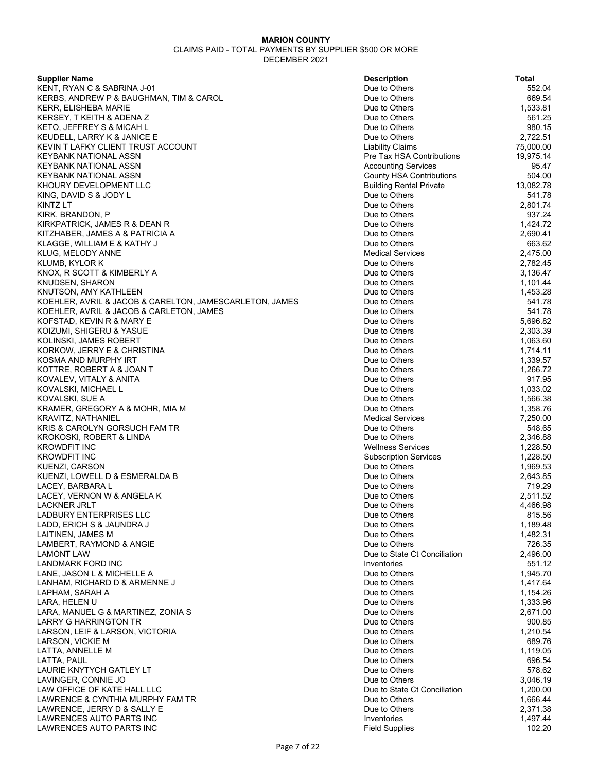| <b>Supplier Name</b>                                    | <b>Description</b>              | <b>Total</b> |
|---------------------------------------------------------|---------------------------------|--------------|
| KENT, RYAN C & SABRINA J-01                             | Due to Others                   | 552.04       |
| KERBS, ANDREW P & BAUGHMAN, TIM & CAROL                 | Due to Others                   | 669.54       |
| <b>KERR. ELISHEBA MARIE</b>                             | Due to Others                   | 1.533.81     |
|                                                         |                                 |              |
| KERSEY, T KEITH & ADENA Z                               | Due to Others                   | 561.25       |
| KETO, JEFFREY S & MICAH L                               | Due to Others                   | 980.15       |
| KEUDELL, LARRY K & JANICE E                             | Due to Others                   | 2,722.51     |
| KEVIN T LAFKY CLIENT TRUST ACCOUNT                      | <b>Liability Claims</b>         | 75,000.00    |
| KEYBANK NATIONAL ASSN                                   | Pre Tax HSA Contributions       | 19,975.14    |
| KEYBANK NATIONAL ASSN                                   | <b>Accounting Services</b>      | 95.47        |
| KEYBANK NATIONAL ASSN                                   | <b>County HSA Contributions</b> | 504.00       |
|                                                         |                                 |              |
| KHOURY DEVELOPMENT LLC                                  | <b>Building Rental Private</b>  | 13,082.78    |
| KING, DAVID S & JODY L                                  | Due to Others                   | 541.78       |
| KINTZ LT                                                | Due to Others                   | 2,801.74     |
| KIRK, BRANDON, P                                        | Due to Others                   | 937.24       |
| KIRKPATRICK, JAMES R & DEAN R                           | Due to Others                   | 1,424.72     |
| KITZHABER, JAMES A & PATRICIA A                         | Due to Others                   | 2,690.41     |
| KLAGGE, WILLIAM E & KATHY J                             | Due to Others                   | 663.62       |
|                                                         |                                 |              |
| KLUG, MELODY ANNE                                       | <b>Medical Services</b>         | 2,475.00     |
| KLUMB, KYLOR K                                          | Due to Others                   | 2,782.45     |
| KNOX, R SCOTT & KIMBERLY A                              | Due to Others                   | 3,136.47     |
| <b>KNUDSEN, SHARON</b>                                  | Due to Others                   | 1,101.44     |
| KNUTSON, AMY KATHLEEN                                   | Due to Others                   | 1,453.28     |
| KOEHLER, AVRIL & JACOB & CARELTON, JAMESCARLETON, JAMES | Due to Others                   | 541.78       |
|                                                         |                                 |              |
| KOEHLER, AVRIL & JACOB & CARLETON, JAMES                | Due to Others                   | 541.78       |
| KOFSTAD, KEVIN R & MARY E                               | Due to Others                   | 5,696.82     |
| KOIZUMI, SHIGERU & YASUE                                | Due to Others                   | 2,303.39     |
| KOLINSKI, JAMES ROBERT                                  | Due to Others                   | 1,063.60     |
| KORKOW, JERRY E & CHRISTINA                             | Due to Others                   | 1,714.11     |
| KOSMA AND MURPHY IRT                                    | Due to Others                   | 1,339.57     |
|                                                         |                                 |              |
| KOTTRE, ROBERT A & JOAN T                               | Due to Others                   | 1,266.72     |
| KOVALEV, VITALY & ANITA                                 | Due to Others                   | 917.95       |
| KOVALSKI, MICHAEL L                                     | Due to Others                   | 1,033.02     |
| KOVALSKI, SUE A                                         | Due to Others                   | 1,566.38     |
| KRAMER, GREGORY A & MOHR, MIA M                         | Due to Others                   | 1,358.76     |
| KRAVITZ, NATHANIEL                                      | <b>Medical Services</b>         | 7,250.00     |
| KRIS & CAROLYN GORSUCH FAM TR                           | Due to Others                   | 548.65       |
|                                                         |                                 |              |
| KROKOSKI, ROBERT & LINDA                                | Due to Others                   | 2,346.88     |
| <b>KROWDFIT INC</b>                                     | <b>Wellness Services</b>        | 1,228.50     |
| <b>KROWDFIT INC</b>                                     | <b>Subscription Services</b>    | 1,228.50     |
| KUENZI, CARSON                                          | Due to Others                   | 1,969.53     |
| KUENZI, LOWELL D & ESMERALDA B                          | Due to Others                   | 2,643.85     |
| LACEY, BARBARA L                                        | Due to Others                   | 719.29       |
|                                                         |                                 |              |
| LACEY, VERNON W & ANGELA K                              | Due to Others                   | 2,511.52     |
| LACKNER JRLT                                            | Due to Others                   | 4,466.98     |
| LADBURY ENTERPRISES LLC                                 | Due to Others                   | 815.56       |
| LADD, ERICH S & JAUNDRA J                               | Due to Others                   | 1,189.48     |
| LAITINEN, JAMES M                                       | Due to Others                   | 1,482.31     |
| LAMBERT, RAYMOND & ANGIE                                | Due to Others                   | 726.35       |
| <b>LAMONT LAW</b>                                       | Due to State Ct Conciliation    | 2,496.00     |
|                                                         |                                 |              |
| LANDMARK FORD INC                                       | Inventories                     | 551.12       |
| LANE, JASON L & MICHELLE A                              | Due to Others                   | 1,945.70     |
| LANHAM, RICHARD D & ARMENNE J                           | Due to Others                   | 1,417.64     |
| LAPHAM, SARAH A                                         | Due to Others                   | 1,154.26     |
| LARA, HELEN U                                           | Due to Others                   | 1,333.96     |
| LARA, MANUEL G & MARTINEZ, ZONIA S                      | Due to Others                   | 2,671.00     |
|                                                         |                                 |              |
| <b>LARRY G HARRINGTON TR</b>                            | Due to Others                   | 900.85       |
| LARSON, LEIF & LARSON, VICTORIA                         | Due to Others                   | 1,210.54     |
| LARSON, VICKIE M                                        | Due to Others                   | 689.76       |
| LATTA, ANNELLE M                                        | Due to Others                   | 1,119.05     |
| LATTA, PAUL                                             | Due to Others                   | 696.54       |
| LAURIE KNYTYCH GATLEY LT                                | Due to Others                   | 578.62       |
|                                                         |                                 |              |
| LAVINGER, CONNIE JO                                     | Due to Others                   | 3,046.19     |
| LAW OFFICE OF KATE HALL LLC                             | Due to State Ct Conciliation    | 1,200.00     |
| LAWRENCE & CYNTHIA MURPHY FAM TR                        | Due to Others                   | 1,666.44     |
| LAWRENCE, JERRY D & SALLY E                             | Due to Others                   | 2,371.38     |
| LAWRENCES AUTO PARTS INC                                | Inventories                     | 1,497.44     |
| LAWRENCES AUTO PARTS INC                                | <b>Field Supplies</b>           | 102.20       |
|                                                         |                                 |              |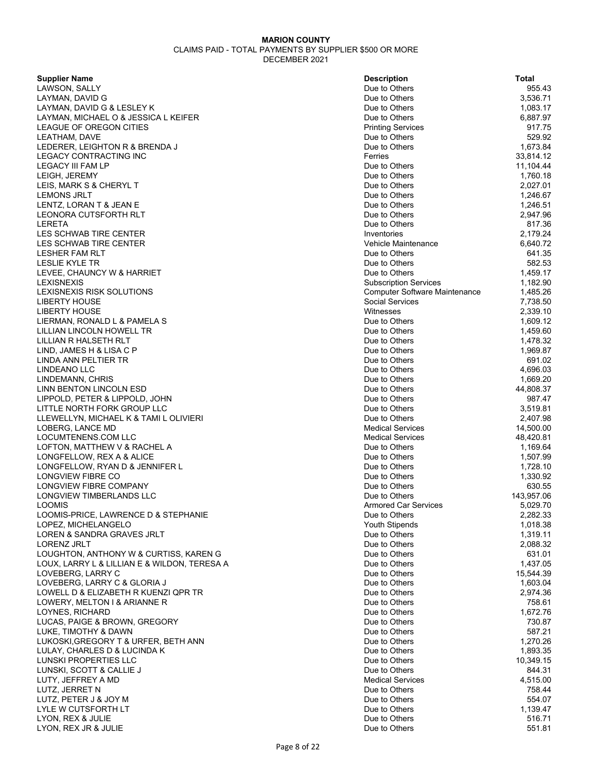| <b>Supplier Name</b>                                  | <b>Description</b>                   | <b>Total</b> |
|-------------------------------------------------------|--------------------------------------|--------------|
| LAWSON, SALLY                                         | Due to Others                        | 955.43       |
| LAYMAN, DAVID G                                       | Due to Others                        | 3,536.71     |
| LAYMAN, DAVID G & LESLEY K                            | Due to Others                        | 1,083.17     |
| LAYMAN, MICHAEL O & JESSICA L KEIFER                  | Due to Others                        | 6,887.97     |
| LEAGUE OF OREGON CITIES                               | <b>Printing Services</b>             | 917.75       |
| LEATHAM, DAVE                                         | Due to Others                        | 529.92       |
| LEDERER, LEIGHTON R & BRENDA J                        | Due to Others                        | 1,673.84     |
| LEGACY CONTRACTING INC                                | Ferries                              | 33,814.12    |
| LEGACY III FAM LP                                     | Due to Others                        | 11,104.44    |
| LEIGH, JEREMY                                         | Due to Others                        | 1,760.18     |
| LEIS, MARK S & CHERYL T                               | Due to Others                        | 2,027.01     |
| <b>LEMONS JRLT</b>                                    | Due to Others                        | 1,246.67     |
| LENTZ, LORAN T & JEAN E                               | Due to Others                        | 1,246.51     |
|                                                       | Due to Others                        |              |
| <b>LEONORA CUTSFORTH RLT</b>                          |                                      | 2,947.96     |
| LERETA                                                | Due to Others                        | 817.36       |
| LES SCHWAB TIRE CENTER                                | Inventories                          | 2,179.24     |
| LES SCHWAB TIRE CENTER                                | Vehicle Maintenance                  | 6,640.72     |
| <b>LESHER FAM RLT</b>                                 | Due to Others                        | 641.35       |
| LESLIE KYLE TR                                        | Due to Others                        | 582.53       |
| LEVEE, CHAUNCY W & HARRIET                            | Due to Others                        | 1,459.17     |
| <b>LEXISNEXIS</b>                                     | <b>Subscription Services</b>         | 1,182.90     |
| LEXISNEXIS RISK SOLUTIONS                             | <b>Computer Software Maintenance</b> | 1,485.26     |
| <b>LIBERTY HOUSE</b>                                  | <b>Social Services</b>               | 7,738.50     |
| <b>LIBERTY HOUSE</b>                                  | Witnesses                            | 2,339.10     |
| LIERMAN, RONALD L & PAMELA S                          | Due to Others                        | 1,609.12     |
| LILLIAN LINCOLN HOWELL TR                             | Due to Others                        | 1,459.60     |
| LILLIAN R HALSETH RLT                                 | Due to Others                        | 1,478.32     |
| LIND, JAMES H & LISA C P                              | Due to Others                        | 1,969.87     |
| LINDA ANN PELTIER TR                                  | Due to Others                        | 691.02       |
| LINDEANO LLC                                          | Due to Others                        | 4,696.03     |
| LINDEMANN, CHRIS                                      | Due to Others                        | 1,669.20     |
| LINN BENTON LINCOLN ESD                               | Due to Others                        | 44,808.37    |
| LIPPOLD, PETER & LIPPOLD, JOHN                        | Due to Others                        | 987.47       |
|                                                       |                                      | 3,519.81     |
| LITTLE NORTH FORK GROUP LLC                           | Due to Others                        |              |
| LLEWELLYN, MICHAEL K & TAMI L OLIVIERI                | Due to Others                        | 2,407.98     |
| LOBERG, LANCE MD                                      | <b>Medical Services</b>              | 14,500.00    |
| LOCUMTENENS.COM LLC                                   | <b>Medical Services</b>              | 48,420.81    |
| LOFTON, MATTHEW V & RACHEL A                          | Due to Others                        | 1,169.64     |
| LONGFELLOW, REX A & ALICE                             | Due to Others                        | 1,507.99     |
| LONGFELLOW, RYAN D & JENNIFER L                       | Due to Others                        | 1,728.10     |
| LONGVIEW FIBRE CO                                     | Due to Others                        | 1,330.92     |
| <b>LONGVIEW FIBRE COMPANY</b>                         | Due to Others                        | 630.55       |
| LONGVIEW TIMBERLANDS LLC                              | Due to Others                        | 143,957.06   |
| <b>LOOMIS</b>                                         | <b>Armored Car Services</b>          | 5,029.70     |
| LOOMIS-PRICE, LAWRENCE D & STEPHANIE                  | Due to Others                        | 2,282.33     |
| LOPEZ, MICHELANGELO                                   | <b>Youth Stipends</b>                | 1,018.38     |
| LOREN & SANDRA GRAVES JRLT                            | Due to Others                        | 1,319.11     |
| <b>LORENZ JRLT</b>                                    | Due to Others                        | 2,088.32     |
| LOUGHTON, ANTHONY W & CURTISS, KAREN G                | Due to Others                        | 631.01       |
| LOUX, LARRY L & LILLIAN E & WILDON, TERESA A          | Due to Others                        | 1,437.05     |
| LOVEBERG, LARRY C                                     | Due to Others                        | 15,544.39    |
| LOVEBERG, LARRY C & GLORIA J                          | Due to Others                        | 1,603.04     |
| LOWELL D & ELIZABETH R KUENZI QPR TR                  | Due to Others                        | 2,974.36     |
| LOWERY, MELTON I & ARIANNE R                          | Due to Others                        | 758.61       |
| LOYNES, RICHARD                                       | Due to Others                        | 1,672.76     |
|                                                       | Due to Others                        | 730.87       |
| LUCAS, PAIGE & BROWN, GREGORY<br>LUKE, TIMOTHY & DAWN |                                      |              |
|                                                       | Due to Others                        | 587.21       |
| LUKOSKI, GREGORY T & URFER, BETH ANN                  | Due to Others                        | 1,270.26     |
| LULAY, CHARLES D & LUCINDA K                          | Due to Others                        | 1,893.35     |
| LUNSKI PROPERTIES LLC                                 | Due to Others                        | 10,349.15    |
| LUNSKI, SCOTT & CALLIE J                              | Due to Others                        | 844.31       |
| LUTY, JEFFREY A MD                                    | <b>Medical Services</b>              | 4,515.00     |
| LUTZ, JERRET N                                        | Due to Others                        | 758.44       |
| LUTZ, PETER J & JOY M                                 | Due to Others                        | 554.07       |
| LYLE W CUTSFORTH LT                                   | Due to Others                        | 1,139.47     |
| LYON, REX & JULIE                                     | Due to Others                        | 516.71       |
| LYON, REX JR & JULIE                                  | Due to Others                        | 551.81       |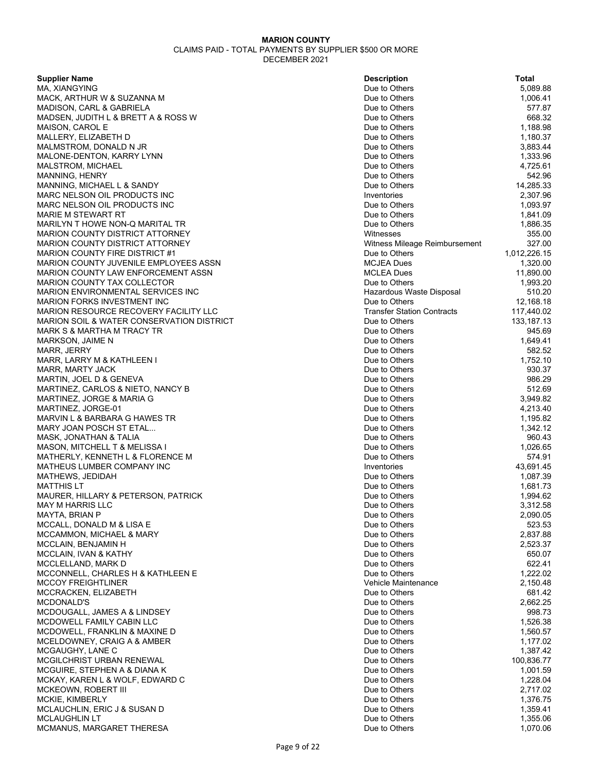| <b>Supplier Name</b>                                 | <b>Description</b>                | <b>Total</b> |
|------------------------------------------------------|-----------------------------------|--------------|
| MA, XIANGYING                                        | Due to Others                     | 5,089.88     |
| MACK, ARTHUR W & SUZANNA M                           | Due to Others                     | 1,006.41     |
| MADISON, CARL & GABRIELA                             | Due to Others                     | 577.87       |
| MADSEN, JUDITH L & BRETT A & ROSS W                  | Due to Others                     | 668.32       |
| MAISON, CAROL E                                      | Due to Others                     | 1,188.98     |
| MALLERY, ELIZABETH D                                 | Due to Others                     | 1,180.37     |
|                                                      |                                   |              |
| MALMSTROM, DONALD N JR                               | Due to Others                     | 3,883.44     |
| MALONE-DENTON, KARRY LYNN                            | Due to Others                     | 1,333.96     |
| MALSTROM, MICHAEL                                    | Due to Others                     | 4,725.61     |
| <b>MANNING, HENRY</b>                                | Due to Others                     | 542.96       |
| MANNING, MICHAEL L & SANDY                           | Due to Others                     | 14,285.33    |
| MARC NELSON OIL PRODUCTS INC                         | Inventories                       | 2,307.96     |
| MARC NELSON OIL PRODUCTS INC                         | Due to Others                     | 1,093.97     |
| <b>MARIE M STEWART RT</b>                            | Due to Others                     | 1,841.09     |
| MARILYN T HOWE NON-Q MARITAL TR                      | Due to Others                     | 1,886.35     |
| <b>MARION COUNTY DISTRICT ATTORNEY</b>               | Witnesses                         | 355.00       |
| <b>MARION COUNTY DISTRICT ATTORNEY</b>               | Witness Mileage Reimbursement     | 327.00       |
| <b>MARION COUNTY FIRE DISTRICT #1</b>                | Due to Others                     | 1,012,226.15 |
| MARION COUNTY JUVENILE EMPLOYEES ASSN                | <b>MCJEA Dues</b>                 | 1,320.00     |
|                                                      |                                   |              |
| <b>MARION COUNTY LAW ENFORCEMENT ASSN</b>            | <b>MCLEA Dues</b>                 | 11,890.00    |
| <b>MARION COUNTY TAX COLLECTOR</b>                   | Due to Others                     | 1,993.20     |
| <b>MARION ENVIRONMENTAL SERVICES INC</b>             | Hazardous Waste Disposal          | 510.20       |
| <b>MARION FORKS INVESTMENT INC</b>                   | Due to Others                     | 12,168.18    |
| MARION RESOURCE RECOVERY FACILITY LLC                | <b>Transfer Station Contracts</b> | 117,440.02   |
| <b>MARION SOIL &amp; WATER CONSERVATION DISTRICT</b> | Due to Others                     | 133, 187. 13 |
| MARK S & MARTHA M TRACY TR                           | Due to Others                     | 945.69       |
| MARKSON, JAIME N                                     | Due to Others                     | 1,649.41     |
| <b>MARR, JERRY</b>                                   | Due to Others                     | 582.52       |
| MARR, LARRY M & KATHLEEN I                           | Due to Others                     | 1,752.10     |
| MARR, MARTY JACK                                     | Due to Others                     | 930.37       |
| MARTIN, JOEL D & GENEVA                              | Due to Others                     | 986.29       |
| MARTINEZ, CARLOS & NIETO, NANCY B                    | Due to Others                     | 512.69       |
|                                                      | Due to Others                     | 3,949.82     |
| MARTINEZ, JORGE & MARIA G                            |                                   |              |
| MARTINEZ, JORGE-01                                   | Due to Others                     | 4,213.40     |
| MARVIN L & BARBARA G HAWES TR                        | Due to Others                     | 1,195.82     |
| MARY JOAN POSCH ST ETAL                              | Due to Others                     | 1,342.12     |
| MASK, JONATHAN & TALIA                               | Due to Others                     | 960.43       |
| MASON, MITCHELL T & MELISSA I                        | Due to Others                     | 1,026.65     |
| MATHERLY, KENNETH L & FLORENCE M                     | Due to Others                     | 574.91       |
| MATHEUS LUMBER COMPANY INC                           | Inventories                       | 43,691.45    |
| MATHEWS, JEDIDAH                                     | Due to Others                     | 1,087.39     |
| <b>MATTHIS LT</b>                                    | Due to Others                     | 1,681.73     |
| MAURER, HILLARY & PETERSON, PATRICK                  | Due to Others                     | 1,994.62     |
| <b>MAY M HARRIS LLC</b>                              | Due to Others                     | 3,312.58     |
| <b>MAYTA, BRIAN P</b>                                | Due to Others                     | 2,090.05     |
| MCCALL, DONALD M & LISA E                            | Due to Others                     | 523.53       |
| MCCAMMON, MICHAEL & MARY                             | Due to Others                     | 2,837.88     |
| MCCLAIN, BENJAMIN H                                  | Due to Others                     | 2,523.37     |
| MCCLAIN, IVAN & KATHY                                | Due to Others                     | 650.07       |
| MCCLELLAND, MARK D                                   | Due to Others                     | 622.41       |
|                                                      |                                   |              |
| MCCONNELL, CHARLES H & KATHLEEN E                    | Due to Others                     | 1,222.02     |
| <b>MCCOY FREIGHTLINER</b>                            | Vehicle Maintenance               | 2,150.48     |
| MCCRACKEN, ELIZABETH                                 | Due to Others                     | 681.42       |
| MCDONALD'S                                           | Due to Others                     | 2,662.25     |
| MCDOUGALL, JAMES A & LINDSEY                         | Due to Others                     | 998.73       |
| MCDOWELL FAMILY CABIN LLC                            | Due to Others                     | 1,526.38     |
| MCDOWELL, FRANKLIN & MAXINE D                        | Due to Others                     | 1,560.57     |
| MCELDOWNEY, CRAIG A & AMBER                          | Due to Others                     | 1,177.02     |
| MCGAUGHY, LANE C                                     | Due to Others                     | 1,387.42     |
| MCGILCHRIST URBAN RENEWAL                            | Due to Others                     | 100,836.77   |
| MCGUIRE, STEPHEN A & DIANA K                         | Due to Others                     | 1,001.59     |
| MCKAY, KAREN L & WOLF, EDWARD C                      | Due to Others                     | 1,228.04     |
| MCKEOWN, ROBERT III                                  | Due to Others                     | 2,717.02     |
| MCKIE, KIMBERLY                                      | Due to Others                     | 1,376.75     |
|                                                      | Due to Others                     | 1,359.41     |
| MCLAUCHLIN, ERIC J & SUSAN D                         |                                   |              |
| <b>MCLAUGHLIN LT</b>                                 | Due to Others                     | 1,355.06     |
| MCMANUS, MARGARET THERESA                            | Due to Others                     | 1,070.06     |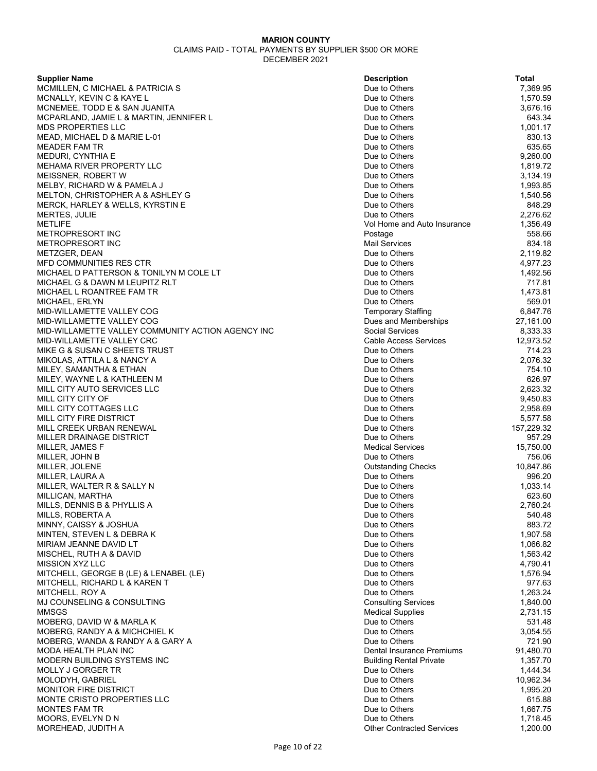| <b>Supplier Name</b>                              | <b>Description</b>               | Total      |
|---------------------------------------------------|----------------------------------|------------|
| MCMILLEN, C MICHAEL & PATRICIA S                  | Due to Others                    | 7,369.95   |
| MCNALLY, KEVIN C & KAYE L                         | Due to Others                    | 1,570.59   |
| MCNEMEE, TODD E & SAN JUANITA                     | Due to Others                    | 3,676.16   |
| MCPARLAND, JAMIE L & MARTIN, JENNIFER L           | Due to Others                    | 643.34     |
| <b>MDS PROPERTIES LLC</b>                         | Due to Others                    | 1.001.17   |
| MEAD, MICHAEL D & MARIE L-01                      | Due to Others                    | 830.13     |
| <b>MEADER FAM TR</b>                              | Due to Others                    | 635.65     |
| MEDURI, CYNTHIA E                                 | Due to Others                    | 9,260.00   |
| MEHAMA RIVER PROPERTY LLC                         | Due to Others                    | 1,819.72   |
| MEISSNER, ROBERT W                                | Due to Others                    | 3,134.19   |
| <b>MELBY, RICHARD W &amp; PAMELA J</b>            | Due to Others                    | 1,993.85   |
| MELTON, CHRISTOPHER A & ASHLEY G                  | Due to Others                    | 1,540.56   |
| <b>MERCK, HARLEY &amp; WELLS, KYRSTIN E</b>       |                                  | 848.29     |
|                                                   | Due to Others                    | 2,276.62   |
| MERTES, JULIE                                     | Due to Others                    |            |
| <b>METLIFE</b>                                    | Vol Home and Auto Insurance      | 1,356.49   |
| METROPRESORT INC                                  | Postage                          | 558.66     |
| METROPRESORT INC                                  | <b>Mail Services</b>             | 834.18     |
| METZGER, DEAN                                     | Due to Others                    | 2,119.82   |
| MFD COMMUNITIES RES CTR                           | Due to Others                    | 4,977.23   |
| MICHAEL D PATTERSON & TONILYN M COLE LT           | Due to Others                    | 1,492.56   |
| MICHAEL G & DAWN M LEUPITZ RLT                    | Due to Others                    | 717.81     |
| MICHAEL L ROANTREE FAM TR                         | Due to Others                    | 1,473.81   |
| MICHAEL, ERLYN                                    | Due to Others                    | 569.01     |
| MID-WILLAMETTE VALLEY COG                         | <b>Temporary Staffing</b>        | 6,847.76   |
| MID-WILLAMETTE VALLEY COG                         | Dues and Memberships             | 27,161.00  |
| MID-WILLAMETTE VALLEY COMMUNITY ACTION AGENCY INC | <b>Social Services</b>           | 8,333.33   |
| MID-WILLAMETTE VALLEY CRC                         | <b>Cable Access Services</b>     | 12,973.52  |
| MIKE G & SUSAN C SHEETS TRUST                     | Due to Others                    | 714.23     |
| MIKOLAS, ATTILA L & NANCY A                       | Due to Others                    | 2,076.32   |
| MILEY, SAMANTHA & ETHAN                           | Due to Others                    | 754.10     |
| MILEY, WAYNE L & KATHLEEN M                       | Due to Others                    | 626.97     |
| MILL CITY AUTO SERVICES LLC                       | Due to Others                    | 2,623.32   |
| MILL CITY CITY OF                                 | Due to Others                    | 9,450.83   |
| MILL CITY COTTAGES LLC                            | Due to Others                    | 2,958.69   |
| MILL CITY FIRE DISTRICT                           | Due to Others                    | 5,577.58   |
|                                                   |                                  |            |
| MILL CREEK URBAN RENEWAL                          | Due to Others                    | 157,229.32 |
| MILLER DRAINAGE DISTRICT                          | Due to Others                    | 957.29     |
| MILLER, JAMES F                                   | <b>Medical Services</b>          | 15,750.00  |
| MILLER, JOHN B                                    | Due to Others                    | 756.06     |
| MILLER, JOLENE                                    | <b>Outstanding Checks</b>        | 10,847.86  |
| MILLER, LAURA A                                   | Due to Others                    | 996.20     |
| MILLER, WALTER R & SALLY N                        | Due to Others                    | 1,033.14   |
| MILLICAN, MARTHA                                  | Due to Others                    | 623.60     |
| MILLS, DENNIS B & PHYLLIS A                       | Due to Others                    | 2,760.24   |
| MILLS, ROBERTA A                                  | Due to Others                    | 540.48     |
| MINNY, CAISSY & JOSHUA                            | Due to Others                    | 883.72     |
| MINTEN, STEVEN L & DEBRA K                        | Due to Others                    | 1,907.58   |
| MIRIAM JEANNE DAVID LT                            | Due to Others                    | 1,066.82   |
| MISCHEL, RUTH A & DAVID                           | Due to Others                    | 1,563.42   |
| MISSION XYZ LLC                                   | Due to Others                    | 4,790.41   |
| MITCHELL, GEORGE B (LE) & LENABEL (LE)            | Due to Others                    | 1,576.94   |
| MITCHELL, RICHARD L & KAREN T                     | Due to Others                    | 977.63     |
| MITCHELL, ROY A                                   | Due to Others                    | 1,263.24   |
| MJ COUNSELING & CONSULTING                        | <b>Consulting Services</b>       | 1,840.00   |
| <b>MMSGS</b>                                      | <b>Medical Supplies</b>          | 2,731.15   |
| MOBERG, DAVID W & MARLA K                         | Due to Others                    | 531.48     |
| MOBERG, RANDY A & MICHCHIEL K                     | Due to Others                    | 3,054.55   |
| MOBERG, WANDA & RANDY A & GARY A                  | Due to Others                    | 721.90     |
| MODA HEALTH PLAN INC                              | Dental Insurance Premiums        | 91,480.70  |
| MODERN BUILDING SYSTEMS INC                       | Building Rental Private          | 1,357.70   |
| <b>MOLLY J GORGER TR</b>                          | Due to Others                    | 1,444.34   |
|                                                   |                                  |            |
| MOLODYH, GABRIEL                                  | Due to Others                    | 10,962.34  |
| <b>MONITOR FIRE DISTRICT</b>                      | Due to Others                    | 1,995.20   |
| <b>MONTE CRISTO PROPERTIES LLC</b>                | Due to Others                    | 615.88     |
| <b>MONTES FAM TR</b>                              | Due to Others                    | 1,667.75   |
| MOORS, EVELYN D N                                 | Due to Others                    | 1,718.45   |
| MOREHEAD, JUDITH A                                | <b>Other Contracted Services</b> | 1,200.00   |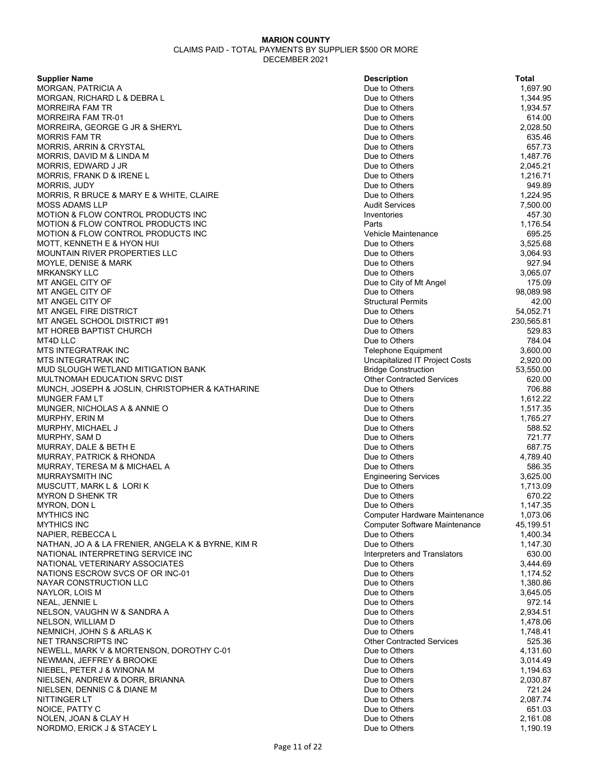| <b>Supplier Name</b>                                                 | <b>Description</b>                                | <b>Total</b>         |
|----------------------------------------------------------------------|---------------------------------------------------|----------------------|
| MORGAN, PATRICIA A                                                   | Due to Others                                     | 1,697.90             |
| MORGAN, RICHARD L & DEBRA L                                          | Due to Others                                     | 1,344.95             |
| <b>MORREIRA FAM TR</b>                                               | Due to Others                                     | 1,934.57             |
| <b>MORREIRA FAM TR-01</b>                                            | Due to Others                                     | 614.00               |
| MORREIRA, GEORGE G JR & SHERYL                                       | Due to Others                                     | 2,028.50             |
| <b>MORRIS FAM TR</b>                                                 | Due to Others                                     | 635.46               |
| <b>MORRIS, ARRIN &amp; CRYSTAL</b>                                   | Due to Others                                     | 657.73               |
| MORRIS, DAVID M & LINDA M                                            | Due to Others                                     | 1,487.76             |
| MORRIS, EDWARD J JR                                                  | Due to Others                                     | 2,045.21             |
| MORRIS, FRANK D & IRENE L                                            | Due to Others                                     | 1,216.71             |
| MORRIS, JUDY                                                         | Due to Others                                     | 949.89               |
| MORRIS, R BRUCE & MARY E & WHITE, CLAIRE                             | Due to Others                                     | 1,224.95             |
| MOSS ADAMS LLP                                                       | <b>Audit Services</b>                             | 7,500.00             |
| <b>MOTION &amp; FLOW CONTROL PRODUCTS INC</b>                        | Inventories                                       | 457.30               |
| <b>MOTION &amp; FLOW CONTROL PRODUCTS INC</b>                        | Parts                                             | 1,176.54             |
| <b>MOTION &amp; FLOW CONTROL PRODUCTS INC</b>                        | Vehicle Maintenance                               | 695.25               |
| MOTT, KENNETH E & HYON HUI                                           | Due to Others                                     | 3,525.68             |
| <b>MOUNTAIN RIVER PROPERTIES LLC</b>                                 | Due to Others                                     | 3,064.93             |
| MOYLE, DENISE & MARK                                                 | Due to Others                                     | 927.94               |
| <b>MRKANSKY LLC</b>                                                  | Due to Others                                     | 3,065.07             |
| MT ANGEL CITY OF                                                     | Due to City of Mt Angel                           | 175.09               |
| MT ANGEL CITY OF                                                     | Due to Others                                     | 98,089.98            |
| MT ANGEL CITY OF                                                     | <b>Structural Permits</b>                         | 42.00                |
| MT ANGEL FIRE DISTRICT                                               | Due to Others                                     | 54,052.71            |
| MT ANGEL SCHOOL DISTRICT #91                                         | Due to Others                                     | 230,565.81           |
| MT HOREB BAPTIST CHURCH                                              | Due to Others                                     | 529.83               |
| MT4D LLC                                                             | Due to Others                                     | 784.04               |
| <b>MTS INTEGRATRAK INC</b>                                           | <b>Telephone Equipment</b>                        | 3,600.00             |
| <b>MTS INTEGRATRAK INC</b>                                           | Uncapitalized IT Project Costs                    | 2,920.00             |
| MUD SLOUGH WETLAND MITIGATION BANK                                   | <b>Bridge Construction</b>                        | 53,550.00            |
| MULTNOMAH EDUCATION SRVC DIST                                        | <b>Other Contracted Services</b>                  | 620.00               |
| MUNCH, JOSEPH & JOSLIN, CHRISTOPHER & KATHARINE                      | Due to Others                                     | 706.88               |
| MUNGER FAM LT                                                        | Due to Others                                     | 1,612.22             |
| MUNGER, NICHOLAS A & ANNIE O                                         | Due to Others                                     | 1,517.35             |
| MURPHY, ERIN M                                                       | Due to Others                                     | 1,765.27             |
| MURPHY, MICHAEL J                                                    | Due to Others                                     | 588.52               |
| MURPHY, SAM D                                                        | Due to Others                                     | 721.77               |
| MURRAY, DALE & BETH E                                                | Due to Others                                     | 687.75               |
| MURRAY, PATRICK & RHONDA                                             | Due to Others                                     | 4,789.40             |
| MURRAY, TERESA M & MICHAEL A                                         | Due to Others                                     | 586.35               |
| MURRAYSMITH INC                                                      | <b>Engineering Services</b>                       | 3,625.00             |
| MUSCUTT, MARK L & LORIK                                              | Due to Others                                     | 1,713.09             |
| <b>MYRON D SHENK TR</b>                                              | Due to Others                                     | 670.22               |
| MYRON, DON L                                                         | Due to Others                                     | 1,147.35             |
| <b>MYTHICS INC</b>                                                   | Computer Hardware Maintenance                     | 1,073.06             |
| <b>MYTHICS INC</b>                                                   | <b>Computer Software Maintenance</b>              | 45,199.51            |
| NAPIER, REBECCA L                                                    | Due to Others                                     | 1,400.34             |
| NATHAN, JO A & LA FRENIER, ANGELA K & BYRNE, KIM R                   | Due to Others                                     | 1,147.30             |
| NATIONAL INTERPRETING SERVICE INC                                    | Interpreters and Translators                      | 630.00               |
| NATIONAL VETERINARY ASSOCIATES                                       | Due to Others                                     | 3,444.69             |
| NATIONS ESCROW SVCS OF OR INC-01                                     | Due to Others                                     | 1,174.52             |
| NAYAR CONSTRUCTION LLC                                               | Due to Others                                     | 1,380.86             |
| NAYLOR. LOIS M                                                       | Due to Others                                     | 3,645.05             |
| NEAL, JENNIE L                                                       | Due to Others                                     | 972.14               |
| NELSON, VAUGHN W & SANDRA A                                          | Due to Others                                     | 2,934.51             |
| NELSON, WILLIAM D                                                    | Due to Others                                     | 1,478.06             |
| NEMNICH, JOHN S & ARLAS K                                            | Due to Others                                     | 1,748.41             |
| NET TRANSCRIPTS INC                                                  | <b>Other Contracted Services</b><br>Due to Others | 525.36               |
| NEWELL, MARK V & MORTENSON, DOROTHY C-01<br>NEWMAN, JEFFREY & BROOKE | Due to Others                                     | 4,131.60             |
|                                                                      |                                                   | 3,014.49             |
| NIEBEL, PETER J & WINONA M<br>NIELSEN, ANDREW & DORR, BRIANNA        | Due to Others<br>Due to Others                    | 1,194.63<br>2,030.87 |
| NIELSEN, DENNIS C & DIANE M                                          | Due to Others                                     | 721.24               |
| NITTINGER LT                                                         | Due to Others                                     | 2,087.74             |
| NOICE, PATTY C                                                       | Due to Others                                     | 651.03               |
| NOLEN, JOAN & CLAY H                                                 | Due to Others                                     | 2,161.08             |
| NORDMO, ERICK J & STACEY L                                           | Due to Others                                     | 1,190.19             |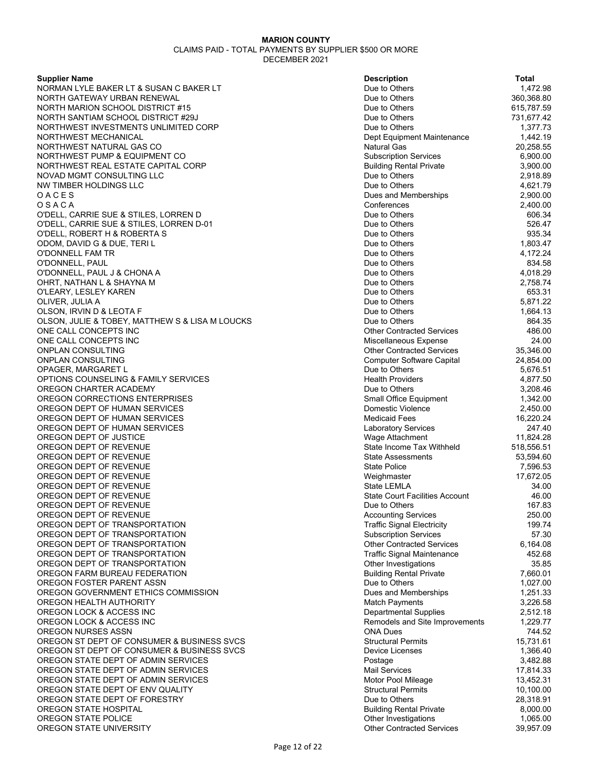**Supplier Name** 

NORMAN LYLE BAKER LT & SUSAN C BAKER LT NORTH GATEWAY URBAN RENEWAL NORTH MARION SCHOOL DISTRICT #15 NORTH SANTIAM SCHOOL DISTRICT #29J NORTHWEST INVESTMENTS UNLIMITED CORP NORTHWEST MECHANICAL NORTHWEST NATURAL GAS CO NORTHWEST PUMP & EQUIPMENT CO NORTHWEST REAL ESTATE CAPITAL CORP NOVAD MGMT CONSULTING LLC NW TIMBER HOLDINGS LLC O A C E S Dues and Memberships 2,900.00 O S A C A Conferences 2,400.00 O'DELL, CARRIE SUE & STILES, LORREN D O'DELL, CARRIE SUE & STILES, LORREN D-01 O'DELL, ROBERT H & ROBERTA S ODOM, DAVID G & DUE, TERI L O'DONNELL FAM TR O'DONNELL, PAUL O'DONNELL, PAUL J & CHONA A OHRT, NATHAN L & SHAYNA M O'LEARY, LESLEY KAREN OLIVER, JULIA A OLSON, IRVIN D & LEOTA F OLSON, JULIE & TOBEY, MATTHEW S & LISA M LOUCKS ONE CALL CONCEPTS INC ONE CALL CONCEPTS INC ONPLAN CONSULTING ONPLAN CONSULTING OPAGER, MARGARET L OPTIONS COUNSELING & FAMILY SERVICES OREGON CHARTER ACADEMY OREGON CORRECTIONS ENTERPRISES OREGON DEPT OF HUMAN SERVICES OREGON DEPT OF HUMAN SERVICES OREGON DEPT OF HUMAN SERVICES OREGON DEPT OF JUSTICE OREGON DEPT OF REVENUE OREGON DEPT OF REVENUE OREGON DEPT OF REVENUE OREGON DEPT OF REVENUE OREGON DEPT OF REVENUE OREGON DEPT OF REVENUE OREGON DEPT OF REVENUE OREGON DEPT OF REVENUE OREGON DEPT OF TRANSPORTATION OREGON DEPT OF TRANSPORTATION OREGON DEPT OF TRANSPORTATION OREGON DEPT OF TRANSPORTATION OREGON DEPT OF TRANSPORTATION OREGON FARM BUREAU FEDERATION OREGON FOSTER PARENT ASSN OREGON GOVERNMENT ETHICS COMMISSION OREGON HEALTH AUTHORITY OREGON LOCK & ACCESS INC OREGON LOCK & ACCESS INC OREGON NURSES ASSN OREGON ST DEPT OF CONSUMER & BUSINESS SVCS OREGON ST DEPT OF CONSUMER & BUSINESS SVCS OREGON STATE DEPT OF ADMIN SERVICES OREGON STATE DEPT OF ADMIN SERVICES OREGON STATE DEPT OF ADMIN SERVICES OREGON STATE DEPT OF ENV QUALITY OREGON STATE DEPT OF FORESTRY OREGON STATE HOSPITAL OREGON STATE POLICE OREGON STATE UNIVERSITY

| <b>Description</b>                                                | Total                |
|-------------------------------------------------------------------|----------------------|
| Due to Others                                                     | 1,472.98             |
| Due to Others                                                     | 360,368.80           |
| Due to Others                                                     | 615,787.59           |
| Due to Others                                                     | 731,677.42           |
| Due to Others                                                     | 1,377.73             |
| Dept Equipment Maintenance                                        | 1,442.19             |
| <b>Natural Gas</b>                                                | 20,258.55            |
| <b>Subscription Services</b>                                      | 6,900.00             |
| <b>Building Rental Private</b><br>Due to Others                   | 3,900.00<br>2,918.89 |
| Due to Others                                                     | 4,621.79             |
| Dues and Memberships                                              | 2,900.00             |
| Conferences                                                       | 2,400.00             |
| Due to Others                                                     | 606.34               |
| Due to Others                                                     | 526.47               |
| Due to Others                                                     | 935.34               |
| Due to Others                                                     | 1,803.47             |
| Due to Others                                                     | 4,172.24             |
| Due to Others                                                     | 834.58               |
| Due to Others                                                     | 4.018.29             |
| Due to Others                                                     | 2,758.74             |
| Due to Others                                                     | 653.31               |
| Due to Others                                                     | 5,871.22             |
| Due to Others                                                     | 1,664.13             |
| Due to Others                                                     | 864.35               |
| <b>Other Contracted Services</b>                                  | 486.00               |
| Miscellaneous Expense                                             | 24.00                |
| <b>Other Contracted Services</b>                                  | 35.346.00            |
| <b>Computer Software Capital</b>                                  | 24,854.00            |
| Due to Others                                                     | 5,676.51             |
| <b>Health Providers</b>                                           | 4,877.50             |
| Due to Others                                                     | 3,208.46             |
| Small Office Equipment                                            | 1,342.00             |
| Domestic Violence                                                 | 2,450.00             |
| <b>Medicaid Fees</b>                                              | 16,220.24            |
| <b>Laboratory Services</b>                                        | 247.40               |
| Wage Attachment                                                   | 11,824.28            |
| State Income Tax Withheld                                         | 518,556.51           |
| <b>State Assessments</b>                                          | 53,594.60            |
| State Police                                                      | 7,596.53             |
| Weighmaster                                                       | 17,672.05            |
| <b>State LEMLA</b>                                                | 34.00                |
| <b>State Court Facilities Account</b>                             | 46.00                |
| Due to Others<br><b>Accounting Services</b>                       | 167.83               |
|                                                                   | 250.00<br>199.74     |
| <b>Traffic Signal Electricity</b><br><b>Subscription Services</b> | 57.30                |
| <b>Other Contracted Services</b>                                  | 6,164.08             |
| <b>Traffic Signal Maintenance</b>                                 | 452.68               |
| Other Investigations                                              | 35.85                |
| <b>Building Rental Private</b>                                    | 7,660.01             |
| Due to Others                                                     | 1,027.00             |
| Dues and Memberships                                              | 1,251.33             |
| <b>Match Payments</b>                                             | 3,226.58             |
| <b>Departmental Supplies</b>                                      | 2,512.18             |
| Remodels and Site Improvements                                    | 1,229.77             |
| ONA Dues                                                          | 744.52               |
| <b>Structural Permits</b>                                         | 15,731.61            |
| Device Licenses                                                   | 1,366.40             |
| Postage                                                           | 3,482.88             |
| <b>Mail Services</b>                                              | 17,814.33            |
| Motor Pool Mileage                                                | 13,452.31            |
| <b>Structural Permits</b>                                         | 10,100.00            |
| Due to Others                                                     | 28,318.91            |
| <b>Building Rental Private</b>                                    | 8,000.00             |
| Other Investigations                                              | 1,065.00             |
| <b>Other Contracted Services</b>                                  | 39,957.09            |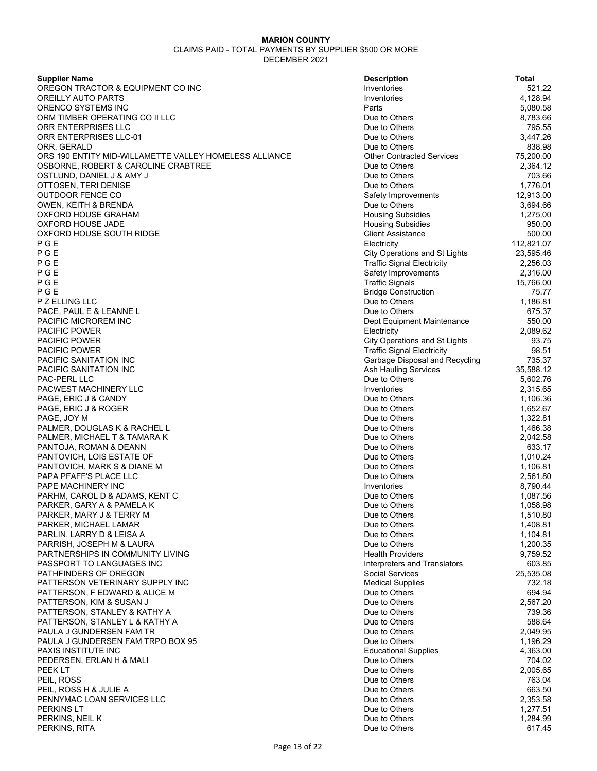| <b>Supplier Name</b>                                   | <b>Description</b>                   | Total      |
|--------------------------------------------------------|--------------------------------------|------------|
| OREGON TRACTOR & EQUIPMENT CO INC                      | Inventories                          | 521.22     |
| OREILLY AUTO PARTS                                     | Inventories                          | 4,128.94   |
| ORENCO SYSTEMS INC                                     | Parts                                | 5,080.58   |
| ORM TIMBER OPERATING CO II LLC                         | Due to Others                        | 8,783.66   |
| ORR ENTERPRISES LLC                                    | Due to Others                        | 795.55     |
| ORR ENTERPRISES LLC-01                                 | Due to Others                        | 3,447.26   |
| ORR, GERALD                                            | Due to Others                        | 838.98     |
| ORS 190 ENTITY MID-WILLAMETTE VALLEY HOMELESS ALLIANCE | <b>Other Contracted Services</b>     | 75,200.00  |
| OSBORNE, ROBERT & CAROLINE CRABTREE                    | Due to Others                        | 2,364.12   |
| OSTLUND, DANIEL J & AMY J                              | Due to Others                        | 703.66     |
| OTTOSEN, TERI DENISE                                   | Due to Others                        | 1,776.01   |
| OUTDOOR FENCE CO                                       | Safety Improvements                  | 12,913.00  |
| OWEN, KEITH & BRENDA                                   | Due to Others                        | 3,694.66   |
| OXFORD HOUSE GRAHAM                                    | <b>Housing Subsidies</b>             | 1,275.00   |
| OXFORD HOUSE JADE                                      | <b>Housing Subsidies</b>             | 950.00     |
| OXFORD HOUSE SOUTH RIDGE                               | <b>Client Assistance</b>             | 500.00     |
| PGE                                                    | Electricity                          | 112,821.07 |
| PGE                                                    | <b>City Operations and St Lights</b> | 23,595.46  |
| PGE                                                    | <b>Traffic Signal Electricity</b>    | 2,256.03   |
| PGE                                                    | Safety Improvements                  | 2,316.00   |
| PGE                                                    | <b>Traffic Signals</b>               | 15,766.00  |
| PGE                                                    | <b>Bridge Construction</b>           | 75.77      |
| P Z ELLING LLC                                         | Due to Others                        | 1,186.81   |
| PACE, PAUL E & LEANNE L                                | Due to Others                        | 675.37     |
| PACIFIC MICROREM INC                                   | Dept Equipment Maintenance           | 550.00     |
| <b>PACIFIC POWER</b>                                   | Electricity                          | 2,089.62   |
| PACIFIC POWER                                          | <b>City Operations and St Lights</b> | 93.75      |
| <b>PACIFIC POWER</b>                                   | <b>Traffic Signal Electricity</b>    | 98.51      |
| PACIFIC SANITATION INC                                 | Garbage Disposal and Recycling       | 735.37     |
| PACIFIC SANITATION INC                                 | Ash Hauling Services                 | 35,588.12  |
| PAC-PERL LLC                                           | Due to Others                        | 5,602.76   |
| PACWEST MACHINERY LLC                                  | Inventories                          | 2,315.65   |
| PAGE, ERIC J & CANDY                                   | Due to Others                        | 1,106.36   |
| PAGE, ERIC J & ROGER                                   | Due to Others                        | 1,652.67   |
| PAGE, JOY M                                            | Due to Others                        | 1,322.81   |
| PALMER, DOUGLAS K & RACHEL L                           | Due to Others                        | 1,466.38   |
| PALMER, MICHAEL T & TAMARA K                           | Due to Others                        | 2,042.58   |
| PANTOJA, ROMAN & DEANN                                 | Due to Others                        | 633.17     |
| PANTOVICH, LOIS ESTATE OF                              | Due to Others                        | 1,010.24   |
| PANTOVICH, MARK S & DIANE M                            | Due to Others                        | 1,106.81   |
| PAPA PFAFF'S PLACE LLC                                 | Due to Others                        | 2,561.80   |
| PAPE MACHINERY INC                                     | Inventories                          | 8,790.44   |
| PARHM, CAROL D & ADAMS, KENT C                         | Due to Others                        | 1,087.56   |
| PARKER, GARY A & PAMELA K                              | Due to Others                        | 1,058.98   |
| PARKER, MARY J & TERRY M                               | Due to Others                        | 1,510.80   |
| PARKER, MICHAEL LAMAR                                  | Due to Others                        | 1,408.81   |
| PARLIN, LARRY D & LEISA A                              | Due to Others                        | 1,104.81   |
| PARRISH, JOSEPH M & LAURA                              | Due to Others                        | 1,200.35   |
| PARTNERSHIPS IN COMMUNITY LIVING                       | <b>Health Providers</b>              | 9,759.52   |
| PASSPORT TO LANGUAGES INC                              | Interpreters and Translators         | 603.85     |
| PATHFINDERS OF OREGON                                  | Social Services                      | 25,535.08  |
| PATTERSON VETERINARY SUPPLY INC                        | <b>Medical Supplies</b>              | 732.18     |
| PATTERSON, F EDWARD & ALICE M                          | Due to Others                        | 694.94     |
| PATTERSON, KIM & SUSAN J                               | Due to Others                        | 2,567.20   |
| PATTERSON, STANLEY & KATHY A                           | Due to Others                        | 739.36     |
| PATTERSON, STANLEY L & KATHY A                         | Due to Others                        | 588.64     |
| PAULA J GUNDERSEN FAM TR                               | Due to Others                        | 2,049.95   |
| PAULA J GUNDERSEN FAM TRPO BOX 95                      | Due to Others                        | 1,196.29   |
| PAXIS INSTITUTE INC                                    | <b>Educational Supplies</b>          | 4,363.00   |
| PEDERSEN, ERLAN H & MALI                               | Due to Others                        | 704.02     |
| PEEK LT                                                | Due to Others                        | 2,005.65   |
| PEIL, ROSS                                             | Due to Others                        | 763.04     |
| PEIL, ROSS H & JULIE A                                 | Due to Others                        | 663.50     |
| PENNYMAC LOAN SERVICES LLC                             | Due to Others                        | 2,353.58   |
| <b>PERKINS LT</b>                                      | Due to Others                        | 1,277.51   |
| PERKINS, NEIL K                                        | Due to Others                        | 1,284.99   |
| PERKINS, RITA                                          | Due to Others                        | 617.45     |

| Description                          | ı olal     |
|--------------------------------------|------------|
| Inventories                          | 521.22     |
| Inventories                          | 4,128.94   |
| Parts                                | 5,080.58   |
| Due to Others                        | 8,783.66   |
|                                      |            |
| Due to Others                        | 795.55     |
| Due to Others                        | 3,447.26   |
| Due to Others                        | 838.98     |
| <b>Other Contracted Services</b>     | 75,200.00  |
| Due to Others                        | 2,364.12   |
|                                      |            |
| Due to Others                        | 703.66     |
| Due to Others                        | 1,776.01   |
| Safety Improvements                  | 12,913.00  |
| Due to Others                        | 3,694.66   |
| <b>Housing Subsidies</b>             | 1,275.00   |
|                                      |            |
| <b>Housing Subsidies</b>             | 950.00     |
| <b>Client Assistance</b>             | 500.00     |
| Electricity                          | 112,821.07 |
| <b>City Operations and St Lights</b> | 23,595.46  |
| <b>Traffic Signal Electricity</b>    | 2,256.03   |
|                                      |            |
| Safety Improvements                  | 2,316.00   |
| <b>Traffic Signals</b>               | 15,766.00  |
| <b>Bridge Construction</b>           | 75.77      |
| Due to Others                        | 1,186.81   |
| Due to Others                        | 675.37     |
|                                      |            |
| Dept Equipment Maintenance           | 550.00     |
| Electricity                          | 2,089.62   |
| <b>City Operations and St Lights</b> | 93.75      |
| <b>Traffic Signal Electricity</b>    | 98.51      |
|                                      |            |
| Garbage Disposal and Recycling       | 735.37     |
| <b>Ash Hauling Services</b>          | 35,588.12  |
| Due to Others                        | 5,602.76   |
| Inventories                          | 2,315.65   |
| Due to Others                        | 1,106.36   |
|                                      |            |
| Due to Others                        | 1,652.67   |
| Due to Others                        | 1,322.81   |
| Due to Others                        | 1,466.38   |
| Due to Others                        | 2,042.58   |
| Due to Others                        | 633.17     |
|                                      |            |
| Due to Others                        | 1,010.24   |
| Due to Others                        | 1,106.81   |
| Due to Others                        | 2,561.80   |
| Inventories                          | 8,790.44   |
| Due to Others                        | 1,087.56   |
|                                      |            |
| Due to Others                        | 1,058.98   |
| Due to Others                        | 1,510.80   |
| Due to Others                        | 1,408.81   |
| Due to Others                        | 1,104.81   |
| Due to Others                        | 1,200.35   |
|                                      |            |
| <b>Health Providers</b>              | 9,759.52   |
| Interpreters and Translators         | 603.85     |
| <b>Social Services</b>               | 25,535.08  |
| <b>Medical Supplies</b>              | 732.18     |
|                                      |            |
| Due to Others                        | 694.94     |
| Due to Others                        | 2,567.20   |
| Due to Others                        | 739.36     |
| Due to Others                        | 588.64     |
| Due to Others                        | 2,049.95   |
|                                      |            |
| Due to Others                        | 1,196.29   |
| <b>Educational Supplies</b>          | 4,363.00   |
| Due to Others                        | 704.02     |
| Due to Others                        | 2,005.65   |
|                                      |            |
| Due to Others                        | 763.04     |
| Due to Others                        | 663.50     |
| Due to Others                        | 2,353.58   |
| Due to Others                        | 1,277.51   |
| Due to Others                        | 1,284.99   |
| Due to Others                        | 617.45     |
|                                      |            |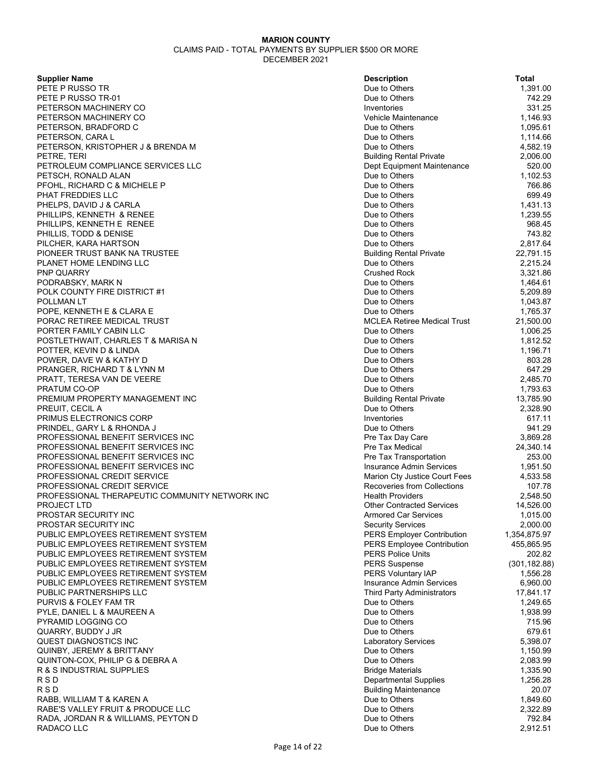| <b>Supplier Name</b>                           | <b>Description</b>                 | Total         |
|------------------------------------------------|------------------------------------|---------------|
| PETE P RUSSO TR                                | Due to Others                      | 1,391.00      |
| PETE P RUSSO TR-01                             | Due to Others                      | 742.29        |
| PETERSON MACHINERY CO                          | Inventories                        | 331.25        |
| PETERSON MACHINERY CO                          | Vehicle Maintenance                | 1,146.93      |
| PETERSON, BRADFORD C                           | Due to Others                      | 1,095.61      |
| PETERSON, CARA L                               | Due to Others                      | 1,114.66      |
| PETERSON, KRISTOPHER J & BRENDA M              | Due to Others                      | 4,582.19      |
| PETRE, TERI                                    | <b>Building Rental Private</b>     | 2,006.00      |
| PETROLEUM COMPLIANCE SERVICES LLC              | Dept Equipment Maintenance         | 520.00        |
| PETSCH, RONALD ALAN                            | Due to Others                      | 1,102.53      |
| PFOHL, RICHARD C & MICHELE P                   | Due to Others                      | 766.86        |
| PHAT FREDDIES LLC                              | Due to Others                      | 699.49        |
| PHELPS, DAVID J & CARLA                        | Due to Others                      | 1,431.13      |
| PHILLIPS, KENNETH & RENEE                      | Due to Others                      | 1,239.55      |
| PHILLIPS, KENNETH E RENEE                      | Due to Others                      | 968.45        |
|                                                | Due to Others                      | 743.82        |
| PHILLIS, TODD & DENISE                         |                                    | 2,817.64      |
| PILCHER, KARA HARTSON                          | Due to Others                      |               |
| PIONEER TRUST BANK NA TRUSTEE                  | <b>Building Rental Private</b>     | 22,791.15     |
| PLANET HOME LENDING LLC                        | Due to Others                      | 2,215.24      |
| PNP QUARRY                                     | <b>Crushed Rock</b>                | 3,321.86      |
| PODRABSKY, MARK N                              | Due to Others                      | 1,464.61      |
| POLK COUNTY FIRE DISTRICT #1                   | Due to Others                      | 5,209.89      |
| <b>POLLMAN LT</b>                              | Due to Others                      | 1,043.87      |
| POPE, KENNETH E & CLARA E                      | Due to Others                      | 1,765.37      |
| PORAC RETIREE MEDICAL TRUST                    | <b>MCLEA Retiree Medical Trust</b> | 21,500.00     |
| PORTER FAMILY CABIN LLC                        | Due to Others                      | 1,006.25      |
| POSTLETHWAIT, CHARLES T & MARISA N             | Due to Others                      | 1,812.52      |
| POTTER, KEVIN D & LINDA                        | Due to Others                      | 1,196.71      |
| POWER, DAVE W & KATHY D                        | Due to Others                      | 803.28        |
| PRANGER, RICHARD T & LYNN M                    | Due to Others                      | 647.29        |
| PRATT, TERESA VAN DE VEERE                     | Due to Others                      | 2,485.70      |
| PRATUM CO-OP                                   | Due to Others                      | 1,793.63      |
| PREMIUM PROPERTY MANAGEMENT INC                | <b>Building Rental Private</b>     | 13,785.90     |
| PREUIT, CECIL A                                | Due to Others                      | 2,328.90      |
| PRIMUS ELECTRONICS CORP                        | Inventories                        | 617.11        |
| PRINDEL, GARY L & RHONDA J                     | Due to Others                      | 941.29        |
| PROFESSIONAL BENEFIT SERVICES INC              | Pre Tax Day Care                   | 3,869.28      |
| PROFESSIONAL BENEFIT SERVICES INC              | <b>Pre Tax Medical</b>             | 24,340.14     |
| PROFESSIONAL BENEFIT SERVICES INC              | Pre Tax Transportation             | 253.00        |
| PROFESSIONAL BENEFIT SERVICES INC              | Insurance Admin Services           | 1,951.50      |
| PROFESSIONAL CREDIT SERVICE                    | Marion Cty Justice Court Fees      | 4,533.58      |
| PROFESSIONAL CREDIT SERVICE                    | Recoveries from Collections        | 107.78        |
|                                                | <b>Health Providers</b>            |               |
| PROFESSIONAL THERAPEUTIC COMMUNITY NETWORK INC |                                    | 2,548.50      |
| <b>PROJECT LTD</b>                             | <b>Other Contracted Services</b>   | 14,526.00     |
| PROSTAR SECURITY INC                           | Armored Car Services               | 1,015.00      |
| PROSTAR SECURITY INC                           | <b>Security Services</b>           | 2,000.00      |
| PUBLIC EMPLOYEES RETIREMENT SYSTEM             | <b>PERS Employer Contribution</b>  | 1,354,875.97  |
| PUBLIC EMPLOYEES RETIREMENT SYSTEM             | <b>PERS Employee Contribution</b>  | 455,865.95    |
| PUBLIC EMPLOYEES RETIREMENT SYSTEM             | <b>PERS Police Units</b>           | 202.82        |
| PUBLIC EMPLOYEES RETIREMENT SYSTEM             | <b>PERS Suspense</b>               | (301, 182.88) |
| PUBLIC EMPLOYEES RETIREMENT SYSTEM             | PERS Voluntary IAP                 | 1,556.28      |
| PUBLIC EMPLOYEES RETIREMENT SYSTEM             | <b>Insurance Admin Services</b>    | 6,960.00      |
| PUBLIC PARTNERSHIPS LLC                        | <b>Third Party Administrators</b>  | 17,841.17     |
| PURVIS & FOLEY FAM TR                          | Due to Others                      | 1,249.65      |
| PYLE, DANIEL L & MAUREEN A                     | Due to Others                      | 1,938.99      |
| PYRAMID LOGGING CO                             | Due to Others                      | 715.96        |
| QUARRY, BUDDY J JR                             | Due to Others                      | 679.61        |
| QUEST DIAGNOSTICS INC                          | <b>Laboratory Services</b>         | 5,398.07      |
| QUINBY, JEREMY & BRITTANY                      | Due to Others                      | 1,150.99      |
| QUINTON-COX, PHILIP G & DEBRA A                | Due to Others                      | 2,083.99      |
| R & S INDUSTRIAL SUPPLIES                      | <b>Bridge Materials</b>            | 1,335.90      |
| R S D                                          | <b>Departmental Supplies</b>       | 1,256.28      |
| <b>RSD</b>                                     | <b>Building Maintenance</b>        | 20.07         |
| RABB, WILLIAM T & KAREN A                      | Due to Others                      | 1,849.60      |
| RABE'S VALLEY FRUIT & PRODUCE LLC              | Due to Others                      | 2,322.89      |
| RADA, JORDAN R & WILLIAMS, PEYTON D            | Due to Others                      | 792.84        |
| RADACO LLC                                     | Due to Others                      | 2,912.51      |
|                                                |                                    |               |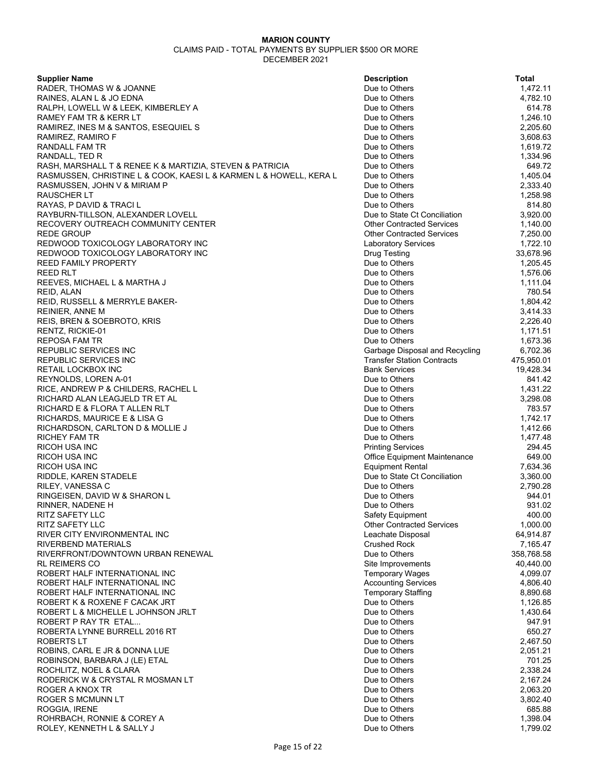| <b>Supplier Name</b>                                                    | <b>Description</b>                                               | Total                |
|-------------------------------------------------------------------------|------------------------------------------------------------------|----------------------|
| RADER, THOMAS W & JOANNE                                                | Due to Others                                                    | 1,472.11             |
| RAINES, ALAN L & JO EDNA                                                | Due to Others                                                    | 4,782.10             |
| RALPH, LOWELL W & LEEK, KIMBERLEY A                                     | Due to Others                                                    | 614.78               |
| RAMEY FAM TR & KERR LT                                                  | Due to Others                                                    | 1,246.10             |
| RAMIREZ, INES M & SANTOS, ESEQUIEL S                                    | Due to Others                                                    | 2,205.60             |
| RAMIREZ, RAMIRO F                                                       | Due to Others                                                    | 3,608.63             |
| RANDALL FAM TR                                                          | Due to Others                                                    | 1,619.72             |
| RANDALL, TED R                                                          | Due to Others                                                    | 1,334.96             |
| RASH, MARSHALL T & RENEE K & MARTIZIA, STEVEN & PATRICIA                | Due to Others                                                    | 649.72               |
| RASMUSSEN, CHRISTINE L & COOK, KAESI L & KARMEN L & HOWELL, KERA L      | Due to Others                                                    | 1,405.04             |
| RASMUSSEN, JOHN V & MIRIAM P                                            | Due to Others                                                    | 2,333.40             |
| <b>RAUSCHER LT</b>                                                      | Due to Others                                                    | 1,258.98             |
| RAYAS, P DAVID & TRACI L                                                | Due to Others                                                    | 814.80               |
| RAYBURN-TILLSON, ALEXANDER LOVELL<br>RECOVERY OUTREACH COMMUNITY CENTER | Due to State Ct Conciliation<br><b>Other Contracted Services</b> | 3,920.00<br>1,140.00 |
| REDE GROUP                                                              | <b>Other Contracted Services</b>                                 | 7,250.00             |
| REDWOOD TOXICOLOGY LABORATORY INC                                       | <b>Laboratory Services</b>                                       | 1,722.10             |
| REDWOOD TOXICOLOGY LABORATORY INC                                       | <b>Drug Testing</b>                                              | 33,678.96            |
| <b>REED FAMILY PROPERTY</b>                                             | Due to Others                                                    | 1,205.45             |
| <b>REED RLT</b>                                                         | Due to Others                                                    | 1,576.06             |
| REEVES, MICHAEL L & MARTHA J                                            | Due to Others                                                    | 1,111.04             |
| REID, ALAN                                                              | Due to Others                                                    | 780.54               |
| REID, RUSSELL & MERRYLE BAKER-                                          | Due to Others                                                    | 1,804.42             |
| <b>REINIER, ANNE M</b>                                                  | Due to Others                                                    | 3,414.33             |
| REIS, BREN & SOEBROTO, KRIS                                             | Due to Others                                                    | 2,226.40             |
| RENTZ, RICKIE-01                                                        | Due to Others                                                    | 1,171.51             |
| REPOSA FAM TR                                                           | Due to Others                                                    | 1,673.36             |
| <b>REPUBLIC SERVICES INC</b>                                            | Garbage Disposal and Recycling                                   | 6,702.36             |
| REPUBLIC SERVICES INC                                                   | <b>Transfer Station Contracts</b>                                | 475,950.01           |
| <b>RETAIL LOCKBOX INC</b>                                               | <b>Bank Services</b>                                             | 19,428.34            |
| REYNOLDS, LOREN A-01                                                    | Due to Others                                                    | 841.42               |
| RICE, ANDREW P & CHILDERS, RACHEL L                                     | Due to Others                                                    | 1,431.22             |
| RICHARD ALAN LEAGJELD TR ET AL                                          | Due to Others                                                    | 3,298.08             |
| RICHARD E & FLORA T ALLEN RLT                                           | Due to Others                                                    | 783.57               |
| RICHARDS, MAURICE E & LISA G                                            | Due to Others<br>Due to Others                                   | 1,742.17<br>1,412.66 |
| RICHARDSON, CARLTON D & MOLLIE J<br><b>RICHEY FAM TR</b>                | Due to Others                                                    | 1,477.48             |
| RICOH USA INC                                                           | <b>Printing Services</b>                                         | 294.45               |
| <b>RICOH USA INC</b>                                                    | <b>Office Equipment Maintenance</b>                              | 649.00               |
| RICOH USA INC                                                           | <b>Equipment Rental</b>                                          | 7,634.36             |
| RIDDLE, KAREN STADELE                                                   | Due to State Ct Conciliation                                     | 3,360.00             |
| RILEY, VANESSA C                                                        | Due to Others                                                    | 2,790.28             |
| RINGEISEN, DAVID W & SHARON L                                           | Due to Others                                                    | 944.01               |
| RINNER, NADENE H                                                        | Due to Others                                                    | 931.02               |
| <b>RITZ SAFETY LLC</b>                                                  | Safety Equipment                                                 | 400.00               |
| <b>RITZ SAFETY LLC</b>                                                  | <b>Other Contracted Services</b>                                 | 1,000.00             |
| RIVER CITY ENVIRONMENTAL INC                                            | Leachate Disposal                                                | 64,914.87            |
| <b>RIVERBEND MATERIALS</b>                                              | <b>Crushed Rock</b>                                              | 7,165.47             |
| RIVERFRONT/DOWNTOWN URBAN RENEWAL                                       | Due to Others                                                    | 358,768.58           |
| <b>RL REIMERS CO</b>                                                    | Site Improvements                                                | 40,440.00            |
| ROBERT HALF INTERNATIONAL INC                                           | <b>Temporary Wages</b>                                           | 4,099.07             |
| ROBERT HALF INTERNATIONAL INC                                           | <b>Accounting Services</b>                                       | 4,806.40             |
| ROBERT HALF INTERNATIONAL INC<br>ROBERT K & ROXENE F CACAK JRT          | <b>Temporary Staffing</b><br>Due to Others                       | 8,890.68<br>1,126.85 |
| ROBERT L & MICHELLE L JOHNSON JRLT                                      | Due to Others                                                    | 1,430.64             |
| ROBERT P RAY TR ETAL                                                    | Due to Others                                                    | 947.91               |
| ROBERTA LYNNE BURRELL 2016 RT                                           | Due to Others                                                    | 650.27               |
| ROBERTS LT                                                              | Due to Others                                                    | 2,467.50             |
| ROBINS, CARL E JR & DONNA LUE                                           | Due to Others                                                    | 2,051.21             |
| ROBINSON, BARBARA J (LE) ETAL                                           | Due to Others                                                    | 701.25               |
| ROCHLITZ, NOEL & CLARA                                                  | Due to Others                                                    | 2,338.24             |
| RODERICK W & CRYSTAL R MOSMAN LT                                        | Due to Others                                                    | 2,167.24             |
| ROGER A KNOX TR                                                         | Due to Others                                                    | 2,063.20             |
| ROGER S MCMUNN LT                                                       | Due to Others                                                    | 3,802.40             |
| ROGGIA, IRENE                                                           | Due to Others                                                    | 685.88               |
| ROHRBACH, RONNIE & COREY A                                              | Due to Others                                                    | 1,398.04             |
| ROLEY, KENNETH L & SALLY J                                              | Due to Others                                                    | 1,799.02             |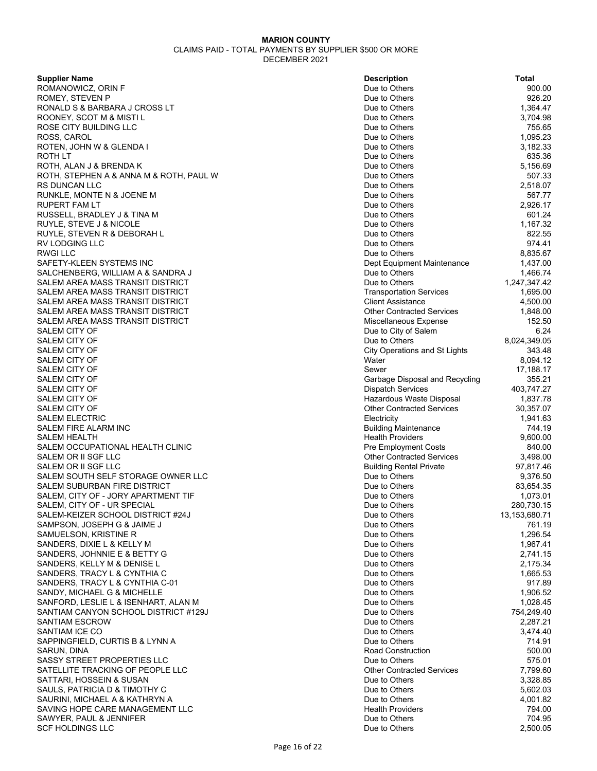| <b>Supplier Name</b>                             | <b>Description</b>                                     | <b>Total</b>       |
|--------------------------------------------------|--------------------------------------------------------|--------------------|
| ROMANOWICZ, ORIN F                               | Due to Others                                          | 900.00             |
| ROMEY, STEVEN P                                  | Due to Others                                          | 926.20             |
| RONALD S & BARBARA J CROSS LT                    | Due to Others                                          | 1,364.47           |
| ROONEY, SCOT M & MISTI L                         | Due to Others                                          | 3,704.98           |
| ROSE CITY BUILDING LLC                           | Due to Others                                          | 755.65             |
| ROSS, CAROL                                      | Due to Others                                          | 1,095.23           |
| ROTEN, JOHN W & GLENDA I                         | Due to Others                                          | 3,182.33           |
| ROTH LT                                          | Due to Others                                          | 635.36             |
| ROTH, ALAN J & BRENDA K                          | Due to Others                                          | 5,156.69           |
| ROTH, STEPHEN A & ANNA M & ROTH, PAUL W          | Due to Others                                          | 507.33             |
| RS DUNCAN LLC                                    | Due to Others                                          | 2,518.07           |
| RUNKLE, MONTE N & JOENE M                        | Due to Others                                          | 567.77             |
| RUPERT FAM LT                                    | Due to Others                                          | 2,926.17           |
| RUSSELL, BRADLEY J & TINA M                      | Due to Others                                          | 601.24             |
| RUYLE, STEVE J & NICOLE                          | Due to Others                                          | 1,167.32           |
| RUYLE, STEVEN R & DEBORAH L                      | Due to Others                                          | 822.55             |
| RV LODGING LLC                                   | Due to Others                                          | 974.41             |
| <b>RWGI LLC</b>                                  | Due to Others                                          | 8,835.67           |
| SAFETY-KLEEN SYSTEMS INC                         | Dept Equipment Maintenance                             | 1,437.00           |
| SALCHENBERG, WILLIAM A & SANDRA J                | Due to Others                                          | 1,466.74           |
| SALEM AREA MASS TRANSIT DISTRICT                 | Due to Others                                          | 1,247,347.42       |
| SALEM AREA MASS TRANSIT DISTRICT                 | <b>Transportation Services</b>                         | 1,695.00           |
| SALEM AREA MASS TRANSIT DISTRICT                 | <b>Client Assistance</b>                               | 4,500.00           |
| SALEM AREA MASS TRANSIT DISTRICT                 | <b>Other Contracted Services</b>                       | 1,848.00           |
| SALEM AREA MASS TRANSIT DISTRICT                 | Miscellaneous Expense                                  | 152.50             |
| SALEM CITY OF                                    | Due to City of Salem                                   | 6.24               |
| SALEM CITY OF                                    | Due to Others                                          | 8,024,349.05       |
| SALEM CITY OF                                    | <b>City Operations and St Lights</b>                   | 343.48             |
| SALEM CITY OF                                    | Water                                                  | 8,094.12           |
| SALEM CITY OF                                    | Sewer                                                  | 17,188.17          |
| SALEM CITY OF                                    | Garbage Disposal and Recycling                         | 355.21             |
| SALEM CITY OF                                    | <b>Dispatch Services</b>                               | 403,747.27         |
| SALEM CITY OF                                    | Hazardous Waste Disposal                               | 1,837.78           |
| SALEM CITY OF                                    | <b>Other Contracted Services</b>                       | 30,357.07          |
| <b>SALEM ELECTRIC</b>                            | Electricity                                            | 1,941.63           |
| SALEM FIRE ALARM INC                             | <b>Building Maintenance</b>                            | 744.19<br>9,600.00 |
| SALEM HEALTH<br>SALEM OCCUPATIONAL HEALTH CLINIC | <b>Health Providers</b><br><b>Pre Employment Costs</b> | 840.00             |
| SALEM OR II SGF LLC                              | <b>Other Contracted Services</b>                       | 3,498.00           |
| SALEM OR II SGF LLC                              | <b>Building Rental Private</b>                         | 97,817.46          |
| SALEM SOUTH SELF STORAGE OWNER LLC               | Due to Others                                          | 9,376.50           |
| SALEM SUBURBAN FIRE DISTRICT                     | Due to Others                                          | 83,654.35          |
| SALEM, CITY OF - JORY APARTMENT TIF              | Due to Others                                          | 1,073.01           |
| SALEM, CITY OF - UR SPECIAL                      | Due to Others                                          | 280,730.15         |
| SALEM-KEIZER SCHOOL DISTRICT #24J                | Due to Others                                          | 13,153,680.71      |
| SAMPSON, JOSEPH G & JAIME J                      | Due to Others                                          | 761.19             |
| SAMUELSON, KRISTINE R                            | Due to Others                                          | 1,296.54           |
| SANDERS, DIXIE L & KELLY M                       | Due to Others                                          | 1,967.41           |
| SANDERS, JOHNNIE E & BETTY G                     | Due to Others                                          | 2,741.15           |
| SANDERS, KELLY M & DENISE L                      | Due to Others                                          | 2,175.34           |
| SANDERS, TRACY L & CYNTHIA C                     | Due to Others                                          | 1,665.53           |
| SANDERS, TRACY L & CYNTHIA C-01                  | Due to Others                                          | 917.89             |
| SANDY, MICHAEL G & MICHELLE                      | Due to Others                                          | 1,906.52           |
| SANFORD, LESLIE L & ISENHART, ALAN M             | Due to Others                                          | 1,028.45           |
| SANTIAM CANYON SCHOOL DISTRICT #129J             | Due to Others                                          | 754,249.40         |
| <b>SANTIAM ESCROW</b>                            | Due to Others                                          | 2,287.21           |
| SANTIAM ICE CO                                   | Due to Others                                          | 3,474.40           |
| SAPPINGFIELD, CURTIS B & LYNN A                  | Due to Others                                          | 714.91             |
| SARUN, DINA                                      | <b>Road Construction</b>                               | 500.00             |
| SASSY STREET PROPERTIES LLC                      | Due to Others                                          | 575.01             |
| SATELLITE TRACKING OF PEOPLE LLC                 | <b>Other Contracted Services</b>                       | 7,799.60           |
| SATTARI, HOSSEIN & SUSAN                         | Due to Others                                          | 3,328.85           |
| SAULS, PATRICIA D & TIMOTHY C                    | Due to Others                                          | 5,602.03           |
| SAURINI, MICHAEL A & KATHRYN A                   | Due to Others                                          | 4,001.82           |
| SAVING HOPE CARE MANAGEMENT LLC                  | <b>Health Providers</b>                                | 794.00             |
| SAWYER, PAUL & JENNIFER                          | Due to Others                                          | 704.95             |
| <b>SCF HOLDINGS LLC</b>                          | Due to Others                                          | 2,500.05           |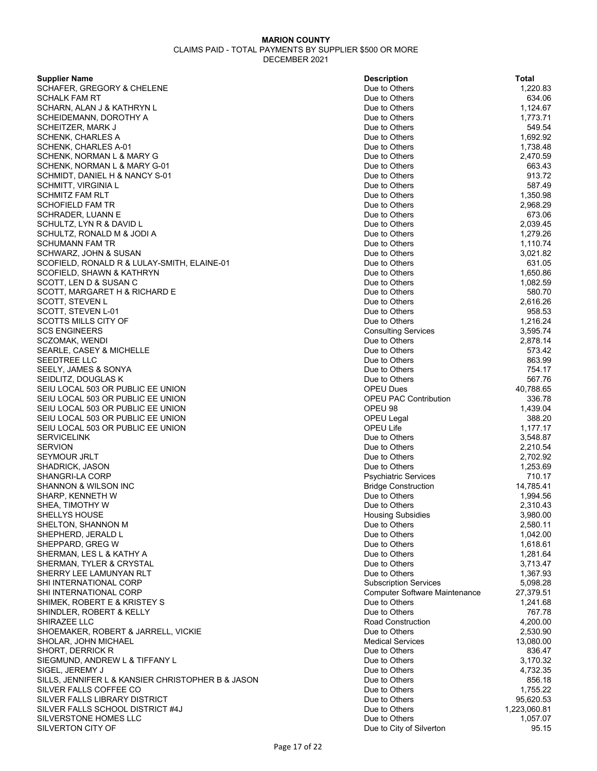| <b>Supplier Name</b>                                   | <b>Description</b>                             | Total              |
|--------------------------------------------------------|------------------------------------------------|--------------------|
| SCHAFER, GREGORY & CHELENE                             | Due to Others                                  | 1,220.83           |
| <b>SCHALK FAM RT</b>                                   | Due to Others                                  | 634.06             |
| SCHARN, ALAN J & KATHRYN L                             | Due to Others                                  | 1,124.67           |
| SCHEIDEMANN, DOROTHY A                                 | Due to Others                                  | 1,773.71           |
| SCHEITZER, MARK J                                      | Due to Others                                  | 549.54             |
| <b>SCHENK, CHARLES A</b>                               | Due to Others                                  | 1,692.92           |
| SCHENK, CHARLES A-01                                   | Due to Others                                  | 1,738.48           |
| SCHENK, NORMAN L & MARY G                              | Due to Others                                  | 2,470.59           |
| SCHENK, NORMAN L & MARY G-01                           | Due to Others                                  | 663.43             |
| SCHMIDT, DANIEL H & NANCY S-01                         | Due to Others                                  | 913.72             |
| <b>SCHMITT, VIRGINIA L</b>                             | Due to Others                                  | 587.49             |
| <b>SCHMITZ FAM RLT</b>                                 | Due to Others                                  | 1,350.98           |
| <b>SCHOFIELD FAM TR</b>                                | Due to Others                                  | 2,968.29           |
| <b>SCHRADER, LUANN E</b>                               | Due to Others                                  | 673.06             |
| SCHULTZ, LYN R & DAVID L                               | Due to Others                                  | 2,039.45           |
| SCHULTZ, RONALD M & JODI A                             | Due to Others                                  | 1,279.26           |
| <b>SCHUMANN FAM TR</b>                                 | Due to Others                                  | 1,110.74           |
| SCHWARZ, JOHN & SUSAN                                  | Due to Others                                  | 3,021.82           |
| SCOFIELD, RONALD R & LULAY-SMITH, ELAINE-01            | Due to Others                                  | 631.05             |
| SCOFIELD, SHAWN & KATHRYN                              | Due to Others                                  | 1,650.86           |
| SCOTT, LEN D & SUSAN C                                 | Due to Others                                  | 1,082.59           |
| SCOTT, MARGARET H & RICHARD E                          | Due to Others                                  | 580.70             |
| SCOTT, STEVEN L                                        | Due to Others                                  | 2,616.26           |
| SCOTT, STEVEN L-01                                     | Due to Others                                  | 958.53             |
| <b>SCOTTS MILLS CITY OF</b>                            | Due to Others                                  | 1,216.24           |
| <b>SCS ENGINEERS</b>                                   | <b>Consulting Services</b>                     | 3,595.74           |
| SCZOMAK, WENDI                                         | Due to Others                                  | 2,878.14           |
| SEARLE, CASEY & MICHELLE                               | Due to Others                                  | 573.42             |
| SEEDTREE LLC                                           | Due to Others                                  | 863.99             |
| SEELY, JAMES & SONYA                                   | Due to Others                                  | 754.17             |
| SEIDLITZ, DOUGLAS K                                    | Due to Others                                  | 567.76             |
| SEIU LOCAL 503 OR PUBLIC EE UNION                      | <b>OPEU Dues</b>                               | 40,788.65          |
| SEIU LOCAL 503 OR PUBLIC EE UNION                      | <b>OPEU PAC Contribution</b>                   | 336.78             |
| SEIU LOCAL 503 OR PUBLIC EE UNION                      | OPEU 98                                        | 1,439.04           |
| SEIU LOCAL 503 OR PUBLIC EE UNION                      | <b>OPEU Legal</b>                              | 388.20             |
| SEIU LOCAL 503 OR PUBLIC EE UNION                      | OPEU Life                                      | 1,177.17           |
| <b>SERVICELINK</b>                                     | Due to Others                                  | 3,548.87           |
| <b>SERVION</b>                                         | Due to Others                                  | 2,210.54           |
| <b>SEYMOUR JRLT</b>                                    | Due to Others                                  | 2,702.92           |
| SHADRICK, JASON                                        | Due to Others                                  | 1,253.69           |
| SHANGRI-LA CORP                                        | <b>Psychiatric Services</b>                    | 710.17             |
| SHANNON & WILSON INC                                   | <b>Bridge Construction</b>                     | 14,785.41          |
| SHARP, KENNETH W                                       | Due to Others                                  | 1,994.56           |
| SHEA, TIMOTHY W                                        | Due to Others                                  | 2,310.43           |
| SHELLYS HOUSE                                          | <b>Housing Subsidies</b>                       | 3,980.00           |
| SHELTON, SHANNON M                                     | Due to Others                                  | 2,580.11           |
|                                                        | Due to Others                                  | 1,042.00           |
| SHEPHERD, JERALD L                                     | Due to Others                                  | 1,618.61           |
| SHEPPARD, GREG W                                       | Due to Others                                  | 1,281.64           |
| SHERMAN, LES L & KATHY A                               | Due to Others                                  | 3,713.47           |
| SHERMAN, TYLER & CRYSTAL                               | Due to Others                                  | 1,367.93           |
| SHERRY LEE LAMUNYAN RLT<br>SHI INTERNATIONAL CORP      | <b>Subscription Services</b>                   | 5,098.28           |
|                                                        |                                                | 27,379.51          |
| SHI INTERNATIONAL CORP<br>SHIMEK, ROBERT E & KRISTEY S | Computer Software Maintenance<br>Due to Others | 1,241.68           |
|                                                        |                                                |                    |
| SHINDLER, ROBERT & KELLY<br>SHIRAZEE LLC               | Due to Others<br><b>Road Construction</b>      | 767.78<br>4,200.00 |
|                                                        |                                                |                    |
| SHOEMAKER, ROBERT & JARRELL, VICKIE                    | Due to Others                                  | 2,530.90           |
| SHOLAR, JOHN MICHAEL                                   | <b>Medical Services</b>                        | 13,080.00          |
| SHORT, DERRICK R                                       | Due to Others                                  | 836.47             |
| SIEGMUND, ANDREW L & TIFFANY L                         | Due to Others                                  | 3,170.32           |
| SIGEL, JEREMY J                                        | Due to Others                                  | 4,732.35           |
| SILLS, JENNIFER L & KANSIER CHRISTOPHER B & JASON      | Due to Others                                  | 856.18             |
| SILVER FALLS COFFEE CO                                 | Due to Others                                  | 1,755.22           |
| SILVER FALLS LIBRARY DISTRICT                          | Due to Others                                  | 95,620.53          |
| SILVER FALLS SCHOOL DISTRICT #4J                       | Due to Others                                  | 1,223,060.81       |
| SILVERSTONE HOMES LLC                                  | Due to Others                                  | 1,057.07           |
| SILVERTON CITY OF                                      | Due to City of Silverton                       | 95.15              |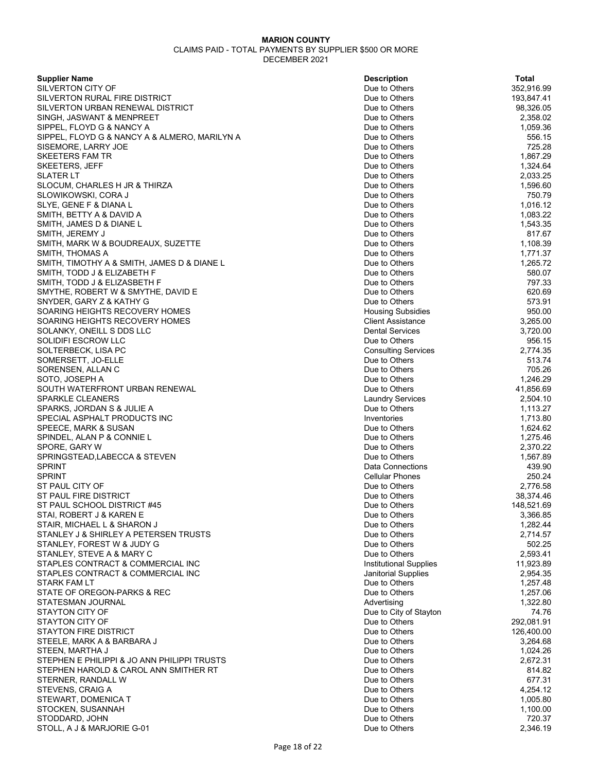| <b>Supplier Name</b>                                                   | <b>Description</b>             | Total                  |
|------------------------------------------------------------------------|--------------------------------|------------------------|
| SILVERTON CITY OF                                                      | Due to Others                  | 352,916.99             |
| SILVERTON RURAL FIRE DISTRICT                                          | Due to Others                  | 193,847.41             |
| SILVERTON URBAN RENEWAL DISTRICT                                       | Due to Others                  | 98,326.05              |
| SINGH, JASWANT & MENPREET                                              | Due to Others                  | 2,358.02               |
| SIPPEL, FLOYD G & NANCY A                                              | Due to Others                  | 1,059.36               |
| SIPPEL, FLOYD G & NANCY A & ALMERO, MARILYN A                          | Due to Others                  | 556.15                 |
| SISEMORE, LARRY JOE                                                    | Due to Others                  | 725.28                 |
| SKEETERS FAM TR                                                        | Due to Others                  | 1,867.29               |
| <b>SKEETERS, JEFF</b>                                                  | Due to Others                  | 1,324.64               |
| SLATER LT                                                              | Due to Others                  | 2,033.25               |
| SLOCUM, CHARLES H JR & THIRZA                                          | Due to Others                  | 1,596.60               |
| SLOWIKOWSKI, CORA J                                                    | Due to Others                  | 750.79                 |
| SLYE, GENE F & DIANA L                                                 | Due to Others                  | 1,016.12               |
| SMITH, BETTY A & DAVID A                                               | Due to Others                  | 1,083.22               |
| SMITH, JAMES D & DIANE L                                               | Due to Others                  | 1,543.35               |
| SMITH, JEREMY J                                                        | Due to Others                  | 817.67                 |
| SMITH, MARK W & BOUDREAUX, SUZETTE                                     | Due to Others                  | 1,108.39               |
| SMITH, THOMAS A                                                        | Due to Others                  | 1,771.37               |
| SMITH, TIMOTHY A & SMITH, JAMES D & DIANE L                            | Due to Others                  | 1,265.72               |
| SMITH, TODD J & ELIZABETH F                                            | Due to Others                  | 580.07                 |
| SMITH, TODD J & ELIZASBETH F                                           | Due to Others                  | 797.33                 |
| SMYTHE, ROBERT W & SMYTHE, DAVID E                                     | Due to Others                  | 620.69                 |
| SNYDER, GARY Z & KATHY G                                               | Due to Others                  | 573.91                 |
| SOARING HEIGHTS RECOVERY HOMES                                         | <b>Housing Subsidies</b>       | 950.00                 |
| SOARING HEIGHTS RECOVERY HOMES                                         | <b>Client Assistance</b>       | 3,265.00               |
| SOLANKY, ONEILL S DDS LLC                                              | <b>Dental Services</b>         | 3,720.00               |
| SOLIDIFI ESCROW LLC                                                    | Due to Others                  | 956.15                 |
| SOLTERBECK, LISA PC                                                    | <b>Consulting Services</b>     | 2,774.35               |
| SOMERSETT, JO-ELLE                                                     | Due to Others                  | 513.74                 |
| SORENSEN, ALLAN C                                                      | Due to Others                  | 705.26                 |
| SOTO, JOSEPH A                                                         | Due to Others                  | 1,246.29               |
| SOUTH WATERFRONT URBAN RENEWAL                                         | Due to Others                  | 41,856.69              |
| <b>SPARKLE CLEANERS</b>                                                | <b>Laundry Services</b>        | 2,504.10               |
| SPARKS, JORDAN S & JULIE A                                             | Due to Others                  | 1,113.27               |
| SPECIAL ASPHALT PRODUCTS INC                                           | Inventories                    | 1,713.80               |
| SPEECE, MARK & SUSAN                                                   | Due to Others                  | 1,624.62               |
| SPINDEL, ALAN P & CONNIE L                                             | Due to Others                  | 1,275.46               |
| SPORE, GARY W                                                          | Due to Others                  | 2,370.22               |
| SPRINGSTEAD, LABECCA & STEVEN                                          | Due to Others                  | 1,567.89               |
| <b>SPRINT</b>                                                          | <b>Data Connections</b>        | 439.90                 |
| <b>SPRINT</b>                                                          | <b>Cellular Phones</b>         | 250.24                 |
| ST PAUL CITY OF                                                        | Due to Others                  | 2,776.58               |
| ST PAUL FIRE DISTRICT                                                  | Due to Others                  |                        |
| ST PAUL SCHOOL DISTRICT #45                                            | Due to Others                  | 38,374.46              |
| STAI, ROBERT J & KAREN E                                               |                                | 148,521.69<br>3,366.85 |
|                                                                        | Due to Others<br>Due to Others |                        |
| STAIR, MICHAEL L & SHARON J                                            |                                | 1,282.44               |
| STANLEY J & SHIRLEY A PETERSEN TRUSTS                                  | Due to Others                  | 2,714.57               |
| STANLEY, FOREST W & JUDY G<br>STANLEY, STEVE A & MARY C                | Due to Others<br>Due to Others | 502.25<br>2,593.41     |
|                                                                        | <b>Institutional Supplies</b>  |                        |
| STAPLES CONTRACT & COMMERCIAL INC<br>STAPLES CONTRACT & COMMERCIAL INC |                                | 11,923.89<br>2,954.35  |
|                                                                        | Janitorial Supplies            |                        |
| <b>STARK FAM LT</b>                                                    | Due to Others                  | 1,257.48               |
| STATE OF OREGON-PARKS & REC                                            | Due to Others                  | 1,257.06               |
| STATESMAN JOURNAL                                                      | Advertising                    | 1,322.80               |
| STAYTON CITY OF                                                        | Due to City of Stayton         | 74.76                  |
| <b>STAYTON CITY OF</b>                                                 | Due to Others                  | 292,081.91             |
| <b>STAYTON FIRE DISTRICT</b>                                           | Due to Others                  | 126,400.00             |
| STEELE, MARK A & BARBARA J                                             | Due to Others                  | 3,264.68               |
| STEEN, MARTHA J                                                        | Due to Others                  | 1,024.26               |
| STEPHEN E PHILIPPI & JO ANN PHILIPPI TRUSTS                            | Due to Others                  | 2,672.31               |
| STEPHEN HAROLD & CAROL ANN SMITHER RT                                  | Due to Others                  | 814.82                 |
| STERNER, RANDALL W                                                     | Due to Others                  | 677.31                 |
| STEVENS, CRAIG A                                                       | Due to Others                  | 4,254.12               |
| STEWART, DOMENICA T                                                    | Due to Others                  | 1,005.80               |
| STOCKEN, SUSANNAH                                                      | Due to Others                  | 1,100.00               |
| STODDARD, JOHN                                                         | Due to Others                  | 720.37                 |
| STOLL, A J & MARJORIE G-01                                             | Due to Others                  | 2,346.19               |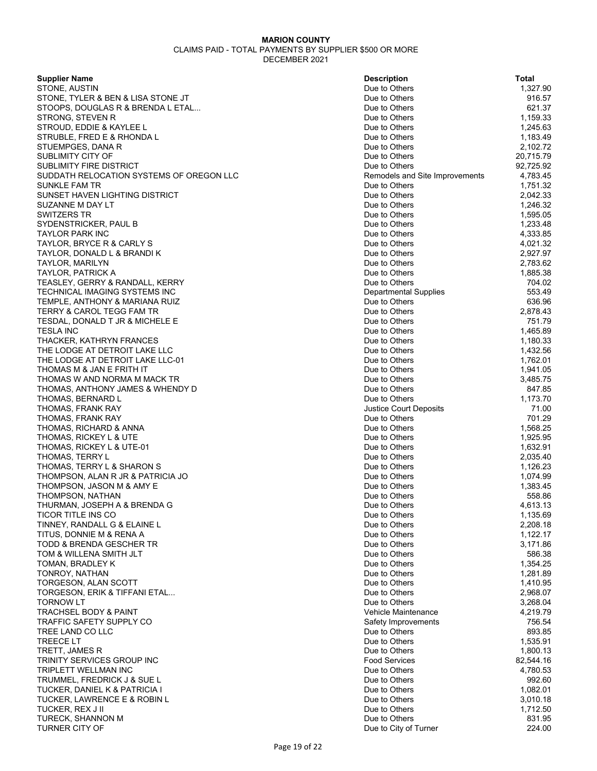| STONE, AUSTIN<br>Due to Others<br>STONE, TYLER & BEN & LISA STONE JT<br>Due to Others<br>916.57<br>STOOPS, DOUGLAS R & BRENDA L ETAL<br>Due to Others<br>621.37<br>STRONG, STEVEN R<br>Due to Others<br>1,159.33<br>STROUD, EDDIE & KAYLEE L<br>Due to Others<br>1,245.63<br>1,183.49<br>STRUBLE, FRED E & RHONDA L<br>Due to Others<br>Due to Others<br>2,102.72<br>STUEMPGES, DANA R<br>SUBLIMITY CITY OF<br>Due to Others<br>20,715.79<br><b>SUBLIMITY FIRE DISTRICT</b><br>Due to Others<br>92,725.92<br>SUDDATH RELOCATION SYSTEMS OF OREGON LLC<br>Remodels and Site Improvements<br>4,783.45<br><b>SUNKLE FAM TR</b><br>Due to Others<br>1,751.32<br>SUNSET HAVEN LIGHTING DISTRICT<br>Due to Others<br>2,042.33<br>SUZANNE M DAY LT<br>Due to Others<br>1,246.32<br>SWITZERS TR<br>Due to Others<br>1,595.05<br>1,233.48<br>SYDENSTRICKER, PAUL B<br>Due to Others<br>Due to Others<br>4,333.85<br><b>TAYLOR PARK INC</b><br>TAYLOR, BRYCE R & CARLY S<br>4,021.32<br>Due to Others<br>2,927.97<br>Due to Others<br>TAYLOR, DONALD L & BRANDI K<br>Due to Others<br>2,783.62<br><b>TAYLOR, MARILYN</b><br>Due to Others<br>1,885.38<br>TAYLOR, PATRICK A<br>704.02<br>Due to Others<br>TEASLEY, GERRY & RANDALL, KERRY<br>553.49<br>TECHNICAL IMAGING SYSTEMS INC<br><b>Departmental Supplies</b><br>Due to Others<br>636.96<br>TEMPLE, ANTHONY & MARIANA RUIZ<br>TERRY & CAROL TEGG FAM TR<br>Due to Others<br>2,878.43<br>TESDAL, DONALD T JR & MICHELE E<br>Due to Others<br>751.79<br><b>TESLA INC</b><br>Due to Others<br>1,465.89<br>THACKER, KATHRYN FRANCES<br>Due to Others<br>1,180.33<br>THE LODGE AT DETROIT LAKE LLC<br>Due to Others<br>1,432.56<br>THE LODGE AT DETROIT LAKE LLC-01<br>1,762.01<br>Due to Others<br>THOMAS M & JAN E FRITH IT<br>Due to Others<br>1,941.05<br>Due to Others<br>3,485.75<br>THOMAS W AND NORMA M MACK TR<br>847.85<br>THOMAS, ANTHONY JAMES & WHENDY D<br>Due to Others<br>Due to Others<br>1,173.70<br>THOMAS, BERNARD L<br><b>Justice Court Deposits</b><br>71.00<br>THOMAS, FRANK RAY<br>701.29<br>Due to Others<br>THOMAS, FRANK RAY<br>Due to Others<br>1,568.25<br>THOMAS, RICHARD & ANNA<br>Due to Others<br>1,925.95<br>THOMAS, RICKEY L & UTE<br>Due to Others<br>1,632.91<br>THOMAS, RICKEY L & UTE-01<br>THOMAS, TERRY L<br>Due to Others<br>2,035.40<br>THOMAS, TERRY L & SHARON S<br>Due to Others<br>1,126.23<br>THOMPSON, ALAN R JR & PATRICIA JO<br>Due to Others<br>1,074.99<br>THOMPSON, JASON M & AMY E<br>Due to Others<br>1,383.45<br>Due to Others<br>558.86<br>THOMPSON, NATHAN<br>4,613.13<br>THURMAN, JOSEPH A & BRENDA G<br>Due to Others<br>TICOR TITLE INS CO<br>Due to Others<br>1,135.69<br>TINNEY, RANDALL G & ELAINE L<br>Due to Others<br>2,208.18<br>TITUS, DONNIE M & RENA A<br>Due to Others<br>1,122.17<br>TODD & BRENDA GESCHER TR<br>Due to Others<br>3,171.86<br>TOM & WILLENA SMITH JLT<br>Due to Others<br>586.38<br>TOMAN, BRADLEY K<br>Due to Others<br>1,354.25<br>Due to Others<br>1,281.89<br>TONROY, NATHAN<br>TORGESON, ALAN SCOTT<br>Due to Others<br>1,410.95<br>TORGESON, ERIK & TIFFANI ETAL<br>Due to Others<br>2,968.07<br><b>TORNOW LT</b><br>Due to Others<br>3,268.04<br><b>TRACHSEL BODY &amp; PAINT</b><br>Vehicle Maintenance<br>4,219.79<br>TRAFFIC SAFETY SUPPLY CO<br>756.54<br>Safety Improvements<br>TREE LAND CO LLC<br>Due to Others<br>893.85<br><b>TREECELT</b><br>Due to Others<br>1,535.91<br>TRETT, JAMES R<br>Due to Others<br>1,800.13<br><b>Food Services</b><br>82,544.16<br>TRINITY SERVICES GROUP INC<br>TRIPLETT WELLMAN INC<br>Due to Others<br>4,780.53<br>TRUMMEL, FREDRICK J & SUE L<br>Due to Others<br>992.60<br>TUCKER, DANIEL K & PATRICIA I<br>Due to Others<br>1,082.01<br>TUCKER, LAWRENCE E & ROBIN L<br>Due to Others<br>3,010.18<br>TUCKER, REX J II<br>Due to Others<br>1,712.50<br>831.95<br><b>TURECK, SHANNON M</b><br>Due to Others<br><b>TURNER CITY OF</b><br>Due to City of Turner<br>224.00 | <b>Supplier Name</b> | <b>Description</b> | Total    |
|----------------------------------------------------------------------------------------------------------------------------------------------------------------------------------------------------------------------------------------------------------------------------------------------------------------------------------------------------------------------------------------------------------------------------------------------------------------------------------------------------------------------------------------------------------------------------------------------------------------------------------------------------------------------------------------------------------------------------------------------------------------------------------------------------------------------------------------------------------------------------------------------------------------------------------------------------------------------------------------------------------------------------------------------------------------------------------------------------------------------------------------------------------------------------------------------------------------------------------------------------------------------------------------------------------------------------------------------------------------------------------------------------------------------------------------------------------------------------------------------------------------------------------------------------------------------------------------------------------------------------------------------------------------------------------------------------------------------------------------------------------------------------------------------------------------------------------------------------------------------------------------------------------------------------------------------------------------------------------------------------------------------------------------------------------------------------------------------------------------------------------------------------------------------------------------------------------------------------------------------------------------------------------------------------------------------------------------------------------------------------------------------------------------------------------------------------------------------------------------------------------------------------------------------------------------------------------------------------------------------------------------------------------------------------------------------------------------------------------------------------------------------------------------------------------------------------------------------------------------------------------------------------------------------------------------------------------------------------------------------------------------------------------------------------------------------------------------------------------------------------------------------------------------------------------------------------------------------------------------------------------------------------------------------------------------------------------------------------------------------------------------------------------------------------------------------------------------------------------------------------------------------------------------------------------------------------------------------------------------------------------------------------------------------------------------------------------------------------------------------------------------------------------------------------------------------------------------------------------------------------------------------------------------------------------------------------------|----------------------|--------------------|----------|
|                                                                                                                                                                                                                                                                                                                                                                                                                                                                                                                                                                                                                                                                                                                                                                                                                                                                                                                                                                                                                                                                                                                                                                                                                                                                                                                                                                                                                                                                                                                                                                                                                                                                                                                                                                                                                                                                                                                                                                                                                                                                                                                                                                                                                                                                                                                                                                                                                                                                                                                                                                                                                                                                                                                                                                                                                                                                                                                                                                                                                                                                                                                                                                                                                                                                                                                                                                                                                                                                                                                                                                                                                                                                                                                                                                                                                                                                                                                                                          |                      |                    | 1,327.90 |
|                                                                                                                                                                                                                                                                                                                                                                                                                                                                                                                                                                                                                                                                                                                                                                                                                                                                                                                                                                                                                                                                                                                                                                                                                                                                                                                                                                                                                                                                                                                                                                                                                                                                                                                                                                                                                                                                                                                                                                                                                                                                                                                                                                                                                                                                                                                                                                                                                                                                                                                                                                                                                                                                                                                                                                                                                                                                                                                                                                                                                                                                                                                                                                                                                                                                                                                                                                                                                                                                                                                                                                                                                                                                                                                                                                                                                                                                                                                                                          |                      |                    |          |
|                                                                                                                                                                                                                                                                                                                                                                                                                                                                                                                                                                                                                                                                                                                                                                                                                                                                                                                                                                                                                                                                                                                                                                                                                                                                                                                                                                                                                                                                                                                                                                                                                                                                                                                                                                                                                                                                                                                                                                                                                                                                                                                                                                                                                                                                                                                                                                                                                                                                                                                                                                                                                                                                                                                                                                                                                                                                                                                                                                                                                                                                                                                                                                                                                                                                                                                                                                                                                                                                                                                                                                                                                                                                                                                                                                                                                                                                                                                                                          |                      |                    |          |
|                                                                                                                                                                                                                                                                                                                                                                                                                                                                                                                                                                                                                                                                                                                                                                                                                                                                                                                                                                                                                                                                                                                                                                                                                                                                                                                                                                                                                                                                                                                                                                                                                                                                                                                                                                                                                                                                                                                                                                                                                                                                                                                                                                                                                                                                                                                                                                                                                                                                                                                                                                                                                                                                                                                                                                                                                                                                                                                                                                                                                                                                                                                                                                                                                                                                                                                                                                                                                                                                                                                                                                                                                                                                                                                                                                                                                                                                                                                                                          |                      |                    |          |
|                                                                                                                                                                                                                                                                                                                                                                                                                                                                                                                                                                                                                                                                                                                                                                                                                                                                                                                                                                                                                                                                                                                                                                                                                                                                                                                                                                                                                                                                                                                                                                                                                                                                                                                                                                                                                                                                                                                                                                                                                                                                                                                                                                                                                                                                                                                                                                                                                                                                                                                                                                                                                                                                                                                                                                                                                                                                                                                                                                                                                                                                                                                                                                                                                                                                                                                                                                                                                                                                                                                                                                                                                                                                                                                                                                                                                                                                                                                                                          |                      |                    |          |
|                                                                                                                                                                                                                                                                                                                                                                                                                                                                                                                                                                                                                                                                                                                                                                                                                                                                                                                                                                                                                                                                                                                                                                                                                                                                                                                                                                                                                                                                                                                                                                                                                                                                                                                                                                                                                                                                                                                                                                                                                                                                                                                                                                                                                                                                                                                                                                                                                                                                                                                                                                                                                                                                                                                                                                                                                                                                                                                                                                                                                                                                                                                                                                                                                                                                                                                                                                                                                                                                                                                                                                                                                                                                                                                                                                                                                                                                                                                                                          |                      |                    |          |
|                                                                                                                                                                                                                                                                                                                                                                                                                                                                                                                                                                                                                                                                                                                                                                                                                                                                                                                                                                                                                                                                                                                                                                                                                                                                                                                                                                                                                                                                                                                                                                                                                                                                                                                                                                                                                                                                                                                                                                                                                                                                                                                                                                                                                                                                                                                                                                                                                                                                                                                                                                                                                                                                                                                                                                                                                                                                                                                                                                                                                                                                                                                                                                                                                                                                                                                                                                                                                                                                                                                                                                                                                                                                                                                                                                                                                                                                                                                                                          |                      |                    |          |
|                                                                                                                                                                                                                                                                                                                                                                                                                                                                                                                                                                                                                                                                                                                                                                                                                                                                                                                                                                                                                                                                                                                                                                                                                                                                                                                                                                                                                                                                                                                                                                                                                                                                                                                                                                                                                                                                                                                                                                                                                                                                                                                                                                                                                                                                                                                                                                                                                                                                                                                                                                                                                                                                                                                                                                                                                                                                                                                                                                                                                                                                                                                                                                                                                                                                                                                                                                                                                                                                                                                                                                                                                                                                                                                                                                                                                                                                                                                                                          |                      |                    |          |
|                                                                                                                                                                                                                                                                                                                                                                                                                                                                                                                                                                                                                                                                                                                                                                                                                                                                                                                                                                                                                                                                                                                                                                                                                                                                                                                                                                                                                                                                                                                                                                                                                                                                                                                                                                                                                                                                                                                                                                                                                                                                                                                                                                                                                                                                                                                                                                                                                                                                                                                                                                                                                                                                                                                                                                                                                                                                                                                                                                                                                                                                                                                                                                                                                                                                                                                                                                                                                                                                                                                                                                                                                                                                                                                                                                                                                                                                                                                                                          |                      |                    |          |
|                                                                                                                                                                                                                                                                                                                                                                                                                                                                                                                                                                                                                                                                                                                                                                                                                                                                                                                                                                                                                                                                                                                                                                                                                                                                                                                                                                                                                                                                                                                                                                                                                                                                                                                                                                                                                                                                                                                                                                                                                                                                                                                                                                                                                                                                                                                                                                                                                                                                                                                                                                                                                                                                                                                                                                                                                                                                                                                                                                                                                                                                                                                                                                                                                                                                                                                                                                                                                                                                                                                                                                                                                                                                                                                                                                                                                                                                                                                                                          |                      |                    |          |
|                                                                                                                                                                                                                                                                                                                                                                                                                                                                                                                                                                                                                                                                                                                                                                                                                                                                                                                                                                                                                                                                                                                                                                                                                                                                                                                                                                                                                                                                                                                                                                                                                                                                                                                                                                                                                                                                                                                                                                                                                                                                                                                                                                                                                                                                                                                                                                                                                                                                                                                                                                                                                                                                                                                                                                                                                                                                                                                                                                                                                                                                                                                                                                                                                                                                                                                                                                                                                                                                                                                                                                                                                                                                                                                                                                                                                                                                                                                                                          |                      |                    |          |
|                                                                                                                                                                                                                                                                                                                                                                                                                                                                                                                                                                                                                                                                                                                                                                                                                                                                                                                                                                                                                                                                                                                                                                                                                                                                                                                                                                                                                                                                                                                                                                                                                                                                                                                                                                                                                                                                                                                                                                                                                                                                                                                                                                                                                                                                                                                                                                                                                                                                                                                                                                                                                                                                                                                                                                                                                                                                                                                                                                                                                                                                                                                                                                                                                                                                                                                                                                                                                                                                                                                                                                                                                                                                                                                                                                                                                                                                                                                                                          |                      |                    |          |
|                                                                                                                                                                                                                                                                                                                                                                                                                                                                                                                                                                                                                                                                                                                                                                                                                                                                                                                                                                                                                                                                                                                                                                                                                                                                                                                                                                                                                                                                                                                                                                                                                                                                                                                                                                                                                                                                                                                                                                                                                                                                                                                                                                                                                                                                                                                                                                                                                                                                                                                                                                                                                                                                                                                                                                                                                                                                                                                                                                                                                                                                                                                                                                                                                                                                                                                                                                                                                                                                                                                                                                                                                                                                                                                                                                                                                                                                                                                                                          |                      |                    |          |
|                                                                                                                                                                                                                                                                                                                                                                                                                                                                                                                                                                                                                                                                                                                                                                                                                                                                                                                                                                                                                                                                                                                                                                                                                                                                                                                                                                                                                                                                                                                                                                                                                                                                                                                                                                                                                                                                                                                                                                                                                                                                                                                                                                                                                                                                                                                                                                                                                                                                                                                                                                                                                                                                                                                                                                                                                                                                                                                                                                                                                                                                                                                                                                                                                                                                                                                                                                                                                                                                                                                                                                                                                                                                                                                                                                                                                                                                                                                                                          |                      |                    |          |
|                                                                                                                                                                                                                                                                                                                                                                                                                                                                                                                                                                                                                                                                                                                                                                                                                                                                                                                                                                                                                                                                                                                                                                                                                                                                                                                                                                                                                                                                                                                                                                                                                                                                                                                                                                                                                                                                                                                                                                                                                                                                                                                                                                                                                                                                                                                                                                                                                                                                                                                                                                                                                                                                                                                                                                                                                                                                                                                                                                                                                                                                                                                                                                                                                                                                                                                                                                                                                                                                                                                                                                                                                                                                                                                                                                                                                                                                                                                                                          |                      |                    |          |
|                                                                                                                                                                                                                                                                                                                                                                                                                                                                                                                                                                                                                                                                                                                                                                                                                                                                                                                                                                                                                                                                                                                                                                                                                                                                                                                                                                                                                                                                                                                                                                                                                                                                                                                                                                                                                                                                                                                                                                                                                                                                                                                                                                                                                                                                                                                                                                                                                                                                                                                                                                                                                                                                                                                                                                                                                                                                                                                                                                                                                                                                                                                                                                                                                                                                                                                                                                                                                                                                                                                                                                                                                                                                                                                                                                                                                                                                                                                                                          |                      |                    |          |
|                                                                                                                                                                                                                                                                                                                                                                                                                                                                                                                                                                                                                                                                                                                                                                                                                                                                                                                                                                                                                                                                                                                                                                                                                                                                                                                                                                                                                                                                                                                                                                                                                                                                                                                                                                                                                                                                                                                                                                                                                                                                                                                                                                                                                                                                                                                                                                                                                                                                                                                                                                                                                                                                                                                                                                                                                                                                                                                                                                                                                                                                                                                                                                                                                                                                                                                                                                                                                                                                                                                                                                                                                                                                                                                                                                                                                                                                                                                                                          |                      |                    |          |
|                                                                                                                                                                                                                                                                                                                                                                                                                                                                                                                                                                                                                                                                                                                                                                                                                                                                                                                                                                                                                                                                                                                                                                                                                                                                                                                                                                                                                                                                                                                                                                                                                                                                                                                                                                                                                                                                                                                                                                                                                                                                                                                                                                                                                                                                                                                                                                                                                                                                                                                                                                                                                                                                                                                                                                                                                                                                                                                                                                                                                                                                                                                                                                                                                                                                                                                                                                                                                                                                                                                                                                                                                                                                                                                                                                                                                                                                                                                                                          |                      |                    |          |
|                                                                                                                                                                                                                                                                                                                                                                                                                                                                                                                                                                                                                                                                                                                                                                                                                                                                                                                                                                                                                                                                                                                                                                                                                                                                                                                                                                                                                                                                                                                                                                                                                                                                                                                                                                                                                                                                                                                                                                                                                                                                                                                                                                                                                                                                                                                                                                                                                                                                                                                                                                                                                                                                                                                                                                                                                                                                                                                                                                                                                                                                                                                                                                                                                                                                                                                                                                                                                                                                                                                                                                                                                                                                                                                                                                                                                                                                                                                                                          |                      |                    |          |
|                                                                                                                                                                                                                                                                                                                                                                                                                                                                                                                                                                                                                                                                                                                                                                                                                                                                                                                                                                                                                                                                                                                                                                                                                                                                                                                                                                                                                                                                                                                                                                                                                                                                                                                                                                                                                                                                                                                                                                                                                                                                                                                                                                                                                                                                                                                                                                                                                                                                                                                                                                                                                                                                                                                                                                                                                                                                                                                                                                                                                                                                                                                                                                                                                                                                                                                                                                                                                                                                                                                                                                                                                                                                                                                                                                                                                                                                                                                                                          |                      |                    |          |
|                                                                                                                                                                                                                                                                                                                                                                                                                                                                                                                                                                                                                                                                                                                                                                                                                                                                                                                                                                                                                                                                                                                                                                                                                                                                                                                                                                                                                                                                                                                                                                                                                                                                                                                                                                                                                                                                                                                                                                                                                                                                                                                                                                                                                                                                                                                                                                                                                                                                                                                                                                                                                                                                                                                                                                                                                                                                                                                                                                                                                                                                                                                                                                                                                                                                                                                                                                                                                                                                                                                                                                                                                                                                                                                                                                                                                                                                                                                                                          |                      |                    |          |
|                                                                                                                                                                                                                                                                                                                                                                                                                                                                                                                                                                                                                                                                                                                                                                                                                                                                                                                                                                                                                                                                                                                                                                                                                                                                                                                                                                                                                                                                                                                                                                                                                                                                                                                                                                                                                                                                                                                                                                                                                                                                                                                                                                                                                                                                                                                                                                                                                                                                                                                                                                                                                                                                                                                                                                                                                                                                                                                                                                                                                                                                                                                                                                                                                                                                                                                                                                                                                                                                                                                                                                                                                                                                                                                                                                                                                                                                                                                                                          |                      |                    |          |
|                                                                                                                                                                                                                                                                                                                                                                                                                                                                                                                                                                                                                                                                                                                                                                                                                                                                                                                                                                                                                                                                                                                                                                                                                                                                                                                                                                                                                                                                                                                                                                                                                                                                                                                                                                                                                                                                                                                                                                                                                                                                                                                                                                                                                                                                                                                                                                                                                                                                                                                                                                                                                                                                                                                                                                                                                                                                                                                                                                                                                                                                                                                                                                                                                                                                                                                                                                                                                                                                                                                                                                                                                                                                                                                                                                                                                                                                                                                                                          |                      |                    |          |
|                                                                                                                                                                                                                                                                                                                                                                                                                                                                                                                                                                                                                                                                                                                                                                                                                                                                                                                                                                                                                                                                                                                                                                                                                                                                                                                                                                                                                                                                                                                                                                                                                                                                                                                                                                                                                                                                                                                                                                                                                                                                                                                                                                                                                                                                                                                                                                                                                                                                                                                                                                                                                                                                                                                                                                                                                                                                                                                                                                                                                                                                                                                                                                                                                                                                                                                                                                                                                                                                                                                                                                                                                                                                                                                                                                                                                                                                                                                                                          |                      |                    |          |
|                                                                                                                                                                                                                                                                                                                                                                                                                                                                                                                                                                                                                                                                                                                                                                                                                                                                                                                                                                                                                                                                                                                                                                                                                                                                                                                                                                                                                                                                                                                                                                                                                                                                                                                                                                                                                                                                                                                                                                                                                                                                                                                                                                                                                                                                                                                                                                                                                                                                                                                                                                                                                                                                                                                                                                                                                                                                                                                                                                                                                                                                                                                                                                                                                                                                                                                                                                                                                                                                                                                                                                                                                                                                                                                                                                                                                                                                                                                                                          |                      |                    |          |
|                                                                                                                                                                                                                                                                                                                                                                                                                                                                                                                                                                                                                                                                                                                                                                                                                                                                                                                                                                                                                                                                                                                                                                                                                                                                                                                                                                                                                                                                                                                                                                                                                                                                                                                                                                                                                                                                                                                                                                                                                                                                                                                                                                                                                                                                                                                                                                                                                                                                                                                                                                                                                                                                                                                                                                                                                                                                                                                                                                                                                                                                                                                                                                                                                                                                                                                                                                                                                                                                                                                                                                                                                                                                                                                                                                                                                                                                                                                                                          |                      |                    |          |
|                                                                                                                                                                                                                                                                                                                                                                                                                                                                                                                                                                                                                                                                                                                                                                                                                                                                                                                                                                                                                                                                                                                                                                                                                                                                                                                                                                                                                                                                                                                                                                                                                                                                                                                                                                                                                                                                                                                                                                                                                                                                                                                                                                                                                                                                                                                                                                                                                                                                                                                                                                                                                                                                                                                                                                                                                                                                                                                                                                                                                                                                                                                                                                                                                                                                                                                                                                                                                                                                                                                                                                                                                                                                                                                                                                                                                                                                                                                                                          |                      |                    |          |
|                                                                                                                                                                                                                                                                                                                                                                                                                                                                                                                                                                                                                                                                                                                                                                                                                                                                                                                                                                                                                                                                                                                                                                                                                                                                                                                                                                                                                                                                                                                                                                                                                                                                                                                                                                                                                                                                                                                                                                                                                                                                                                                                                                                                                                                                                                                                                                                                                                                                                                                                                                                                                                                                                                                                                                                                                                                                                                                                                                                                                                                                                                                                                                                                                                                                                                                                                                                                                                                                                                                                                                                                                                                                                                                                                                                                                                                                                                                                                          |                      |                    |          |
|                                                                                                                                                                                                                                                                                                                                                                                                                                                                                                                                                                                                                                                                                                                                                                                                                                                                                                                                                                                                                                                                                                                                                                                                                                                                                                                                                                                                                                                                                                                                                                                                                                                                                                                                                                                                                                                                                                                                                                                                                                                                                                                                                                                                                                                                                                                                                                                                                                                                                                                                                                                                                                                                                                                                                                                                                                                                                                                                                                                                                                                                                                                                                                                                                                                                                                                                                                                                                                                                                                                                                                                                                                                                                                                                                                                                                                                                                                                                                          |                      |                    |          |
|                                                                                                                                                                                                                                                                                                                                                                                                                                                                                                                                                                                                                                                                                                                                                                                                                                                                                                                                                                                                                                                                                                                                                                                                                                                                                                                                                                                                                                                                                                                                                                                                                                                                                                                                                                                                                                                                                                                                                                                                                                                                                                                                                                                                                                                                                                                                                                                                                                                                                                                                                                                                                                                                                                                                                                                                                                                                                                                                                                                                                                                                                                                                                                                                                                                                                                                                                                                                                                                                                                                                                                                                                                                                                                                                                                                                                                                                                                                                                          |                      |                    |          |
|                                                                                                                                                                                                                                                                                                                                                                                                                                                                                                                                                                                                                                                                                                                                                                                                                                                                                                                                                                                                                                                                                                                                                                                                                                                                                                                                                                                                                                                                                                                                                                                                                                                                                                                                                                                                                                                                                                                                                                                                                                                                                                                                                                                                                                                                                                                                                                                                                                                                                                                                                                                                                                                                                                                                                                                                                                                                                                                                                                                                                                                                                                                                                                                                                                                                                                                                                                                                                                                                                                                                                                                                                                                                                                                                                                                                                                                                                                                                                          |                      |                    |          |
|                                                                                                                                                                                                                                                                                                                                                                                                                                                                                                                                                                                                                                                                                                                                                                                                                                                                                                                                                                                                                                                                                                                                                                                                                                                                                                                                                                                                                                                                                                                                                                                                                                                                                                                                                                                                                                                                                                                                                                                                                                                                                                                                                                                                                                                                                                                                                                                                                                                                                                                                                                                                                                                                                                                                                                                                                                                                                                                                                                                                                                                                                                                                                                                                                                                                                                                                                                                                                                                                                                                                                                                                                                                                                                                                                                                                                                                                                                                                                          |                      |                    |          |
|                                                                                                                                                                                                                                                                                                                                                                                                                                                                                                                                                                                                                                                                                                                                                                                                                                                                                                                                                                                                                                                                                                                                                                                                                                                                                                                                                                                                                                                                                                                                                                                                                                                                                                                                                                                                                                                                                                                                                                                                                                                                                                                                                                                                                                                                                                                                                                                                                                                                                                                                                                                                                                                                                                                                                                                                                                                                                                                                                                                                                                                                                                                                                                                                                                                                                                                                                                                                                                                                                                                                                                                                                                                                                                                                                                                                                                                                                                                                                          |                      |                    |          |
|                                                                                                                                                                                                                                                                                                                                                                                                                                                                                                                                                                                                                                                                                                                                                                                                                                                                                                                                                                                                                                                                                                                                                                                                                                                                                                                                                                                                                                                                                                                                                                                                                                                                                                                                                                                                                                                                                                                                                                                                                                                                                                                                                                                                                                                                                                                                                                                                                                                                                                                                                                                                                                                                                                                                                                                                                                                                                                                                                                                                                                                                                                                                                                                                                                                                                                                                                                                                                                                                                                                                                                                                                                                                                                                                                                                                                                                                                                                                                          |                      |                    |          |
|                                                                                                                                                                                                                                                                                                                                                                                                                                                                                                                                                                                                                                                                                                                                                                                                                                                                                                                                                                                                                                                                                                                                                                                                                                                                                                                                                                                                                                                                                                                                                                                                                                                                                                                                                                                                                                                                                                                                                                                                                                                                                                                                                                                                                                                                                                                                                                                                                                                                                                                                                                                                                                                                                                                                                                                                                                                                                                                                                                                                                                                                                                                                                                                                                                                                                                                                                                                                                                                                                                                                                                                                                                                                                                                                                                                                                                                                                                                                                          |                      |                    |          |
|                                                                                                                                                                                                                                                                                                                                                                                                                                                                                                                                                                                                                                                                                                                                                                                                                                                                                                                                                                                                                                                                                                                                                                                                                                                                                                                                                                                                                                                                                                                                                                                                                                                                                                                                                                                                                                                                                                                                                                                                                                                                                                                                                                                                                                                                                                                                                                                                                                                                                                                                                                                                                                                                                                                                                                                                                                                                                                                                                                                                                                                                                                                                                                                                                                                                                                                                                                                                                                                                                                                                                                                                                                                                                                                                                                                                                                                                                                                                                          |                      |                    |          |
|                                                                                                                                                                                                                                                                                                                                                                                                                                                                                                                                                                                                                                                                                                                                                                                                                                                                                                                                                                                                                                                                                                                                                                                                                                                                                                                                                                                                                                                                                                                                                                                                                                                                                                                                                                                                                                                                                                                                                                                                                                                                                                                                                                                                                                                                                                                                                                                                                                                                                                                                                                                                                                                                                                                                                                                                                                                                                                                                                                                                                                                                                                                                                                                                                                                                                                                                                                                                                                                                                                                                                                                                                                                                                                                                                                                                                                                                                                                                                          |                      |                    |          |
|                                                                                                                                                                                                                                                                                                                                                                                                                                                                                                                                                                                                                                                                                                                                                                                                                                                                                                                                                                                                                                                                                                                                                                                                                                                                                                                                                                                                                                                                                                                                                                                                                                                                                                                                                                                                                                                                                                                                                                                                                                                                                                                                                                                                                                                                                                                                                                                                                                                                                                                                                                                                                                                                                                                                                                                                                                                                                                                                                                                                                                                                                                                                                                                                                                                                                                                                                                                                                                                                                                                                                                                                                                                                                                                                                                                                                                                                                                                                                          |                      |                    |          |
|                                                                                                                                                                                                                                                                                                                                                                                                                                                                                                                                                                                                                                                                                                                                                                                                                                                                                                                                                                                                                                                                                                                                                                                                                                                                                                                                                                                                                                                                                                                                                                                                                                                                                                                                                                                                                                                                                                                                                                                                                                                                                                                                                                                                                                                                                                                                                                                                                                                                                                                                                                                                                                                                                                                                                                                                                                                                                                                                                                                                                                                                                                                                                                                                                                                                                                                                                                                                                                                                                                                                                                                                                                                                                                                                                                                                                                                                                                                                                          |                      |                    |          |
|                                                                                                                                                                                                                                                                                                                                                                                                                                                                                                                                                                                                                                                                                                                                                                                                                                                                                                                                                                                                                                                                                                                                                                                                                                                                                                                                                                                                                                                                                                                                                                                                                                                                                                                                                                                                                                                                                                                                                                                                                                                                                                                                                                                                                                                                                                                                                                                                                                                                                                                                                                                                                                                                                                                                                                                                                                                                                                                                                                                                                                                                                                                                                                                                                                                                                                                                                                                                                                                                                                                                                                                                                                                                                                                                                                                                                                                                                                                                                          |                      |                    |          |
|                                                                                                                                                                                                                                                                                                                                                                                                                                                                                                                                                                                                                                                                                                                                                                                                                                                                                                                                                                                                                                                                                                                                                                                                                                                                                                                                                                                                                                                                                                                                                                                                                                                                                                                                                                                                                                                                                                                                                                                                                                                                                                                                                                                                                                                                                                                                                                                                                                                                                                                                                                                                                                                                                                                                                                                                                                                                                                                                                                                                                                                                                                                                                                                                                                                                                                                                                                                                                                                                                                                                                                                                                                                                                                                                                                                                                                                                                                                                                          |                      |                    |          |
|                                                                                                                                                                                                                                                                                                                                                                                                                                                                                                                                                                                                                                                                                                                                                                                                                                                                                                                                                                                                                                                                                                                                                                                                                                                                                                                                                                                                                                                                                                                                                                                                                                                                                                                                                                                                                                                                                                                                                                                                                                                                                                                                                                                                                                                                                                                                                                                                                                                                                                                                                                                                                                                                                                                                                                                                                                                                                                                                                                                                                                                                                                                                                                                                                                                                                                                                                                                                                                                                                                                                                                                                                                                                                                                                                                                                                                                                                                                                                          |                      |                    |          |
|                                                                                                                                                                                                                                                                                                                                                                                                                                                                                                                                                                                                                                                                                                                                                                                                                                                                                                                                                                                                                                                                                                                                                                                                                                                                                                                                                                                                                                                                                                                                                                                                                                                                                                                                                                                                                                                                                                                                                                                                                                                                                                                                                                                                                                                                                                                                                                                                                                                                                                                                                                                                                                                                                                                                                                                                                                                                                                                                                                                                                                                                                                                                                                                                                                                                                                                                                                                                                                                                                                                                                                                                                                                                                                                                                                                                                                                                                                                                                          |                      |                    |          |
|                                                                                                                                                                                                                                                                                                                                                                                                                                                                                                                                                                                                                                                                                                                                                                                                                                                                                                                                                                                                                                                                                                                                                                                                                                                                                                                                                                                                                                                                                                                                                                                                                                                                                                                                                                                                                                                                                                                                                                                                                                                                                                                                                                                                                                                                                                                                                                                                                                                                                                                                                                                                                                                                                                                                                                                                                                                                                                                                                                                                                                                                                                                                                                                                                                                                                                                                                                                                                                                                                                                                                                                                                                                                                                                                                                                                                                                                                                                                                          |                      |                    |          |
|                                                                                                                                                                                                                                                                                                                                                                                                                                                                                                                                                                                                                                                                                                                                                                                                                                                                                                                                                                                                                                                                                                                                                                                                                                                                                                                                                                                                                                                                                                                                                                                                                                                                                                                                                                                                                                                                                                                                                                                                                                                                                                                                                                                                                                                                                                                                                                                                                                                                                                                                                                                                                                                                                                                                                                                                                                                                                                                                                                                                                                                                                                                                                                                                                                                                                                                                                                                                                                                                                                                                                                                                                                                                                                                                                                                                                                                                                                                                                          |                      |                    |          |
|                                                                                                                                                                                                                                                                                                                                                                                                                                                                                                                                                                                                                                                                                                                                                                                                                                                                                                                                                                                                                                                                                                                                                                                                                                                                                                                                                                                                                                                                                                                                                                                                                                                                                                                                                                                                                                                                                                                                                                                                                                                                                                                                                                                                                                                                                                                                                                                                                                                                                                                                                                                                                                                                                                                                                                                                                                                                                                                                                                                                                                                                                                                                                                                                                                                                                                                                                                                                                                                                                                                                                                                                                                                                                                                                                                                                                                                                                                                                                          |                      |                    |          |
|                                                                                                                                                                                                                                                                                                                                                                                                                                                                                                                                                                                                                                                                                                                                                                                                                                                                                                                                                                                                                                                                                                                                                                                                                                                                                                                                                                                                                                                                                                                                                                                                                                                                                                                                                                                                                                                                                                                                                                                                                                                                                                                                                                                                                                                                                                                                                                                                                                                                                                                                                                                                                                                                                                                                                                                                                                                                                                                                                                                                                                                                                                                                                                                                                                                                                                                                                                                                                                                                                                                                                                                                                                                                                                                                                                                                                                                                                                                                                          |                      |                    |          |
|                                                                                                                                                                                                                                                                                                                                                                                                                                                                                                                                                                                                                                                                                                                                                                                                                                                                                                                                                                                                                                                                                                                                                                                                                                                                                                                                                                                                                                                                                                                                                                                                                                                                                                                                                                                                                                                                                                                                                                                                                                                                                                                                                                                                                                                                                                                                                                                                                                                                                                                                                                                                                                                                                                                                                                                                                                                                                                                                                                                                                                                                                                                                                                                                                                                                                                                                                                                                                                                                                                                                                                                                                                                                                                                                                                                                                                                                                                                                                          |                      |                    |          |
|                                                                                                                                                                                                                                                                                                                                                                                                                                                                                                                                                                                                                                                                                                                                                                                                                                                                                                                                                                                                                                                                                                                                                                                                                                                                                                                                                                                                                                                                                                                                                                                                                                                                                                                                                                                                                                                                                                                                                                                                                                                                                                                                                                                                                                                                                                                                                                                                                                                                                                                                                                                                                                                                                                                                                                                                                                                                                                                                                                                                                                                                                                                                                                                                                                                                                                                                                                                                                                                                                                                                                                                                                                                                                                                                                                                                                                                                                                                                                          |                      |                    |          |
|                                                                                                                                                                                                                                                                                                                                                                                                                                                                                                                                                                                                                                                                                                                                                                                                                                                                                                                                                                                                                                                                                                                                                                                                                                                                                                                                                                                                                                                                                                                                                                                                                                                                                                                                                                                                                                                                                                                                                                                                                                                                                                                                                                                                                                                                                                                                                                                                                                                                                                                                                                                                                                                                                                                                                                                                                                                                                                                                                                                                                                                                                                                                                                                                                                                                                                                                                                                                                                                                                                                                                                                                                                                                                                                                                                                                                                                                                                                                                          |                      |                    |          |
|                                                                                                                                                                                                                                                                                                                                                                                                                                                                                                                                                                                                                                                                                                                                                                                                                                                                                                                                                                                                                                                                                                                                                                                                                                                                                                                                                                                                                                                                                                                                                                                                                                                                                                                                                                                                                                                                                                                                                                                                                                                                                                                                                                                                                                                                                                                                                                                                                                                                                                                                                                                                                                                                                                                                                                                                                                                                                                                                                                                                                                                                                                                                                                                                                                                                                                                                                                                                                                                                                                                                                                                                                                                                                                                                                                                                                                                                                                                                                          |                      |                    |          |
|                                                                                                                                                                                                                                                                                                                                                                                                                                                                                                                                                                                                                                                                                                                                                                                                                                                                                                                                                                                                                                                                                                                                                                                                                                                                                                                                                                                                                                                                                                                                                                                                                                                                                                                                                                                                                                                                                                                                                                                                                                                                                                                                                                                                                                                                                                                                                                                                                                                                                                                                                                                                                                                                                                                                                                                                                                                                                                                                                                                                                                                                                                                                                                                                                                                                                                                                                                                                                                                                                                                                                                                                                                                                                                                                                                                                                                                                                                                                                          |                      |                    |          |
|                                                                                                                                                                                                                                                                                                                                                                                                                                                                                                                                                                                                                                                                                                                                                                                                                                                                                                                                                                                                                                                                                                                                                                                                                                                                                                                                                                                                                                                                                                                                                                                                                                                                                                                                                                                                                                                                                                                                                                                                                                                                                                                                                                                                                                                                                                                                                                                                                                                                                                                                                                                                                                                                                                                                                                                                                                                                                                                                                                                                                                                                                                                                                                                                                                                                                                                                                                                                                                                                                                                                                                                                                                                                                                                                                                                                                                                                                                                                                          |                      |                    |          |
|                                                                                                                                                                                                                                                                                                                                                                                                                                                                                                                                                                                                                                                                                                                                                                                                                                                                                                                                                                                                                                                                                                                                                                                                                                                                                                                                                                                                                                                                                                                                                                                                                                                                                                                                                                                                                                                                                                                                                                                                                                                                                                                                                                                                                                                                                                                                                                                                                                                                                                                                                                                                                                                                                                                                                                                                                                                                                                                                                                                                                                                                                                                                                                                                                                                                                                                                                                                                                                                                                                                                                                                                                                                                                                                                                                                                                                                                                                                                                          |                      |                    |          |
|                                                                                                                                                                                                                                                                                                                                                                                                                                                                                                                                                                                                                                                                                                                                                                                                                                                                                                                                                                                                                                                                                                                                                                                                                                                                                                                                                                                                                                                                                                                                                                                                                                                                                                                                                                                                                                                                                                                                                                                                                                                                                                                                                                                                                                                                                                                                                                                                                                                                                                                                                                                                                                                                                                                                                                                                                                                                                                                                                                                                                                                                                                                                                                                                                                                                                                                                                                                                                                                                                                                                                                                                                                                                                                                                                                                                                                                                                                                                                          |                      |                    |          |
|                                                                                                                                                                                                                                                                                                                                                                                                                                                                                                                                                                                                                                                                                                                                                                                                                                                                                                                                                                                                                                                                                                                                                                                                                                                                                                                                                                                                                                                                                                                                                                                                                                                                                                                                                                                                                                                                                                                                                                                                                                                                                                                                                                                                                                                                                                                                                                                                                                                                                                                                                                                                                                                                                                                                                                                                                                                                                                                                                                                                                                                                                                                                                                                                                                                                                                                                                                                                                                                                                                                                                                                                                                                                                                                                                                                                                                                                                                                                                          |                      |                    |          |
|                                                                                                                                                                                                                                                                                                                                                                                                                                                                                                                                                                                                                                                                                                                                                                                                                                                                                                                                                                                                                                                                                                                                                                                                                                                                                                                                                                                                                                                                                                                                                                                                                                                                                                                                                                                                                                                                                                                                                                                                                                                                                                                                                                                                                                                                                                                                                                                                                                                                                                                                                                                                                                                                                                                                                                                                                                                                                                                                                                                                                                                                                                                                                                                                                                                                                                                                                                                                                                                                                                                                                                                                                                                                                                                                                                                                                                                                                                                                                          |                      |                    |          |
|                                                                                                                                                                                                                                                                                                                                                                                                                                                                                                                                                                                                                                                                                                                                                                                                                                                                                                                                                                                                                                                                                                                                                                                                                                                                                                                                                                                                                                                                                                                                                                                                                                                                                                                                                                                                                                                                                                                                                                                                                                                                                                                                                                                                                                                                                                                                                                                                                                                                                                                                                                                                                                                                                                                                                                                                                                                                                                                                                                                                                                                                                                                                                                                                                                                                                                                                                                                                                                                                                                                                                                                                                                                                                                                                                                                                                                                                                                                                                          |                      |                    |          |
|                                                                                                                                                                                                                                                                                                                                                                                                                                                                                                                                                                                                                                                                                                                                                                                                                                                                                                                                                                                                                                                                                                                                                                                                                                                                                                                                                                                                                                                                                                                                                                                                                                                                                                                                                                                                                                                                                                                                                                                                                                                                                                                                                                                                                                                                                                                                                                                                                                                                                                                                                                                                                                                                                                                                                                                                                                                                                                                                                                                                                                                                                                                                                                                                                                                                                                                                                                                                                                                                                                                                                                                                                                                                                                                                                                                                                                                                                                                                                          |                      |                    |          |
|                                                                                                                                                                                                                                                                                                                                                                                                                                                                                                                                                                                                                                                                                                                                                                                                                                                                                                                                                                                                                                                                                                                                                                                                                                                                                                                                                                                                                                                                                                                                                                                                                                                                                                                                                                                                                                                                                                                                                                                                                                                                                                                                                                                                                                                                                                                                                                                                                                                                                                                                                                                                                                                                                                                                                                                                                                                                                                                                                                                                                                                                                                                                                                                                                                                                                                                                                                                                                                                                                                                                                                                                                                                                                                                                                                                                                                                                                                                                                          |                      |                    |          |
|                                                                                                                                                                                                                                                                                                                                                                                                                                                                                                                                                                                                                                                                                                                                                                                                                                                                                                                                                                                                                                                                                                                                                                                                                                                                                                                                                                                                                                                                                                                                                                                                                                                                                                                                                                                                                                                                                                                                                                                                                                                                                                                                                                                                                                                                                                                                                                                                                                                                                                                                                                                                                                                                                                                                                                                                                                                                                                                                                                                                                                                                                                                                                                                                                                                                                                                                                                                                                                                                                                                                                                                                                                                                                                                                                                                                                                                                                                                                                          |                      |                    |          |
|                                                                                                                                                                                                                                                                                                                                                                                                                                                                                                                                                                                                                                                                                                                                                                                                                                                                                                                                                                                                                                                                                                                                                                                                                                                                                                                                                                                                                                                                                                                                                                                                                                                                                                                                                                                                                                                                                                                                                                                                                                                                                                                                                                                                                                                                                                                                                                                                                                                                                                                                                                                                                                                                                                                                                                                                                                                                                                                                                                                                                                                                                                                                                                                                                                                                                                                                                                                                                                                                                                                                                                                                                                                                                                                                                                                                                                                                                                                                                          |                      |                    |          |
|                                                                                                                                                                                                                                                                                                                                                                                                                                                                                                                                                                                                                                                                                                                                                                                                                                                                                                                                                                                                                                                                                                                                                                                                                                                                                                                                                                                                                                                                                                                                                                                                                                                                                                                                                                                                                                                                                                                                                                                                                                                                                                                                                                                                                                                                                                                                                                                                                                                                                                                                                                                                                                                                                                                                                                                                                                                                                                                                                                                                                                                                                                                                                                                                                                                                                                                                                                                                                                                                                                                                                                                                                                                                                                                                                                                                                                                                                                                                                          |                      |                    |          |
|                                                                                                                                                                                                                                                                                                                                                                                                                                                                                                                                                                                                                                                                                                                                                                                                                                                                                                                                                                                                                                                                                                                                                                                                                                                                                                                                                                                                                                                                                                                                                                                                                                                                                                                                                                                                                                                                                                                                                                                                                                                                                                                                                                                                                                                                                                                                                                                                                                                                                                                                                                                                                                                                                                                                                                                                                                                                                                                                                                                                                                                                                                                                                                                                                                                                                                                                                                                                                                                                                                                                                                                                                                                                                                                                                                                                                                                                                                                                                          |                      |                    |          |
|                                                                                                                                                                                                                                                                                                                                                                                                                                                                                                                                                                                                                                                                                                                                                                                                                                                                                                                                                                                                                                                                                                                                                                                                                                                                                                                                                                                                                                                                                                                                                                                                                                                                                                                                                                                                                                                                                                                                                                                                                                                                                                                                                                                                                                                                                                                                                                                                                                                                                                                                                                                                                                                                                                                                                                                                                                                                                                                                                                                                                                                                                                                                                                                                                                                                                                                                                                                                                                                                                                                                                                                                                                                                                                                                                                                                                                                                                                                                                          |                      |                    |          |
|                                                                                                                                                                                                                                                                                                                                                                                                                                                                                                                                                                                                                                                                                                                                                                                                                                                                                                                                                                                                                                                                                                                                                                                                                                                                                                                                                                                                                                                                                                                                                                                                                                                                                                                                                                                                                                                                                                                                                                                                                                                                                                                                                                                                                                                                                                                                                                                                                                                                                                                                                                                                                                                                                                                                                                                                                                                                                                                                                                                                                                                                                                                                                                                                                                                                                                                                                                                                                                                                                                                                                                                                                                                                                                                                                                                                                                                                                                                                                          |                      |                    |          |
|                                                                                                                                                                                                                                                                                                                                                                                                                                                                                                                                                                                                                                                                                                                                                                                                                                                                                                                                                                                                                                                                                                                                                                                                                                                                                                                                                                                                                                                                                                                                                                                                                                                                                                                                                                                                                                                                                                                                                                                                                                                                                                                                                                                                                                                                                                                                                                                                                                                                                                                                                                                                                                                                                                                                                                                                                                                                                                                                                                                                                                                                                                                                                                                                                                                                                                                                                                                                                                                                                                                                                                                                                                                                                                                                                                                                                                                                                                                                                          |                      |                    |          |
|                                                                                                                                                                                                                                                                                                                                                                                                                                                                                                                                                                                                                                                                                                                                                                                                                                                                                                                                                                                                                                                                                                                                                                                                                                                                                                                                                                                                                                                                                                                                                                                                                                                                                                                                                                                                                                                                                                                                                                                                                                                                                                                                                                                                                                                                                                                                                                                                                                                                                                                                                                                                                                                                                                                                                                                                                                                                                                                                                                                                                                                                                                                                                                                                                                                                                                                                                                                                                                                                                                                                                                                                                                                                                                                                                                                                                                                                                                                                                          |                      |                    |          |
|                                                                                                                                                                                                                                                                                                                                                                                                                                                                                                                                                                                                                                                                                                                                                                                                                                                                                                                                                                                                                                                                                                                                                                                                                                                                                                                                                                                                                                                                                                                                                                                                                                                                                                                                                                                                                                                                                                                                                                                                                                                                                                                                                                                                                                                                                                                                                                                                                                                                                                                                                                                                                                                                                                                                                                                                                                                                                                                                                                                                                                                                                                                                                                                                                                                                                                                                                                                                                                                                                                                                                                                                                                                                                                                                                                                                                                                                                                                                                          |                      |                    |          |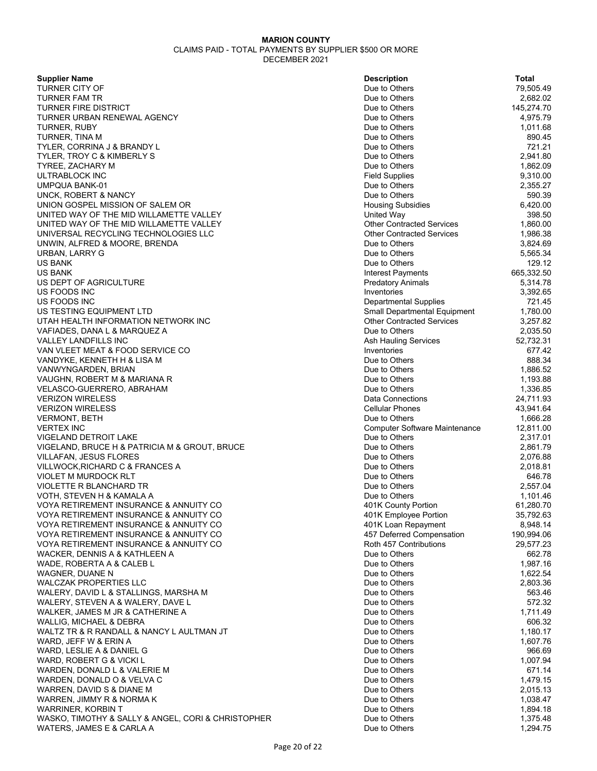**Supplier Name** 

**TURNER CITY OF** TURNER FAM TR TURNER FIRE DISTRICT TURNER URBAN RENEWAL AGENCY TURNER, RUBY TURNER, TINA M TYLER, CORRINA J & BRANDY L TYLER, TROY C & KIMBERLY S TYREE, ZACHARY M ULTRABLOCK INC **UMPQUA BANK-01** UNCK, ROBERT & NANCY UNION GOSPEL MISSION OF SALEM OR UNITED WAY OF THE MID WILLAMETTE VALLEY UNITED WAY OF THE MID WILLAMETTE VALLEY UNIVERSAL RECYCLING TECHNOLOGIES LLC UNWIN, ALFRED & MOORE, BRENDA URBAN, LARRY G US BANK Due to Others 129.12 US BANK Interest Payments 665,332.50 US DEPT OF AGRICULTURE US FOODS INC US FOODS INC **Departmental Supplies** 721.45 US TESTING EQUIPMENT LTD UTAH HEALTH INFORMATION NETWORK INC VAFIADES, DANA L & MARQUEZ A VALLEY LANDFILLS INC VAN VLEET MEAT & FOOD SERVICE CO VANDYKE, KENNETH H & LISA M VANWYNGARDEN, BRIAN VAUGHN, ROBERT M & MARIANA R VELASCO-GUERRERO, ABRAHAM **VERIZON WIRELESS VERIZON WIRELESS** VERMONT, BETH VERTEX INC Computer Software Maintenance 12,811.00 VIGELAND DETROIT LAKE VIGELAND, BRUCE H & PATRICIA M & GROUT, BRUCE VILLAFAN, JESUS FLORES VILLWOCK, RICHARD C & FRANCES A VIOLET M MURDOCK RLT VIOLETTE R BLANCHARD TR VOTH, STEVEN H & KAMALA A VOYA RETIREMENT INSURANCE & ANNUITY CO VOYA RETIREMENT INSURANCE & ANNUITY CO VOYA RETIREMENT INSURANCE & ANNUITY CO VOYA RETIREMENT INSURANCE & ANNUITY CO VOYA RETIREMENT INSURANCE & ANNUITY CO WACKER, DENNIS A & KATHLEEN A WADE, ROBERTA A & CALEB L WAGNER, DUANE N WALCZAK PROPERTIES LLC WALERY, DAVID L & STALLINGS, MARSHA M WALERY, STEVEN A & WALERY, DAVE L WALKER, JAMES M JR & CATHERINE A WALLIG, MICHAEL & DEBRA WALTZ TR & R RANDALL & NANCY L AULTMAN JT WARD, JEFF W & ERIN A WARD, LESLIE A & DANIEL G WARD, ROBERT G & VICKI L WARDEN, DONALD L & VALERIE M WARDEN, DONALD O & VELVA C WARREN, DAVID S & DIANE M WARREN, JIMMY R & NORMA K WARRINER, KORBIN T WASKO, TIMOTHY & SALLY & ANGEL, CORI & CHRISTOPHER WATERS, JAMES E & CARLA A

| <b>Description</b>                               | Total                  |
|--------------------------------------------------|------------------------|
| Due to Others                                    | 79,505.49              |
| Due to Others                                    | 2,682.02               |
| Due to Others                                    | 145,274.70             |
| Due to Others                                    | 4,975.79               |
| Due to Others                                    | 1,011.68               |
| Due to Others                                    | 890.45                 |
| Due to Others                                    | 721.21                 |
| Due to Others                                    | 2,941.80               |
| Due to Others                                    | 1,862.09               |
| <b>Field Supplies</b>                            | 9,310.00               |
| Due to Others                                    | 2,355.27               |
| Due to Others                                    | 590.39                 |
| <b>Housing Subsidies</b><br>United Way           | 6,420.00<br>398.50     |
| <b>Other Contracted Services</b>                 | 1,860.00               |
| <b>Other Contracted Services</b>                 | 1,986.38               |
| Due to Others                                    | 3,824.69               |
| Due to Others                                    | 5,565.34               |
| Due to Others                                    | 129.12                 |
| <b>Interest Payments</b>                         | 665,332.50             |
| <b>Predatory Animals</b>                         | 5,314.78               |
| Inventories                                      | 3,392.65               |
| <b>Departmental Supplies</b>                     | 721.45                 |
| Small Departmental Equipment                     | 1,780.00               |
| <b>Other Contracted Services</b>                 | 3,257.82               |
| Due to Others                                    | 2,035.50               |
| Ash Hauling Services                             | 52,732.31              |
| Inventories                                      | 677.42                 |
| Due to Others                                    | 888.34                 |
| Due to Others                                    | 1,886.52               |
| Due to Others<br>Due to Others                   | 1,193.88<br>1,336.85   |
| Data Connections                                 | 24,711.93              |
| <b>Cellular Phones</b>                           | 43,941.64              |
| Due to Others                                    | 1,666.28               |
| Computer Software Maintenance                    | 12,811.00              |
| Due to Others                                    | 2,317.01               |
| Due to Others                                    | 2,861.79               |
| Due to Others                                    | 2,076.88               |
| Due to Others                                    | 2,018.81               |
| Due to Others                                    | 646.78                 |
| Due to Others                                    | 2,557.04               |
| Due to Others                                    | 1,101.46               |
| 401K County Portion                              | 61,280.70              |
| 401K Employee Portion                            | 35,792.63              |
| 401K Loan Repayment<br>457 Deferred Compensation | 8,948.14<br>190,994.06 |
| Roth 457 Contributions                           | 29,577.23              |
| Due to Others                                    | 662.78                 |
| Due to Others                                    | 1,987.16               |
| Due to Others                                    | 1,622.54               |
| Due to Others                                    | 2,803.36               |
| Due to Others                                    | 563.46                 |
| Due to Others                                    | 572.32                 |
| Due to Others                                    | 1,711.49               |
| Due to Others                                    | 606.32                 |
| Due to Others                                    | 1,180.17               |
| Due to Others                                    | 1,607.76               |
| Due to Others                                    | 966.69                 |
| Due to Others                                    | 1,007.94               |
| Due to Others                                    | 671.14                 |
| Due to Others<br>Due to Others                   | 1,479.15               |
| Due to Others                                    | 2,015.13<br>1,038.47   |
| Due to Others                                    | 1,894.18               |
| Due to Others                                    | 1,375.48               |
| Due to Others                                    | 1.294.75               |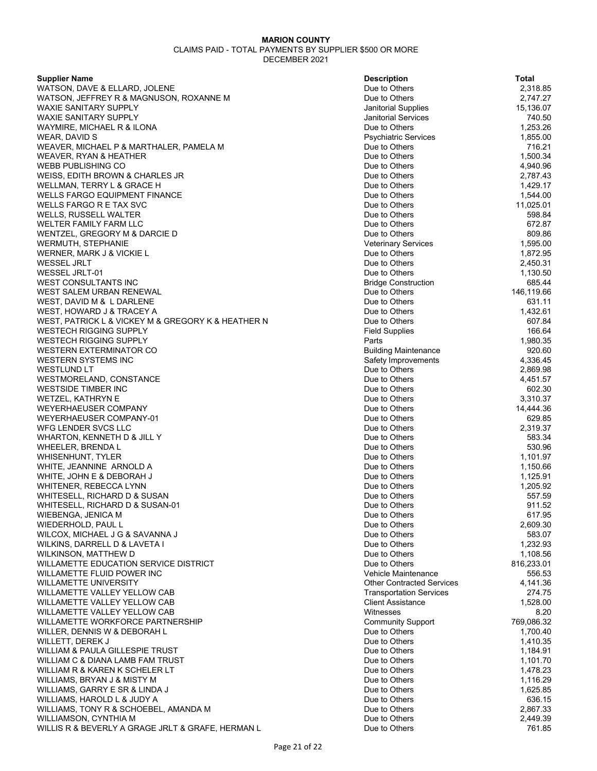| <b>Supplier Name</b>                               | <b>Description</b>               | Total      |
|----------------------------------------------------|----------------------------------|------------|
| WATSON, DAVE & ELLARD, JOLENE                      | Due to Others                    | 2,318.85   |
| WATSON, JEFFREY R & MAGNUSON, ROXANNE M            | Due to Others                    | 2,747.27   |
| <b>WAXIE SANITARY SUPPLY</b>                       | Janitorial Supplies              | 15,136.07  |
| <b>WAXIE SANITARY SUPPLY</b>                       | <b>Janitorial Services</b>       | 740.50     |
| WAYMIRE, MICHAEL R & ILONA                         | Due to Others                    | 1,253.26   |
| WEAR, DAVID S                                      | <b>Psychiatric Services</b>      | 1,855.00   |
| WEAVER, MICHAEL P & MARTHALER, PAMELA M            | Due to Others                    | 716.21     |
| WEAVER, RYAN & HEATHER                             | Due to Others                    | 1,500.34   |
| <b>WEBB PUBLISHING CO</b>                          | Due to Others                    | 4,940.96   |
| WEISS, EDITH BROWN & CHARLES JR                    | Due to Others                    | 2,787.43   |
| WELLMAN, TERRY L & GRACE H                         | Due to Others                    | 1,429.17   |
| WELLS FARGO EQUIPMENT FINANCE                      | Due to Others                    | 1,544.00   |
| WELLS FARGO R E TAX SVC                            | Due to Others                    | 11,025.01  |
| <b>WELLS, RUSSELL WALTER</b>                       | Due to Others                    | 598.84     |
| WELTER FAMILY FARM LLC                             | Due to Others                    | 672.87     |
| WENTZEL, GREGORY M & DARCIE D                      | Due to Others                    | 809.86     |
| WERMUTH, STEPHANIE                                 | <b>Veterinary Services</b>       | 1,595.00   |
| WERNER, MARK J & VICKIE L                          | Due to Others                    | 1,872.95   |
| WESSEL JRLT                                        | Due to Others                    | 2,450.31   |
| WESSEL JRLT-01                                     | Due to Others                    | 1,130.50   |
| <b>WEST CONSULTANTS INC</b>                        | <b>Bridge Construction</b>       | 685.44     |
| WEST SALEM URBAN RENEWAL                           | Due to Others                    | 146,119.66 |
| WEST, DAVID M & L DARLENE                          | Due to Others                    | 631.11     |
| WEST, HOWARD J & TRACEY A                          | Due to Others                    | 1,432.61   |
| WEST, PATRICK L & VICKEY M & GREGORY K & HEATHER N | Due to Others                    | 607.84     |
| WESTECH RIGGING SUPPLY                             | <b>Field Supplies</b>            | 166.64     |
| <b>WESTECH RIGGING SUPPLY</b>                      | Parts                            | 1,980.35   |
| <b>WESTERN EXTERMINATOR CO</b>                     | <b>Building Maintenance</b>      | 920.60     |
| <b>WESTERN SYSTEMS INC</b>                         | Safety Improvements              | 4,336.45   |
| <b>WESTLUND LT</b>                                 | Due to Others                    | 2,869.98   |
| WESTMORELAND, CONSTANCE                            | Due to Others                    | 4,451.57   |
| <b>WESTSIDE TIMBER INC</b>                         | Due to Others                    | 602.30     |
| <b>WETZEL, KATHRYN E</b>                           | Due to Others                    | 3,310.37   |
| <b>WEYERHAEUSER COMPANY</b>                        | Due to Others                    | 14,444.36  |
| WEYERHAEUSER COMPANY-01                            | Due to Others                    | 629.85     |
|                                                    |                                  |            |
| WFG LENDER SVCS LLC                                | Due to Others                    | 2,319.37   |
| WHARTON, KENNETH D & JILL Y                        | Due to Others                    | 583.34     |
| WHEELER, BRENDA L                                  | Due to Others                    | 530.96     |
| <b>WHISENHUNT, TYLER</b>                           | Due to Others                    | 1,101.97   |
| WHITE, JEANNINE ARNOLD A                           | Due to Others                    | 1,150.66   |
| WHITE, JOHN E & DEBORAH J                          | Due to Others                    | 1,125.91   |
| WHITENER, REBECCA LYNN                             | Due to Others                    | 1,205.92   |
| WHITESELL, RICHARD D & SUSAN                       | Due to Others                    | 557.59     |
| WHITESELL, RICHARD D & SUSAN-01                    | Due to Others                    | 911.52     |
| WIEBENGA, JENICA M                                 | Due to Others                    | 617.95     |
| WIEDERHOLD, PAUL L                                 | Due to Others                    | 2,609.30   |
| WILCOX, MICHAEL J G & SAVANNA J                    | Due to Others                    | 583.07     |
| WILKINS, DARRELL D & LAVETA I                      | Due to Others                    | 1,232.93   |
| <b>WILKINSON, MATTHEW D</b>                        | Due to Others                    | 1,108.56   |
| <b>WILLAMETTE EDUCATION SERVICE DISTRICT</b>       | Due to Others                    | 816,233.01 |
| WILLAMETTE FLUID POWER INC                         | Vehicle Maintenance              | 556.53     |
| <b>WILLAMETTE UNIVERSITY</b>                       | <b>Other Contracted Services</b> | 4,141.36   |
| WILLAMETTE VALLEY YELLOW CAB                       | <b>Transportation Services</b>   | 274.75     |
| WILLAMETTE VALLEY YELLOW CAB                       | <b>Client Assistance</b>         | 1,528.00   |
| WILLAMETTE VALLEY YELLOW CAB                       | Witnesses                        | 8.20       |
| <b>WILLAMETTE WORKFORCE PARTNERSHIP</b>            | <b>Community Support</b>         | 769,086.32 |
| WILLER, DENNIS W & DEBORAH L                       | Due to Others                    | 1,700.40   |
| WILLETT, DEREK J                                   | Due to Others                    | 1,410.35   |
| WILLIAM & PAULA GILLESPIE TRUST                    | Due to Others                    | 1,184.91   |
| WILLIAM C & DIANA LAMB FAM TRUST                   | Due to Others                    | 1,101.70   |
| WILLIAM R & KAREN K SCHELER LT                     | Due to Others                    | 1,478.23   |
| WILLIAMS, BRYAN J & MISTY M                        | Due to Others                    | 1,116.29   |
| WILLIAMS, GARRY E SR & LINDA J                     | Due to Others                    | 1,625.85   |
| WILLIAMS, HAROLD L & JUDY A                        | Due to Others                    | 636.15     |
| WILLIAMS, TONY R & SCHOEBEL, AMANDA M              | Due to Others                    | 2,867.33   |
| WILLIAMSON, CYNTHIA M                              | Due to Others                    | 2,449.39   |
| WILLIS R & BEVERLY A GRAGE JRLT & GRAFE, HERMAN L  | Due to Others                    | 761.85     |
|                                                    |                                  |            |